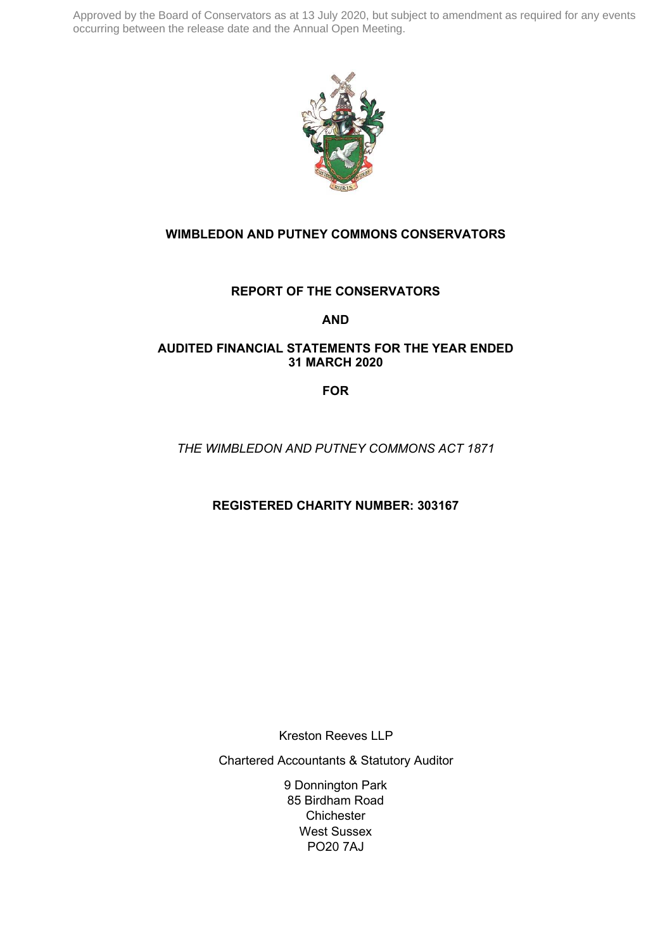

# **WIMBLEDON AND PUTNEY COMMONS CONSERVATORS**

# **REPORT OF THE CONSERVATORS**

# **AND**

# **AUDITED FINANCIAL STATEMENTS FOR THE YEAR ENDED 31 MARCH 2020**

**FOR**

*THE WIMBLEDON AND PUTNEY COMMONS ACT 1871*

**REGISTERED CHARITY NUMBER: 303167** 

Kreston Reeves LLP

Chartered Accountants & Statutory Auditor

9 Donnington Park 85 Birdham Road **Chichester** West Sussex PO20 7AJ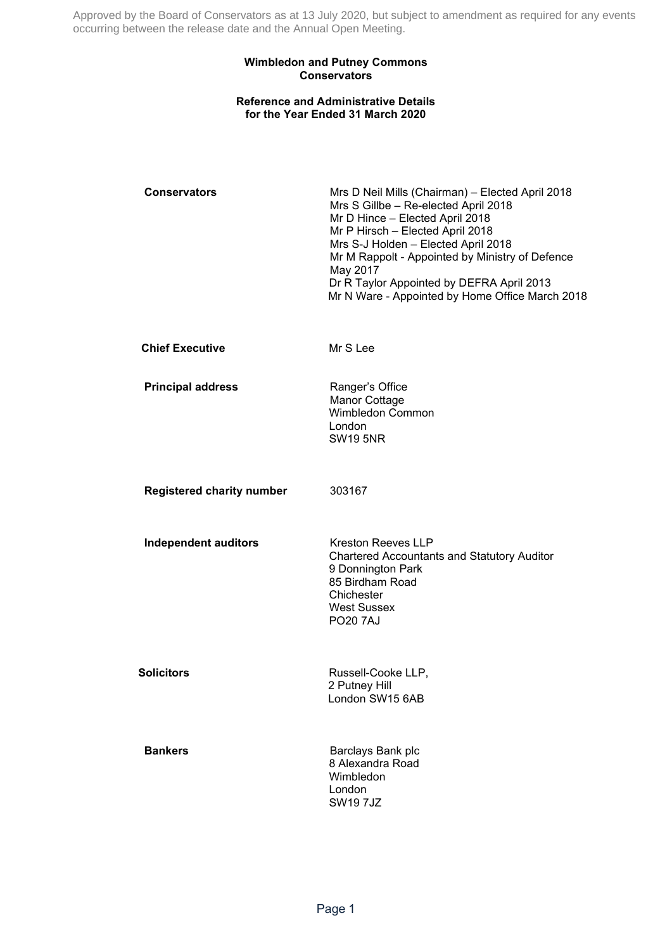### **Wimbledon and Putney Commons Conservators**

### **Reference and Administrative Details for the Year Ended 31 March 2020**

| <b>Conservators</b>              | Mrs D Neil Mills (Chairman) - Elected April 2018<br>Mrs S Gillbe - Re-elected April 2018<br>Mr D Hince - Elected April 2018<br>Mr P Hirsch - Elected April 2018<br>Mrs S-J Holden - Elected April 2018<br>Mr M Rappolt - Appointed by Ministry of Defence<br>May 2017<br>Dr R Taylor Appointed by DEFRA April 2013<br>Mr N Ware - Appointed by Home Office March 2018 |
|----------------------------------|-----------------------------------------------------------------------------------------------------------------------------------------------------------------------------------------------------------------------------------------------------------------------------------------------------------------------------------------------------------------------|
| <b>Chief Executive</b>           | Mr S Lee                                                                                                                                                                                                                                                                                                                                                              |
| <b>Principal address</b>         | Ranger's Office<br>Manor Cottage<br>Wimbledon Common<br>London<br><b>SW19 5NR</b>                                                                                                                                                                                                                                                                                     |
| <b>Registered charity number</b> | 303167                                                                                                                                                                                                                                                                                                                                                                |
| <b>Independent auditors</b>      | <b>Kreston Reeves LLP</b><br><b>Chartered Accountants and Statutory Auditor</b><br>9 Donnington Park<br>85 Birdham Road<br>Chichester<br><b>West Sussex</b><br><b>PO20 7AJ</b>                                                                                                                                                                                        |
| <b>Solicitors</b>                | Russell-Cooke LLP,<br>2 Putney Hill<br>London SW15 6AB                                                                                                                                                                                                                                                                                                                |
| <b>Bankers</b>                   | Barclays Bank plc<br>8 Alexandra Road<br>Wimbledon<br>London<br><b>SW197JZ</b>                                                                                                                                                                                                                                                                                        |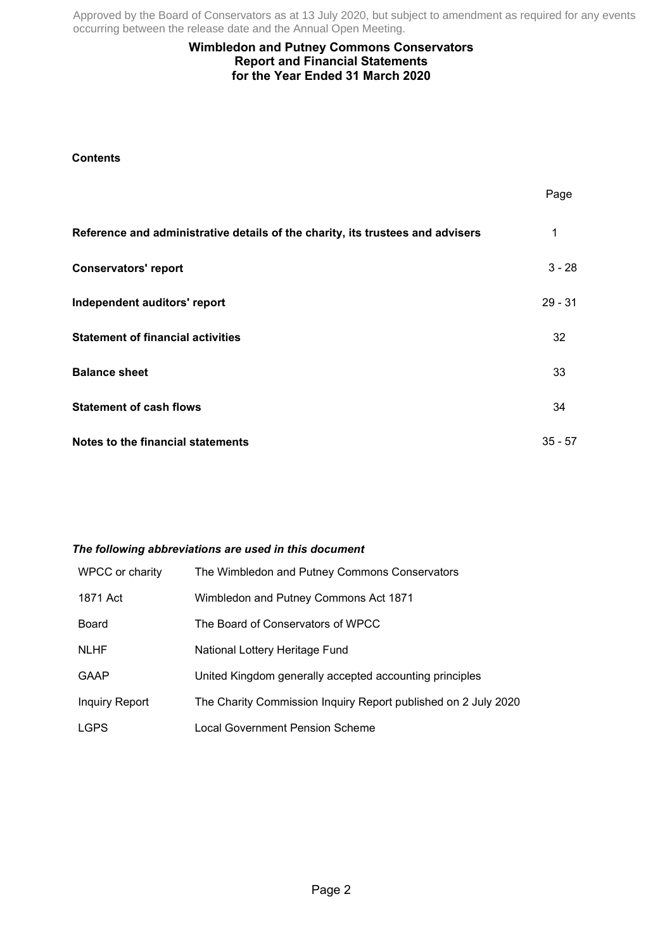# **Wimbledon and Putney Commons Conservators Report and Financial Statements for the Year Ended 31 March 2020**

# **Contents**

|                                                                                | Page      |
|--------------------------------------------------------------------------------|-----------|
| Reference and administrative details of the charity, its trustees and advisers | 1         |
| <b>Conservators' report</b>                                                    | $3 - 28$  |
| Independent auditors' report                                                   | $29 - 31$ |
| <b>Statement of financial activities</b>                                       | 32        |
| <b>Balance sheet</b>                                                           | 33        |
| <b>Statement of cash flows</b>                                                 | 34        |
| Notes to the financial statements                                              | $35 - 57$ |

### *The following abbreviations are used in this document*

| WPCC or charity       | The Wimbledon and Putney Commons Conservators                  |
|-----------------------|----------------------------------------------------------------|
| 1871 Act              | Wimbledon and Putney Commons Act 1871                          |
| Board                 | The Board of Conservators of WPCC                              |
| <b>NLHF</b>           | National Lottery Heritage Fund                                 |
| <b>GAAP</b>           | United Kingdom generally accepted accounting principles        |
| <b>Inquiry Report</b> | The Charity Commission Inquiry Report published on 2 July 2020 |
| <b>LGPS</b>           | Local Government Pension Scheme                                |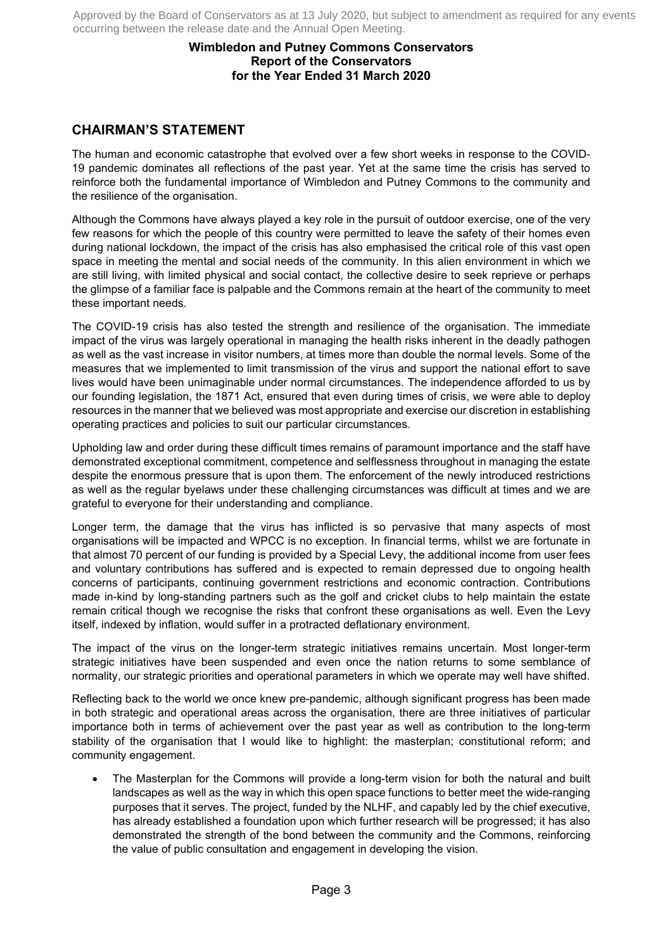# **Wimbledon and Putney Commons Conservators Report of the Conservators for the Year Ended 31 March 2020**

# **CHAIRMAN'S STATEMENT**

The human and economic catastrophe that evolved over a few short weeks in response to the COVID-19 pandemic dominates all reflections of the past year. Yet at the same time the crisis has served to reinforce both the fundamental importance of Wimbledon and Putney Commons to the community and the resilience of the organisation.

Although the Commons have always played a key role in the pursuit of outdoor exercise, one of the very few reasons for which the people of this country were permitted to leave the safety of their homes even during national lockdown, the impact of the crisis has also emphasised the critical role of this vast open space in meeting the mental and social needs of the community. In this alien environment in which we are still living, with limited physical and social contact, the collective desire to seek reprieve or perhaps the glimpse of a familiar face is palpable and the Commons remain at the heart of the community to meet these important needs.

The COVID-19 crisis has also tested the strength and resilience of the organisation. The immediate impact of the virus was largely operational in managing the health risks inherent in the deadly pathogen as well as the vast increase in visitor numbers, at times more than double the normal levels. Some of the measures that we implemented to limit transmission of the virus and support the national effort to save lives would have been unimaginable under normal circumstances. The independence afforded to us by our founding legislation, the 1871 Act, ensured that even during times of crisis, we were able to deploy resources in the manner that we believed was most appropriate and exercise our discretion in establishing operating practices and policies to suit our particular circumstances.

Upholding law and order during these difficult times remains of paramount importance and the staff have demonstrated exceptional commitment, competence and selflessness throughout in managing the estate despite the enormous pressure that is upon them. The enforcement of the newly introduced restrictions as well as the regular byelaws under these challenging circumstances was difficult at times and we are grateful to everyone for their understanding and compliance.

Longer term, the damage that the virus has inflicted is so pervasive that many aspects of most organisations will be impacted and WPCC is no exception. In financial terms, whilst we are fortunate in that almost 70 percent of our funding is provided by a Special Levy, the additional income from user fees and voluntary contributions has suffered and is expected to remain depressed due to ongoing health concerns of participants, continuing government restrictions and economic contraction. Contributions made in-kind by long-standing partners such as the golf and cricket clubs to help maintain the estate remain critical though we recognise the risks that confront these organisations as well. Even the Levy itself, indexed by inflation, would suffer in a protracted deflationary environment.

The impact of the virus on the longer-term strategic initiatives remains uncertain. Most longer-term strategic initiatives have been suspended and even once the nation returns to some semblance of normality, our strategic priorities and operational parameters in which we operate may well have shifted.

Reflecting back to the world we once knew pre-pandemic, although significant progress has been made in both strategic and operational areas across the organisation, there are three initiatives of particular importance both in terms of achievement over the past year as well as contribution to the long-term stability of the organisation that I would like to highlight: the masterplan; constitutional reform; and community engagement.

• The Masterplan for the Commons will provide a long-term vision for both the natural and built landscapes as well as the way in which this open space functions to better meet the wide-ranging purposes that it serves. The project, funded by the NLHF, and capably led by the chief executive, has already established a foundation upon which further research will be progressed; it has also demonstrated the strength of the bond between the community and the Commons, reinforcing the value of public consultation and engagement in developing the vision.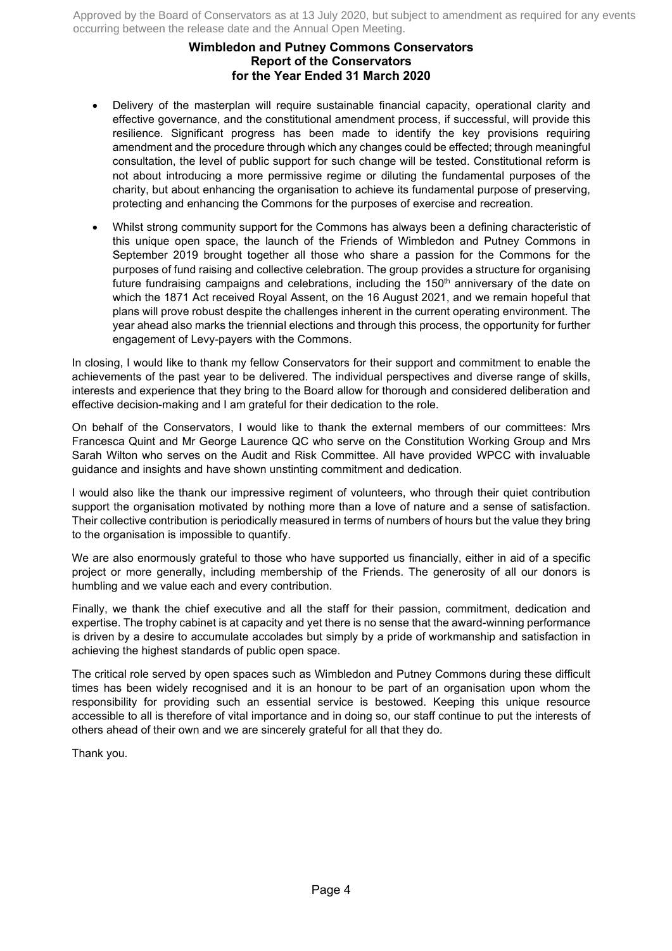# **Wimbledon and Putney Commons Conservators Report of the Conservators for the Year Ended 31 March 2020**

- Delivery of the masterplan will require sustainable financial capacity, operational clarity and effective governance, and the constitutional amendment process, if successful, will provide this resilience. Significant progress has been made to identify the key provisions requiring amendment and the procedure through which any changes could be effected; through meaningful consultation, the level of public support for such change will be tested. Constitutional reform is not about introducing a more permissive regime or diluting the fundamental purposes of the charity, but about enhancing the organisation to achieve its fundamental purpose of preserving, protecting and enhancing the Commons for the purposes of exercise and recreation.
- Whilst strong community support for the Commons has always been a defining characteristic of this unique open space, the launch of the Friends of Wimbledon and Putney Commons in September 2019 brought together all those who share a passion for the Commons for the purposes of fund raising and collective celebration. The group provides a structure for organising future fundraising campaigns and celebrations, including the  $150<sup>th</sup>$  anniversary of the date on which the 1871 Act received Royal Assent, on the 16 August 2021, and we remain hopeful that plans will prove robust despite the challenges inherent in the current operating environment. The year ahead also marks the triennial elections and through this process, the opportunity for further engagement of Levy-payers with the Commons.

In closing, I would like to thank my fellow Conservators for their support and commitment to enable the achievements of the past year to be delivered. The individual perspectives and diverse range of skills, interests and experience that they bring to the Board allow for thorough and considered deliberation and effective decision-making and I am grateful for their dedication to the role.

On behalf of the Conservators, I would like to thank the external members of our committees: Mrs Francesca Quint and Mr George Laurence QC who serve on the Constitution Working Group and Mrs Sarah Wilton who serves on the Audit and Risk Committee. All have provided WPCC with invaluable guidance and insights and have shown unstinting commitment and dedication.

I would also like the thank our impressive regiment of volunteers, who through their quiet contribution support the organisation motivated by nothing more than a love of nature and a sense of satisfaction. Their collective contribution is periodically measured in terms of numbers of hours but the value they bring to the organisation is impossible to quantify.

We are also enormously grateful to those who have supported us financially, either in aid of a specific project or more generally, including membership of the Friends. The generosity of all our donors is humbling and we value each and every contribution.

Finally, we thank the chief executive and all the staff for their passion, commitment, dedication and expertise. The trophy cabinet is at capacity and yet there is no sense that the award-winning performance is driven by a desire to accumulate accolades but simply by a pride of workmanship and satisfaction in achieving the highest standards of public open space.

The critical role served by open spaces such as Wimbledon and Putney Commons during these difficult times has been widely recognised and it is an honour to be part of an organisation upon whom the responsibility for providing such an essential service is bestowed. Keeping this unique resource accessible to all is therefore of vital importance and in doing so, our staff continue to put the interests of others ahead of their own and we are sincerely grateful for all that they do.

Thank you.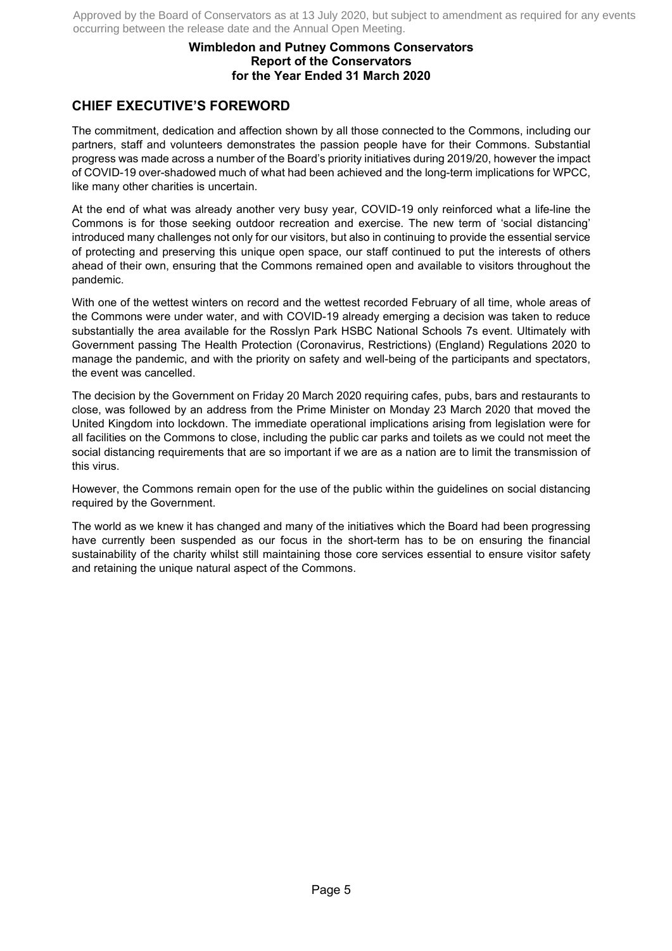# **Wimbledon and Putney Commons Conservators Report of the Conservators for the Year Ended 31 March 2020**

# **CHIEF EXECUTIVE'S FOREWORD**

The commitment, dedication and affection shown by all those connected to the Commons, including our partners, staff and volunteers demonstrates the passion people have for their Commons. Substantial progress was made across a number of the Board's priority initiatives during 2019/20, however the impact of COVID-19 over-shadowed much of what had been achieved and the long-term implications for WPCC, like many other charities is uncertain.

At the end of what was already another very busy year, COVID-19 only reinforced what a life-line the Commons is for those seeking outdoor recreation and exercise. The new term of 'social distancing' introduced many challenges not only for our visitors, but also in continuing to provide the essential service of protecting and preserving this unique open space, our staff continued to put the interests of others ahead of their own, ensuring that the Commons remained open and available to visitors throughout the pandemic.

With one of the wettest winters on record and the wettest recorded February of all time, whole areas of the Commons were under water, and with COVID-19 already emerging a decision was taken to reduce substantially the area available for the Rosslyn Park HSBC National Schools 7s event. Ultimately with Government passing The Health Protection (Coronavirus, Restrictions) (England) Regulations 2020 to manage the pandemic, and with the priority on safety and well-being of the participants and spectators, the event was cancelled.

The decision by the Government on Friday 20 March 2020 requiring cafes, pubs, bars and restaurants to close, was followed by an address from the Prime Minister on Monday 23 March 2020 that moved the United Kingdom into lockdown. The immediate operational implications arising from legislation were for all facilities on the Commons to close, including the public car parks and toilets as we could not meet the social distancing requirements that are so important if we are as a nation are to limit the transmission of this virus.

However, the Commons remain open for the use of the public within the guidelines on social distancing required by the Government.

The world as we knew it has changed and many of the initiatives which the Board had been progressing have currently been suspended as our focus in the short-term has to be on ensuring the financial sustainability of the charity whilst still maintaining those core services essential to ensure visitor safety and retaining the unique natural aspect of the Commons.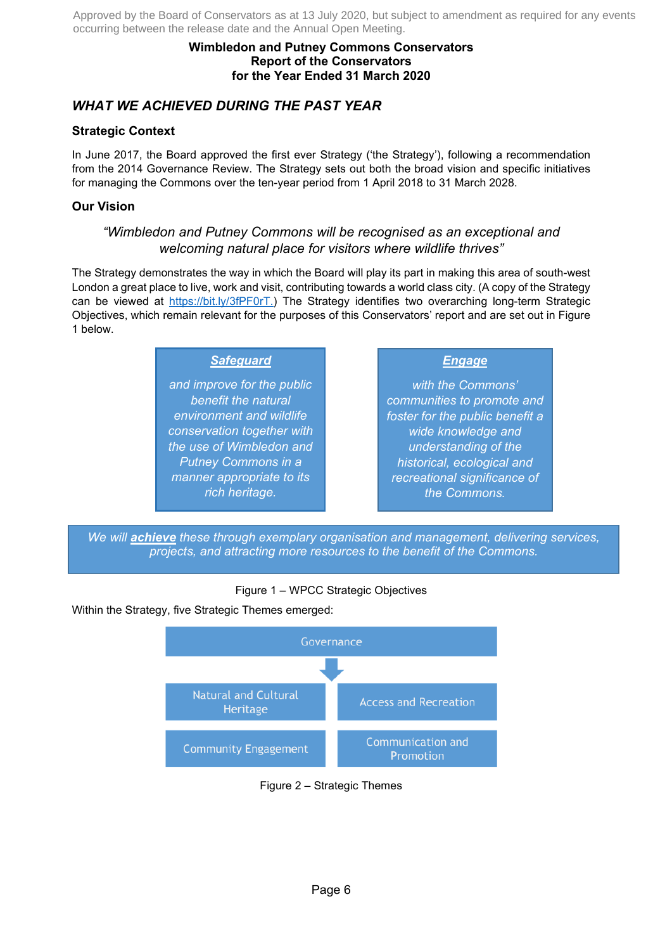# **Wimbledon and Putney Commons Conservators Report of the Conservators for the Year Ended 31 March 2020**

# *WHAT WE ACHIEVED DURING THE PAST YEAR*

# **Strategic Context**

In June 2017, the Board approved the first ever Strategy ('the Strategy'), following a recommendation from the 2014 Governance Review. The Strategy sets out both the broad vision and specific initiatives for managing the Commons over the ten-year period from 1 April 2018 to 31 March 2028.

# **Our Vision**

# *"Wimbledon and Putney Commons will be recognised as an exceptional and welcoming natural place for visitors where wildlife thrives"*

The Strategy demonstrates the way in which the Board will play its part in making this area of south-west London a great place to live, work and visit, contributing towards a world class city. (A copy of the Strategy can be viewed at https://bit.ly/3fPF0rT.) The Strategy identifies two overarching long-term Strategic Objectives, which remain relevant for the purposes of this Conservators' report and are set out in Figure 1 below.

# *Safeguard*

*and improve for the public benefit the natural environment and wildlife conservation together with the use of Wimbledon and Putney Commons in a manner appropriate to its rich heritage.*

# *Engage*

*with the Commons' communities to promote and foster for the public benefit a wide knowledge and understanding of the historical, ecological and recreational significance of the Commons.*

*We will achieve these through exemplary organisation and management, delivering services, projects, and attracting more resources to the benefit of the Commons.* 

# Figure 1 – WPCC Strategic Objectives

Within the Strategy, five Strategic Themes emerged:



Figure 2 – Strategic Themes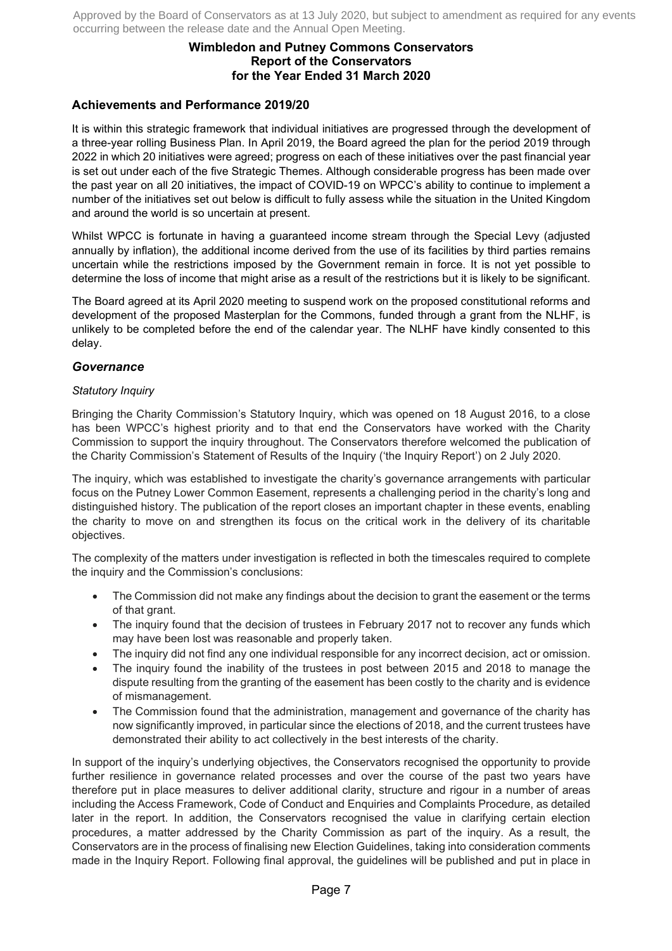# **Wimbledon and Putney Commons Conservators Report of the Conservators for the Year Ended 31 March 2020**

# **Achievements and Performance 2019/20**

It is within this strategic framework that individual initiatives are progressed through the development of a three-year rolling Business Plan. In April 2019, the Board agreed the plan for the period 2019 through 2022 in which 20 initiatives were agreed; progress on each of these initiatives over the past financial year is set out under each of the five Strategic Themes. Although considerable progress has been made over the past year on all 20 initiatives, the impact of COVID-19 on WPCC's ability to continue to implement a number of the initiatives set out below is difficult to fully assess while the situation in the United Kingdom and around the world is so uncertain at present.

Whilst WPCC is fortunate in having a guaranteed income stream through the Special Levy (adjusted annually by inflation), the additional income derived from the use of its facilities by third parties remains uncertain while the restrictions imposed by the Government remain in force. It is not yet possible to determine the loss of income that might arise as a result of the restrictions but it is likely to be significant.

The Board agreed at its April 2020 meeting to suspend work on the proposed constitutional reforms and development of the proposed Masterplan for the Commons, funded through a grant from the NLHF, is unlikely to be completed before the end of the calendar year. The NLHF have kindly consented to this delay.

### *Governance*

### *Statutory Inquiry*

Bringing the Charity Commission's Statutory Inquiry, which was opened on 18 August 2016, to a close has been WPCC's highest priority and to that end the Conservators have worked with the Charity Commission to support the inquiry throughout. The Conservators therefore welcomed the publication of the Charity Commission's Statement of Results of the Inquiry ('the Inquiry Report') on 2 July 2020.

The inquiry, which was established to investigate the charity's governance arrangements with particular focus on the Putney Lower Common Easement, represents a challenging period in the charity's long and distinguished history. The publication of the report closes an important chapter in these events, enabling the charity to move on and strengthen its focus on the critical work in the delivery of its charitable objectives.

The complexity of the matters under investigation is reflected in both the timescales required to complete the inquiry and the Commission's conclusions:

- The Commission did not make any findings about the decision to grant the easement or the terms of that grant.
- The inquiry found that the decision of trustees in February 2017 not to recover any funds which may have been lost was reasonable and properly taken.
- The inquiry did not find any one individual responsible for any incorrect decision, act or omission.
- The inquiry found the inability of the trustees in post between 2015 and 2018 to manage the dispute resulting from the granting of the easement has been costly to the charity and is evidence of mismanagement.
- The Commission found that the administration, management and governance of the charity has now significantly improved, in particular since the elections of 2018, and the current trustees have demonstrated their ability to act collectively in the best interests of the charity.

In support of the inquiry's underlying objectives, the Conservators recognised the opportunity to provide further resilience in governance related processes and over the course of the past two years have therefore put in place measures to deliver additional clarity, structure and rigour in a number of areas including the Access Framework, Code of Conduct and Enquiries and Complaints Procedure, as detailed later in the report. In addition, the Conservators recognised the value in clarifying certain election procedures, a matter addressed by the Charity Commission as part of the inquiry. As a result, the Conservators are in the process of finalising new Election Guidelines, taking into consideration comments made in the Inquiry Report. Following final approval, the guidelines will be published and put in place in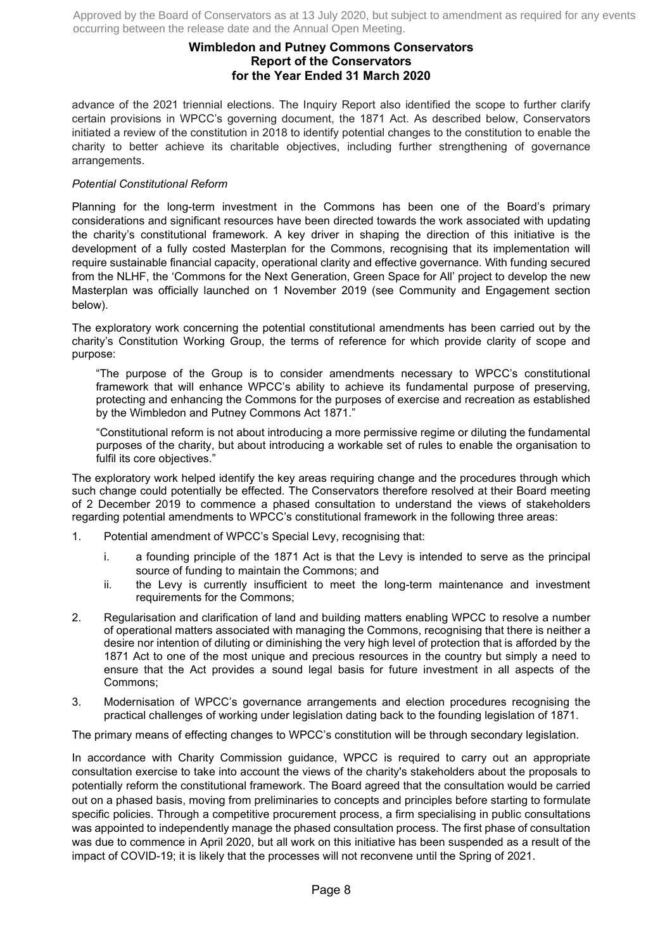# **Wimbledon and Putney Commons Conservators Report of the Conservators for the Year Ended 31 March 2020**

advance of the 2021 triennial elections. The Inquiry Report also identified the scope to further clarify certain provisions in WPCC's governing document, the 1871 Act. As described below, Conservators initiated a review of the constitution in 2018 to identify potential changes to the constitution to enable the charity to better achieve its charitable objectives, including further strengthening of governance arrangements.

### *Potential Constitutional Reform*

Planning for the long-term investment in the Commons has been one of the Board's primary considerations and significant resources have been directed towards the work associated with updating the charity's constitutional framework. A key driver in shaping the direction of this initiative is the development of a fully costed Masterplan for the Commons, recognising that its implementation will require sustainable financial capacity, operational clarity and effective governance. With funding secured from the NLHF, the 'Commons for the Next Generation, Green Space for All' project to develop the new Masterplan was officially launched on 1 November 2019 (see Community and Engagement section below).

The exploratory work concerning the potential constitutional amendments has been carried out by the charity's Constitution Working Group, the terms of reference for which provide clarity of scope and purpose:

"The purpose of the Group is to consider amendments necessary to WPCC's constitutional framework that will enhance WPCC's ability to achieve its fundamental purpose of preserving, protecting and enhancing the Commons for the purposes of exercise and recreation as established by the Wimbledon and Putney Commons Act 1871."

"Constitutional reform is not about introducing a more permissive regime or diluting the fundamental purposes of the charity, but about introducing a workable set of rules to enable the organisation to fulfil its core objectives."

The exploratory work helped identify the key areas requiring change and the procedures through which such change could potentially be effected. The Conservators therefore resolved at their Board meeting of 2 December 2019 to commence a phased consultation to understand the views of stakeholders regarding potential amendments to WPCC's constitutional framework in the following three areas:

- 1. Potential amendment of WPCC's Special Levy, recognising that:
	- i. a founding principle of the 1871 Act is that the Levy is intended to serve as the principal source of funding to maintain the Commons; and
	- ii. the Levy is currently insufficient to meet the long-term maintenance and investment requirements for the Commons;
- 2. Regularisation and clarification of land and building matters enabling WPCC to resolve a number of operational matters associated with managing the Commons, recognising that there is neither a desire nor intention of diluting or diminishing the very high level of protection that is afforded by the 1871 Act to one of the most unique and precious resources in the country but simply a need to ensure that the Act provides a sound legal basis for future investment in all aspects of the Commons;
- 3. Modernisation of WPCC's governance arrangements and election procedures recognising the practical challenges of working under legislation dating back to the founding legislation of 1871.

The primary means of effecting changes to WPCC's constitution will be through secondary legislation.

In accordance with Charity Commission guidance, WPCC is required to carry out an appropriate consultation exercise to take into account the views of the charity's stakeholders about the proposals to potentially reform the constitutional framework. The Board agreed that the consultation would be carried out on a phased basis, moving from preliminaries to concepts and principles before starting to formulate specific policies. Through a competitive procurement process, a firm specialising in public consultations was appointed to independently manage the phased consultation process. The first phase of consultation was due to commence in April 2020, but all work on this initiative has been suspended as a result of the impact of COVID-19; it is likely that the processes will not reconvene until the Spring of 2021.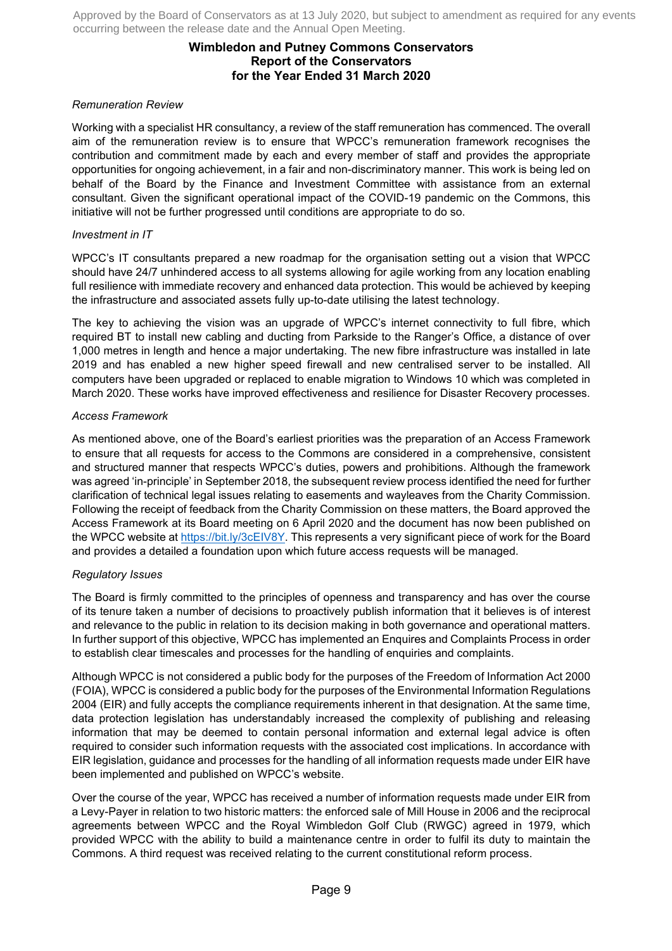# **Wimbledon and Putney Commons Conservators Report of the Conservators for the Year Ended 31 March 2020**

### *Remuneration Review*

Working with a specialist HR consultancy, a review of the staff remuneration has commenced. The overall aim of the remuneration review is to ensure that WPCC's remuneration framework recognises the contribution and commitment made by each and every member of staff and provides the appropriate opportunities for ongoing achievement, in a fair and non-discriminatory manner. This work is being led on behalf of the Board by the Finance and Investment Committee with assistance from an external consultant. Given the significant operational impact of the COVID-19 pandemic on the Commons, this initiative will not be further progressed until conditions are appropriate to do so.

### *Investment in IT*

WPCC's IT consultants prepared a new roadmap for the organisation setting out a vision that WPCC should have 24/7 unhindered access to all systems allowing for agile working from any location enabling full resilience with immediate recovery and enhanced data protection. This would be achieved by keeping the infrastructure and associated assets fully up-to-date utilising the latest technology.

The key to achieving the vision was an upgrade of WPCC's internet connectivity to full fibre, which required BT to install new cabling and ducting from Parkside to the Ranger's Office, a distance of over 1,000 metres in length and hence a major undertaking. The new fibre infrastructure was installed in late 2019 and has enabled a new higher speed firewall and new centralised server to be installed. All computers have been upgraded or replaced to enable migration to Windows 10 which was completed in March 2020. These works have improved effectiveness and resilience for Disaster Recovery processes.

### *Access Framework*

As mentioned above, one of the Board's earliest priorities was the preparation of an Access Framework to ensure that all requests for access to the Commons are considered in a comprehensive, consistent and structured manner that respects WPCC's duties, powers and prohibitions. Although the framework was agreed 'in-principle' in September 2018, the subsequent review process identified the need for further clarification of technical legal issues relating to easements and wayleaves from the Charity Commission. Following the receipt of feedback from the Charity Commission on these matters, the Board approved the Access Framework at its Board meeting on 6 April 2020 and the document has now been published on the WPCC website at https://bit.ly/3cEIV8Y. This represents a very significant piece of work for the Board and provides a detailed a foundation upon which future access requests will be managed.

#### *Regulatory Issues*

The Board is firmly committed to the principles of openness and transparency and has over the course of its tenure taken a number of decisions to proactively publish information that it believes is of interest and relevance to the public in relation to its decision making in both governance and operational matters. In further support of this objective, WPCC has implemented an Enquires and Complaints Process in order to establish clear timescales and processes for the handling of enquiries and complaints.

Although WPCC is not considered a public body for the purposes of the Freedom of Information Act 2000 (FOIA), WPCC is considered a public body for the purposes of the Environmental Information Regulations 2004 (EIR) and fully accepts the compliance requirements inherent in that designation. At the same time, data protection legislation has understandably increased the complexity of publishing and releasing information that may be deemed to contain personal information and external legal advice is often required to consider such information requests with the associated cost implications. In accordance with EIR legislation, guidance and processes for the handling of all information requests made under EIR have been implemented and published on WPCC's website.

Over the course of the year, WPCC has received a number of information requests made under EIR from a Levy-Payer in relation to two historic matters: the enforced sale of Mill House in 2006 and the reciprocal agreements between WPCC and the Royal Wimbledon Golf Club (RWGC) agreed in 1979, which provided WPCC with the ability to build a maintenance centre in order to fulfil its duty to maintain the Commons. A third request was received relating to the current constitutional reform process.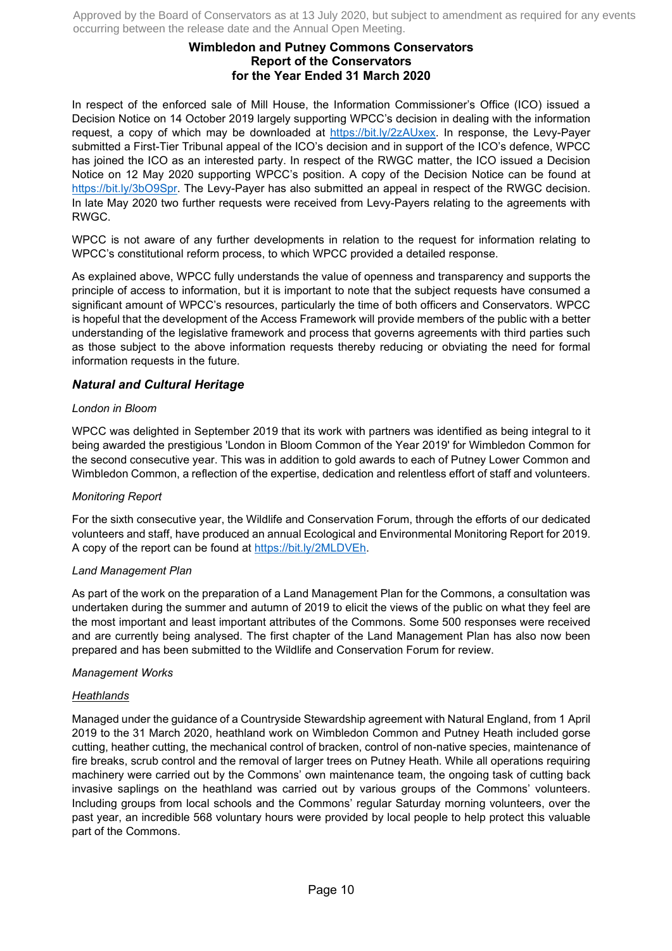# **Wimbledon and Putney Commons Conservators Report of the Conservators for the Year Ended 31 March 2020**

In respect of the enforced sale of Mill House, the Information Commissioner's Office (ICO) issued a Decision Notice on 14 October 2019 largely supporting WPCC's decision in dealing with the information request, a copy of which may be downloaded at https://bit.ly/2zAUxex. In response, the Levy-Payer submitted a First-Tier Tribunal appeal of the ICO's decision and in support of the ICO's defence, WPCC has joined the ICO as an interested party. In respect of the RWGC matter, the ICO issued a Decision Notice on 12 May 2020 supporting WPCC's position. A copy of the Decision Notice can be found at https://bit.ly/3bO9Spr. The Levy-Payer has also submitted an appeal in respect of the RWGC decision. In late May 2020 two further requests were received from Levy-Payers relating to the agreements with RWGC.

WPCC is not aware of any further developments in relation to the request for information relating to WPCC's constitutional reform process, to which WPCC provided a detailed response.

As explained above, WPCC fully understands the value of openness and transparency and supports the principle of access to information, but it is important to note that the subject requests have consumed a significant amount of WPCC's resources, particularly the time of both officers and Conservators. WPCC is hopeful that the development of the Access Framework will provide members of the public with a better understanding of the legislative framework and process that governs agreements with third parties such as those subject to the above information requests thereby reducing or obviating the need for formal information requests in the future.

# *Natural and Cultural Heritage*

### *London in Bloom*

WPCC was delighted in September 2019 that its work with partners was identified as being integral to it being awarded the prestigious 'London in Bloom Common of the Year 2019' for Wimbledon Common for the second consecutive year. This was in addition to gold awards to each of Putney Lower Common and Wimbledon Common, a reflection of the expertise, dedication and relentless effort of staff and volunteers.

#### *Monitoring Report*

For the sixth consecutive year, the Wildlife and Conservation Forum, through the efforts of our dedicated volunteers and staff, have produced an annual Ecological and Environmental Monitoring Report for 2019. A copy of the report can be found at https://bit.ly/2MLDVEh.

#### *Land Management Plan*

As part of the work on the preparation of a Land Management Plan for the Commons, a consultation was undertaken during the summer and autumn of 2019 to elicit the views of the public on what they feel are the most important and least important attributes of the Commons. Some 500 responses were received and are currently being analysed. The first chapter of the Land Management Plan has also now been prepared and has been submitted to the Wildlife and Conservation Forum for review.

#### *Management Works*

### *Heathlands*

Managed under the guidance of a Countryside Stewardship agreement with Natural England, from 1 April 2019 to the 31 March 2020, heathland work on Wimbledon Common and Putney Heath included gorse cutting, heather cutting, the mechanical control of bracken, control of non-native species, maintenance of fire breaks, scrub control and the removal of larger trees on Putney Heath. While all operations requiring machinery were carried out by the Commons' own maintenance team, the ongoing task of cutting back invasive saplings on the heathland was carried out by various groups of the Commons' volunteers. Including groups from local schools and the Commons' regular Saturday morning volunteers, over the past year, an incredible 568 voluntary hours were provided by local people to help protect this valuable part of the Commons.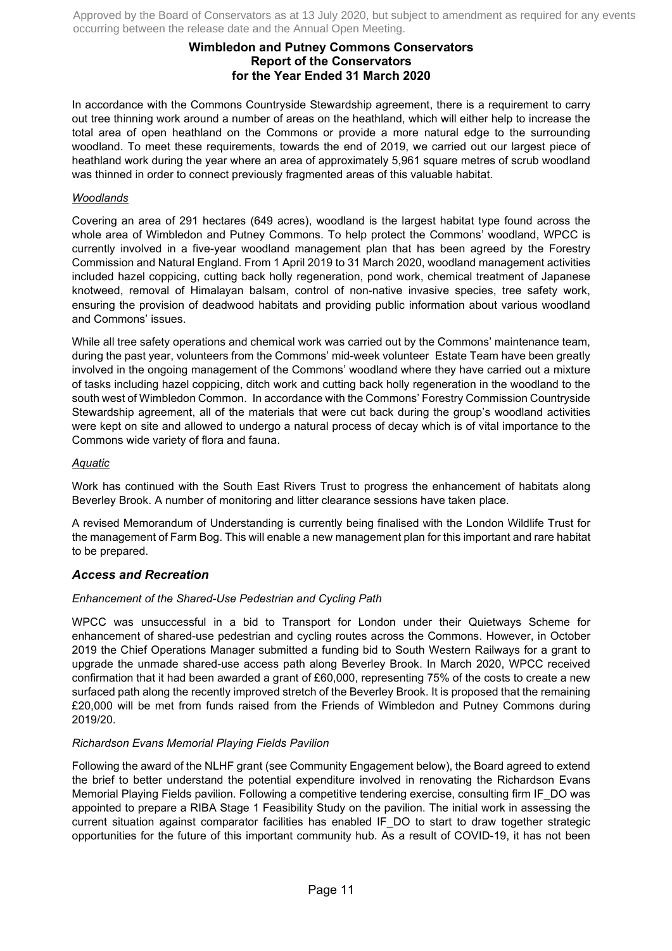# **Wimbledon and Putney Commons Conservators Report of the Conservators for the Year Ended 31 March 2020**

In accordance with the Commons Countryside Stewardship agreement, there is a requirement to carry out tree thinning work around a number of areas on the heathland, which will either help to increase the total area of open heathland on the Commons or provide a more natural edge to the surrounding woodland. To meet these requirements, towards the end of 2019, we carried out our largest piece of heathland work during the year where an area of approximately 5,961 square metres of scrub woodland was thinned in order to connect previously fragmented areas of this valuable habitat.

### *Woodlands*

Covering an area of 291 hectares (649 acres), woodland is the largest habitat type found across the whole area of Wimbledon and Putney Commons. To help protect the Commons' woodland, WPCC is currently involved in a five-year woodland management plan that has been agreed by the Forestry Commission and Natural England. From 1 April 2019 to 31 March 2020, woodland management activities included hazel coppicing, cutting back holly regeneration, pond work, chemical treatment of Japanese knotweed, removal of Himalayan balsam, control of non-native invasive species, tree safety work, ensuring the provision of deadwood habitats and providing public information about various woodland and Commons' issues.

While all tree safety operations and chemical work was carried out by the Commons' maintenance team, during the past year, volunteers from the Commons' mid-week volunteer Estate Team have been greatly involved in the ongoing management of the Commons' woodland where they have carried out a mixture of tasks including hazel coppicing, ditch work and cutting back holly regeneration in the woodland to the south west of Wimbledon Common. In accordance with the Commons' Forestry Commission Countryside Stewardship agreement, all of the materials that were cut back during the group's woodland activities were kept on site and allowed to undergo a natural process of decay which is of vital importance to the Commons wide variety of flora and fauna.

# *Aquatic*

Work has continued with the South East Rivers Trust to progress the enhancement of habitats along Beverley Brook. A number of monitoring and litter clearance sessions have taken place.

A revised Memorandum of Understanding is currently being finalised with the London Wildlife Trust for the management of Farm Bog. This will enable a new management plan for this important and rare habitat to be prepared.

### *Access and Recreation*

### *Enhancement of the Shared-Use Pedestrian and Cycling Path*

WPCC was unsuccessful in a bid to Transport for London under their Quietways Scheme for enhancement of shared-use pedestrian and cycling routes across the Commons. However, in October 2019 the Chief Operations Manager submitted a funding bid to South Western Railways for a grant to upgrade the unmade shared-use access path along Beverley Brook. In March 2020, WPCC received confirmation that it had been awarded a grant of £60,000, representing 75% of the costs to create a new surfaced path along the recently improved stretch of the Beverley Brook. It is proposed that the remaining £20,000 will be met from funds raised from the Friends of Wimbledon and Putney Commons during 2019/20.

### *Richardson Evans Memorial Playing Fields Pavilion*

Following the award of the NLHF grant (see Community Engagement below), the Board agreed to extend the brief to better understand the potential expenditure involved in renovating the Richardson Evans Memorial Playing Fields pavilion. Following a competitive tendering exercise, consulting firm IF\_DO was appointed to prepare a RIBA Stage 1 Feasibility Study on the pavilion. The initial work in assessing the current situation against comparator facilities has enabled IF DO to start to draw together strategic opportunities for the future of this important community hub. As a result of COVID-19, it has not been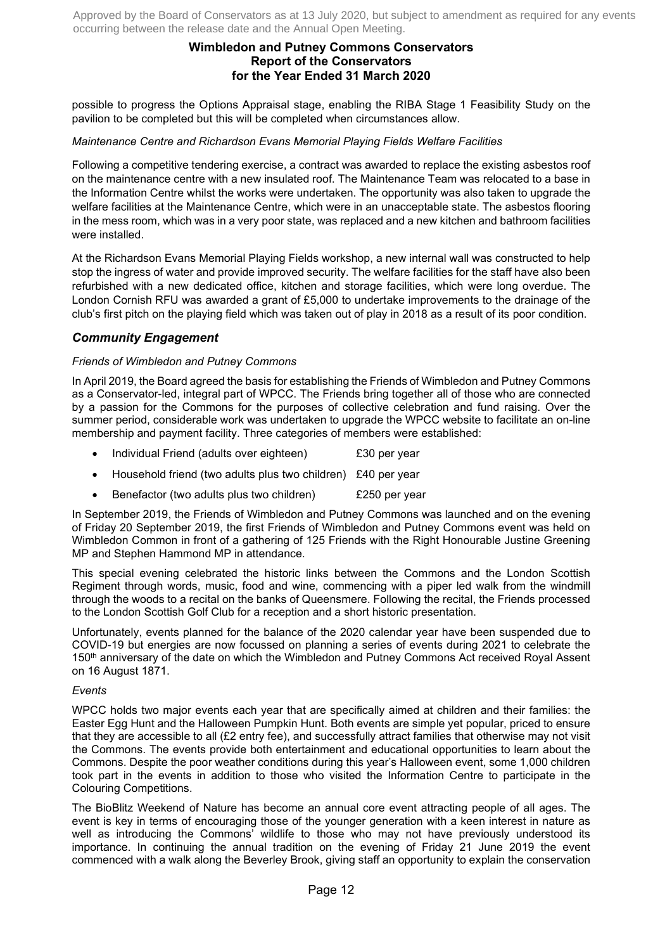# **Wimbledon and Putney Commons Conservators Report of the Conservators for the Year Ended 31 March 2020**

possible to progress the Options Appraisal stage, enabling the RIBA Stage 1 Feasibility Study on the pavilion to be completed but this will be completed when circumstances allow.

### *Maintenance Centre and Richardson Evans Memorial Playing Fields Welfare Facilities*

Following a competitive tendering exercise, a contract was awarded to replace the existing asbestos roof on the maintenance centre with a new insulated roof. The Maintenance Team was relocated to a base in the Information Centre whilst the works were undertaken. The opportunity was also taken to upgrade the welfare facilities at the Maintenance Centre, which were in an unacceptable state. The asbestos flooring in the mess room, which was in a very poor state, was replaced and a new kitchen and bathroom facilities were installed.

At the Richardson Evans Memorial Playing Fields workshop, a new internal wall was constructed to help stop the ingress of water and provide improved security. The welfare facilities for the staff have also been refurbished with a new dedicated office, kitchen and storage facilities, which were long overdue. The London Cornish RFU was awarded a grant of £5,000 to undertake improvements to the drainage of the club's first pitch on the playing field which was taken out of play in 2018 as a result of its poor condition.

# *Community Engagement*

# *Friends of Wimbledon and Putney Commons*

In April 2019, the Board agreed the basis for establishing the Friends of Wimbledon and Putney Commons as a Conservator-led, integral part of WPCC. The Friends bring together all of those who are connected by a passion for the Commons for the purposes of collective celebration and fund raising. Over the summer period, considerable work was undertaken to upgrade the WPCC website to facilitate an on-line membership and payment facility. Three categories of members were established:

- Individual Friend (adults over eighteen) £30 per year
- Household friend (two adults plus two children) £40 per year
- Benefactor (two adults plus two children) £250 per year

In September 2019, the Friends of Wimbledon and Putney Commons was launched and on the evening of Friday 20 September 2019, the first Friends of Wimbledon and Putney Commons event was held on Wimbledon Common in front of a gathering of 125 Friends with the Right Honourable Justine Greening MP and Stephen Hammond MP in attendance.

This special evening celebrated the historic links between the Commons and the London Scottish Regiment through words, music, food and wine, commencing with a piper led walk from the windmill through the woods to a recital on the banks of Queensmere. Following the recital, the Friends processed to the London Scottish Golf Club for a reception and a short historic presentation.

Unfortunately, events planned for the balance of the 2020 calendar year have been suspended due to COVID-19 but energies are now focussed on planning a series of events during 2021 to celebrate the 150<sup>th</sup> anniversary of the date on which the Wimbledon and Putney Commons Act received Royal Assent on 16 August 1871.

### *Events*

WPCC holds two major events each year that are specifically aimed at children and their families: the Easter Egg Hunt and the Halloween Pumpkin Hunt. Both events are simple yet popular, priced to ensure that they are accessible to all (£2 entry fee), and successfully attract families that otherwise may not visit the Commons. The events provide both entertainment and educational opportunities to learn about the Commons. Despite the poor weather conditions during this year's Halloween event, some 1,000 children took part in the events in addition to those who visited the Information Centre to participate in the Colouring Competitions.

The BioBlitz Weekend of Nature has become an annual core event attracting people of all ages. The event is key in terms of encouraging those of the younger generation with a keen interest in nature as well as introducing the Commons' wildlife to those who may not have previously understood its importance. In continuing the annual tradition on the evening of Friday 21 June 2019 the event commenced with a walk along the Beverley Brook, giving staff an opportunity to explain the conservation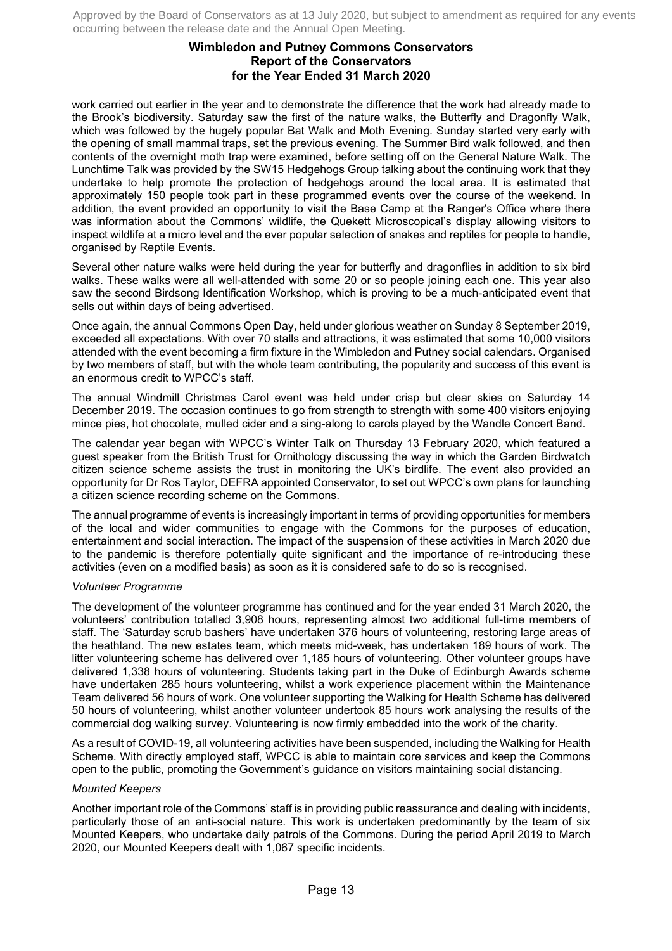# **Wimbledon and Putney Commons Conservators Report of the Conservators for the Year Ended 31 March 2020**

work carried out earlier in the year and to demonstrate the difference that the work had already made to the Brook's biodiversity. Saturday saw the first of the nature walks, the Butterfly and Dragonfly Walk, which was followed by the hugely popular Bat Walk and Moth Evening. Sunday started very early with the opening of small mammal traps, set the previous evening. The Summer Bird walk followed, and then contents of the overnight moth trap were examined, before setting off on the General Nature Walk. The Lunchtime Talk was provided by the SW15 Hedgehogs Group talking about the continuing work that they undertake to help promote the protection of hedgehogs around the local area. It is estimated that approximately 150 people took part in these programmed events over the course of the weekend. In addition, the event provided an opportunity to visit the Base Camp at the Ranger's Office where there was information about the Commons' wildlife, the Quekett Microscopical's display allowing visitors to inspect wildlife at a micro level and the ever popular selection of snakes and reptiles for people to handle, organised by Reptile Events.

Several other nature walks were held during the year for butterfly and dragonflies in addition to six bird walks. These walks were all well-attended with some 20 or so people joining each one. This year also saw the second Birdsong Identification Workshop, which is proving to be a much-anticipated event that sells out within days of being advertised.

Once again, the annual Commons Open Day, held under glorious weather on Sunday 8 September 2019, exceeded all expectations. With over 70 stalls and attractions, it was estimated that some 10,000 visitors attended with the event becoming a firm fixture in the Wimbledon and Putney social calendars. Organised by two members of staff, but with the whole team contributing, the popularity and success of this event is an enormous credit to WPCC's staff.

The annual Windmill Christmas Carol event was held under crisp but clear skies on Saturday 14 December 2019. The occasion continues to go from strength to strength with some 400 visitors enjoying mince pies, hot chocolate, mulled cider and a sing-along to carols played by the Wandle Concert Band.

The calendar year began with WPCC's Winter Talk on Thursday 13 February 2020, which featured a guest speaker from the British Trust for Ornithology discussing the way in which the Garden Birdwatch citizen science scheme assists the trust in monitoring the UK's birdlife. The event also provided an opportunity for Dr Ros Taylor, DEFRA appointed Conservator, to set out WPCC's own plans for launching a citizen science recording scheme on the Commons.

The annual programme of events is increasingly important in terms of providing opportunities for members of the local and wider communities to engage with the Commons for the purposes of education, entertainment and social interaction. The impact of the suspension of these activities in March 2020 due to the pandemic is therefore potentially quite significant and the importance of re-introducing these activities (even on a modified basis) as soon as it is considered safe to do so is recognised.

### *Volunteer Programme*

The development of the volunteer programme has continued and for the year ended 31 March 2020, the volunteers' contribution totalled 3,908 hours, representing almost two additional full-time members of staff. The 'Saturday scrub bashers' have undertaken 376 hours of volunteering, restoring large areas of the heathland. The new estates team, which meets mid-week, has undertaken 189 hours of work. The litter volunteering scheme has delivered over 1,185 hours of volunteering. Other volunteer groups have delivered 1,338 hours of volunteering. Students taking part in the Duke of Edinburgh Awards scheme have undertaken 285 hours volunteering, whilst a work experience placement within the Maintenance Team delivered 56 hours of work. One volunteer supporting the Walking for Health Scheme has delivered 50 hours of volunteering, whilst another volunteer undertook 85 hours work analysing the results of the commercial dog walking survey. Volunteering is now firmly embedded into the work of the charity.

As a result of COVID-19, all volunteering activities have been suspended, including the Walking for Health Scheme. With directly employed staff, WPCC is able to maintain core services and keep the Commons open to the public, promoting the Government's guidance on visitors maintaining social distancing.

#### *Mounted Keepers*

Another important role of the Commons' staff is in providing public reassurance and dealing with incidents, particularly those of an anti-social nature. This work is undertaken predominantly by the team of six Mounted Keepers, who undertake daily patrols of the Commons. During the period April 2019 to March 2020, our Mounted Keepers dealt with 1,067 specific incidents.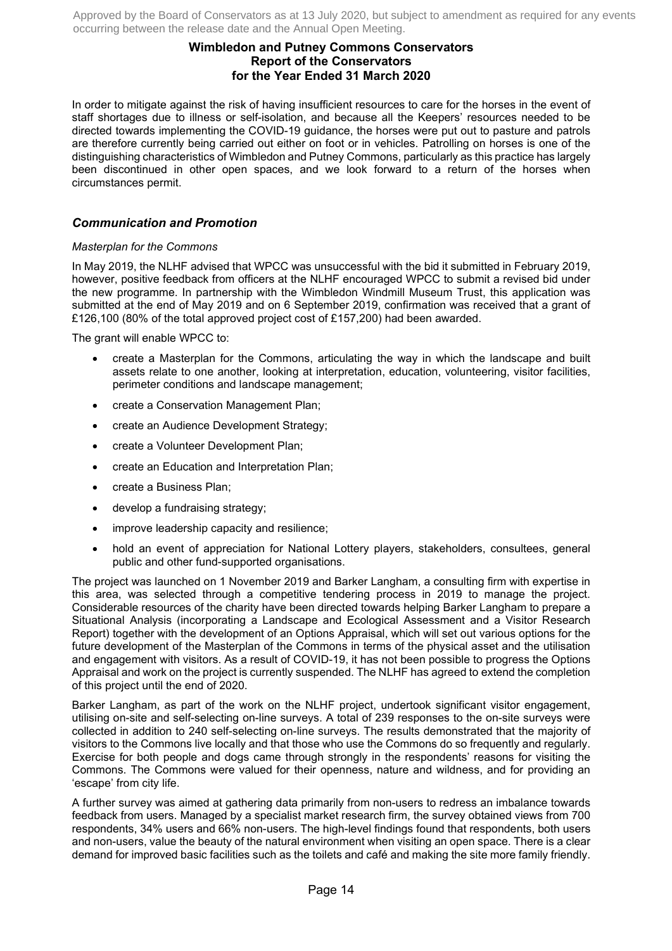# **Wimbledon and Putney Commons Conservators Report of the Conservators for the Year Ended 31 March 2020**

In order to mitigate against the risk of having insufficient resources to care for the horses in the event of staff shortages due to illness or self-isolation, and because all the Keepers' resources needed to be directed towards implementing the COVID-19 guidance, the horses were put out to pasture and patrols are therefore currently being carried out either on foot or in vehicles. Patrolling on horses is one of the distinguishing characteristics of Wimbledon and Putney Commons, particularly as this practice has largely been discontinued in other open spaces, and we look forward to a return of the horses when circumstances permit.

# *Communication and Promotion*

### *Masterplan for the Commons*

In May 2019, the NLHF advised that WPCC was unsuccessful with the bid it submitted in February 2019, however, positive feedback from officers at the NLHF encouraged WPCC to submit a revised bid under the new programme. In partnership with the Wimbledon Windmill Museum Trust, this application was submitted at the end of May 2019 and on 6 September 2019, confirmation was received that a grant of £126,100 (80% of the total approved project cost of £157,200) had been awarded.

The grant will enable WPCC to:

- create a Masterplan for the Commons, articulating the way in which the landscape and built assets relate to one another, looking at interpretation, education, volunteering, visitor facilities, perimeter conditions and landscape management;
- create a Conservation Management Plan;
- create an Audience Development Strategy;
- create a Volunteer Development Plan;
- create an Education and Interpretation Plan;
- create a Business Plan;
- develop a fundraising strategy;
- improve leadership capacity and resilience;
- hold an event of appreciation for National Lottery players, stakeholders, consultees, general public and other fund-supported organisations.

The project was launched on 1 November 2019 and Barker Langham, a consulting firm with expertise in this area, was selected through a competitive tendering process in 2019 to manage the project. Considerable resources of the charity have been directed towards helping Barker Langham to prepare a Situational Analysis (incorporating a Landscape and Ecological Assessment and a Visitor Research Report) together with the development of an Options Appraisal, which will set out various options for the future development of the Masterplan of the Commons in terms of the physical asset and the utilisation and engagement with visitors. As a result of COVID-19, it has not been possible to progress the Options Appraisal and work on the project is currently suspended. The NLHF has agreed to extend the completion of this project until the end of 2020.

Barker Langham, as part of the work on the NLHF project, undertook significant visitor engagement, utilising on-site and self-selecting on-line surveys. A total of 239 responses to the on-site surveys were collected in addition to 240 self-selecting on-line surveys. The results demonstrated that the majority of visitors to the Commons live locally and that those who use the Commons do so frequently and regularly. Exercise for both people and dogs came through strongly in the respondents' reasons for visiting the Commons. The Commons were valued for their openness, nature and wildness, and for providing an 'escape' from city life.

A further survey was aimed at gathering data primarily from non-users to redress an imbalance towards feedback from users. Managed by a specialist market research firm, the survey obtained views from 700 respondents, 34% users and 66% non-users. The high-level findings found that respondents, both users and non-users, value the beauty of the natural environment when visiting an open space. There is a clear demand for improved basic facilities such as the toilets and café and making the site more family friendly.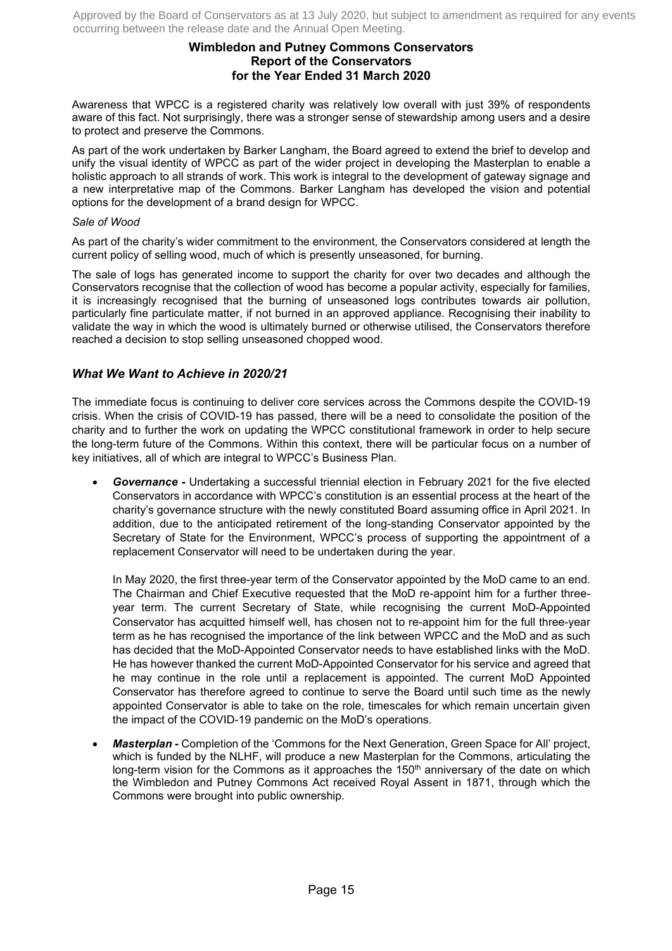# **Wimbledon and Putney Commons Conservators Report of the Conservators for the Year Ended 31 March 2020**

Awareness that WPCC is a registered charity was relatively low overall with just 39% of respondents aware of this fact. Not surprisingly, there was a stronger sense of stewardship among users and a desire to protect and preserve the Commons.

As part of the work undertaken by Barker Langham, the Board agreed to extend the brief to develop and unify the visual identity of WPCC as part of the wider project in developing the Masterplan to enable a holistic approach to all strands of work. This work is integral to the development of gateway signage and a new interpretative map of the Commons. Barker Langham has developed the vision and potential options for the development of a brand design for WPCC.

### *Sale of Wood*

As part of the charity's wider commitment to the environment, the Conservators considered at length the current policy of selling wood, much of which is presently unseasoned, for burning.

The sale of logs has generated income to support the charity for over two decades and although the Conservators recognise that the collection of wood has become a popular activity, especially for families, it is increasingly recognised that the burning of unseasoned logs contributes towards air pollution, particularly fine particulate matter, if not burned in an approved appliance. Recognising their inability to validate the way in which the wood is ultimately burned or otherwise utilised, the Conservators therefore reached a decision to stop selling unseasoned chopped wood.

# *What We Want to Achieve in 2020/21*

The immediate focus is continuing to deliver core services across the Commons despite the COVID-19 crisis. When the crisis of COVID-19 has passed, there will be a need to consolidate the position of the charity and to further the work on updating the WPCC constitutional framework in order to help secure the long-term future of the Commons. Within this context, there will be particular focus on a number of key initiatives, all of which are integral to WPCC's Business Plan.

• *Governance -* Undertaking a successful triennial election in February 2021 for the five elected Conservators in accordance with WPCC's constitution is an essential process at the heart of the charity's governance structure with the newly constituted Board assuming office in April 2021. In addition, due to the anticipated retirement of the long-standing Conservator appointed by the Secretary of State for the Environment, WPCC's process of supporting the appointment of a replacement Conservator will need to be undertaken during the year.

In May 2020, the first three-year term of the Conservator appointed by the MoD came to an end. The Chairman and Chief Executive requested that the MoD re-appoint him for a further threeyear term. The current Secretary of State, while recognising the current MoD-Appointed Conservator has acquitted himself well, has chosen not to re-appoint him for the full three-year term as he has recognised the importance of the link between WPCC and the MoD and as such has decided that the MoD-Appointed Conservator needs to have established links with the MoD. He has however thanked the current MoD-Appointed Conservator for his service and agreed that he may continue in the role until a replacement is appointed. The current MoD Appointed Conservator has therefore agreed to continue to serve the Board until such time as the newly appointed Conservator is able to take on the role, timescales for which remain uncertain given the impact of the COVID-19 pandemic on the MoD's operations.

• *Masterplan -* Completion of the 'Commons for the Next Generation, Green Space for All' project, which is funded by the NLHF, will produce a new Masterplan for the Commons, articulating the long-term vision for the Commons as it approaches the  $150<sup>th</sup>$  anniversary of the date on which the Wimbledon and Putney Commons Act received Royal Assent in 1871, through which the Commons were brought into public ownership.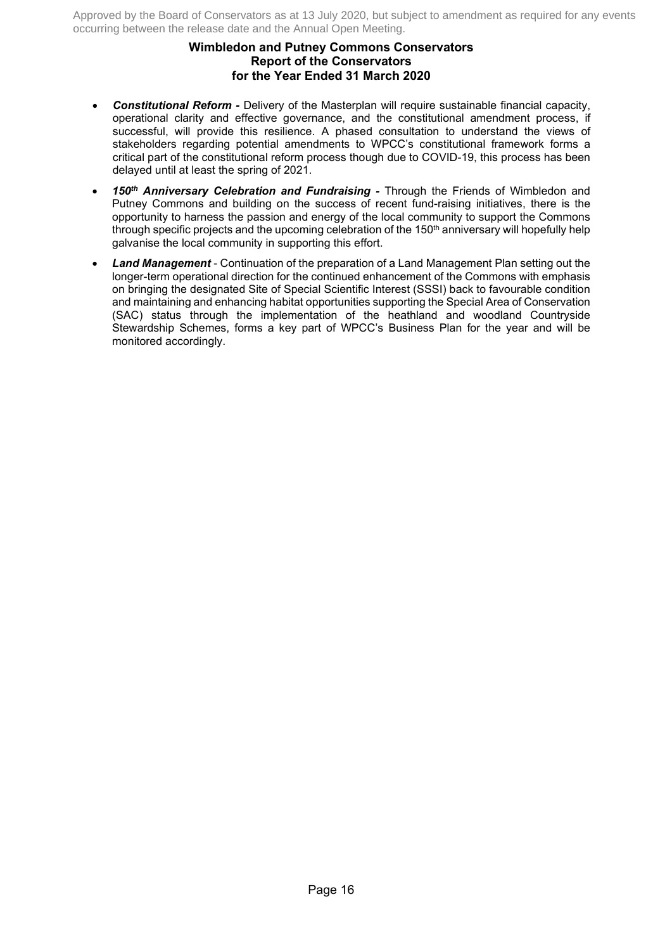# **Wimbledon and Putney Commons Conservators Report of the Conservators for the Year Ended 31 March 2020**

- *Constitutional Reform -* Delivery of the Masterplan will require sustainable financial capacity, operational clarity and effective governance, and the constitutional amendment process, if successful, will provide this resilience. A phased consultation to understand the views of stakeholders regarding potential amendments to WPCC's constitutional framework forms a critical part of the constitutional reform process though due to COVID-19, this process has been delayed until at least the spring of 2021.
- *150th Anniversary Celebration and Fundraising -* Through the Friends of Wimbledon and Putney Commons and building on the success of recent fund-raising initiatives, there is the opportunity to harness the passion and energy of the local community to support the Commons through specific projects and the upcoming celebration of the  $150<sup>th</sup>$  anniversary will hopefully help galvanise the local community in supporting this effort.
- *Land Management*  Continuation of the preparation of a Land Management Plan setting out the longer-term operational direction for the continued enhancement of the Commons with emphasis on bringing the designated Site of Special Scientific Interest (SSSI) back to favourable condition and maintaining and enhancing habitat opportunities supporting the Special Area of Conservation (SAC) status through the implementation of the heathland and woodland Countryside Stewardship Schemes, forms a key part of WPCC's Business Plan for the year and will be monitored accordingly.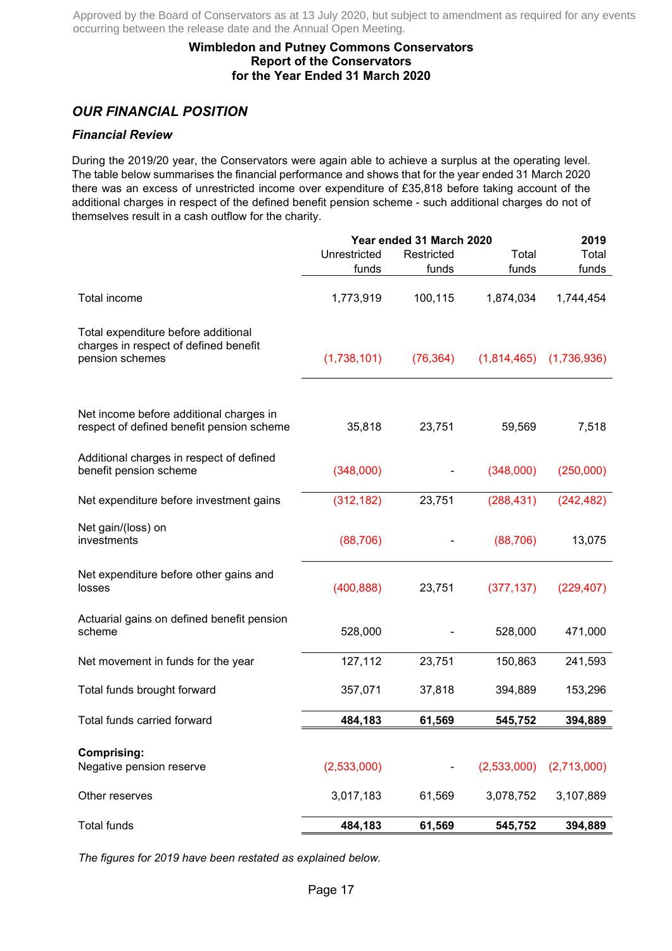# **Wimbledon and Putney Commons Conservators Report of the Conservators for the Year Ended 31 March 2020**

# *OUR FINANCIAL POSITION*

# *Financial Review*

During the 2019/20 year, the Conservators were again able to achieve a surplus at the operating level. The table below summarises the financial performance and shows that for the year ended 31 March 2020 there was an excess of unrestricted income over expenditure of £35,818 before taking account of the additional charges in respect of the defined benefit pension scheme - such additional charges do not of themselves result in a cash outflow for the charity.

|                                                                                                 |              | Year ended 31 March 2020 |             | 2019        |
|-------------------------------------------------------------------------------------------------|--------------|--------------------------|-------------|-------------|
|                                                                                                 | Unrestricted | Restricted               | Total       | Total       |
|                                                                                                 | funds        | funds                    | funds       | funds       |
| <b>Total income</b>                                                                             | 1,773,919    | 100,115                  | 1,874,034   | 1,744,454   |
| Total expenditure before additional<br>charges in respect of defined benefit<br>pension schemes | (1,738,101)  | (76, 364)                | (1,814,465) | (1,736,936) |
| Net income before additional charges in<br>respect of defined benefit pension scheme            | 35,818       | 23,751                   | 59,569      | 7,518       |
| Additional charges in respect of defined<br>benefit pension scheme                              | (348,000)    |                          | (348,000)   | (250,000)   |
| Net expenditure before investment gains                                                         | (312, 182)   | 23,751                   | (288, 431)  | (242, 482)  |
| Net gain/(loss) on<br>investments                                                               | (88, 706)    |                          | (88, 706)   | 13,075      |
| Net expenditure before other gains and<br>losses                                                | (400, 888)   | 23,751                   | (377, 137)  | (229, 407)  |
| Actuarial gains on defined benefit pension<br>scheme                                            | 528,000      |                          | 528,000     | 471,000     |
| Net movement in funds for the year                                                              | 127,112      | 23,751                   | 150,863     | 241,593     |
| Total funds brought forward                                                                     | 357,071      | 37,818                   | 394,889     | 153,296     |
| Total funds carried forward                                                                     | 484,183      | 61,569                   | 545,752     | 394,889     |
| <b>Comprising:</b><br>Negative pension reserve                                                  | (2,533,000)  |                          | (2,533,000) | (2,713,000) |
| Other reserves                                                                                  | 3,017,183    | 61,569                   | 3,078,752   | 3,107,889   |
| <b>Total funds</b>                                                                              | 484,183      | 61,569                   | 545,752     | 394,889     |

*The figures for 2019 have been restated as explained below.*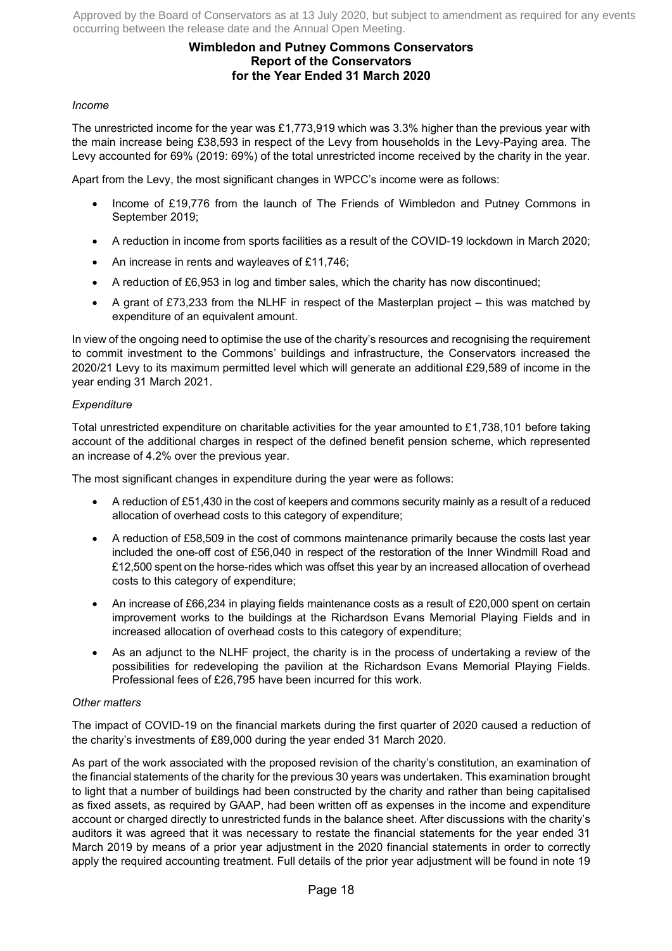# **Wimbledon and Putney Commons Conservators Report of the Conservators for the Year Ended 31 March 2020**

### *Income*

The unrestricted income for the year was £1,773,919 which was 3.3% higher than the previous year with the main increase being £38,593 in respect of the Levy from households in the Levy-Paying area. The Levy accounted for 69% (2019: 69%) of the total unrestricted income received by the charity in the year.

Apart from the Levy, the most significant changes in WPCC's income were as follows:

- Income of £19,776 from the launch of The Friends of Wimbledon and Putney Commons in September 2019;
- A reduction in income from sports facilities as a result of the COVID-19 lockdown in March 2020;
- An increase in rents and wayleaves of £11,746;
- A reduction of £6,953 in log and timber sales, which the charity has now discontinued;
- A grant of £73,233 from the NLHF in respect of the Masterplan project this was matched by expenditure of an equivalent amount.

In view of the ongoing need to optimise the use of the charity's resources and recognising the requirement to commit investment to the Commons' buildings and infrastructure, the Conservators increased the 2020/21 Levy to its maximum permitted level which will generate an additional £29,589 of income in the year ending 31 March 2021.

### *Expenditure*

Total unrestricted expenditure on charitable activities for the year amounted to £1,738,101 before taking account of the additional charges in respect of the defined benefit pension scheme, which represented an increase of 4.2% over the previous year.

The most significant changes in expenditure during the year were as follows:

- A reduction of £51,430 in the cost of keepers and commons security mainly as a result of a reduced allocation of overhead costs to this category of expenditure;
- A reduction of £58,509 in the cost of commons maintenance primarily because the costs last year included the one-off cost of £56,040 in respect of the restoration of the Inner Windmill Road and £12,500 spent on the horse-rides which was offset this year by an increased allocation of overhead costs to this category of expenditure;
- An increase of £66,234 in playing fields maintenance costs as a result of £20,000 spent on certain improvement works to the buildings at the Richardson Evans Memorial Playing Fields and in increased allocation of overhead costs to this category of expenditure;
- As an adjunct to the NLHF project, the charity is in the process of undertaking a review of the possibilities for redeveloping the pavilion at the Richardson Evans Memorial Playing Fields. Professional fees of £26,795 have been incurred for this work.

#### *Other matters*

The impact of COVID-19 on the financial markets during the first quarter of 2020 caused a reduction of the charity's investments of £89,000 during the year ended 31 March 2020.

As part of the work associated with the proposed revision of the charity's constitution, an examination of the financial statements of the charity for the previous 30 years was undertaken. This examination brought to light that a number of buildings had been constructed by the charity and rather than being capitalised as fixed assets, as required by GAAP, had been written off as expenses in the income and expenditure account or charged directly to unrestricted funds in the balance sheet. After discussions with the charity's auditors it was agreed that it was necessary to restate the financial statements for the year ended 31 March 2019 by means of a prior year adjustment in the 2020 financial statements in order to correctly apply the required accounting treatment. Full details of the prior year adjustment will be found in note 19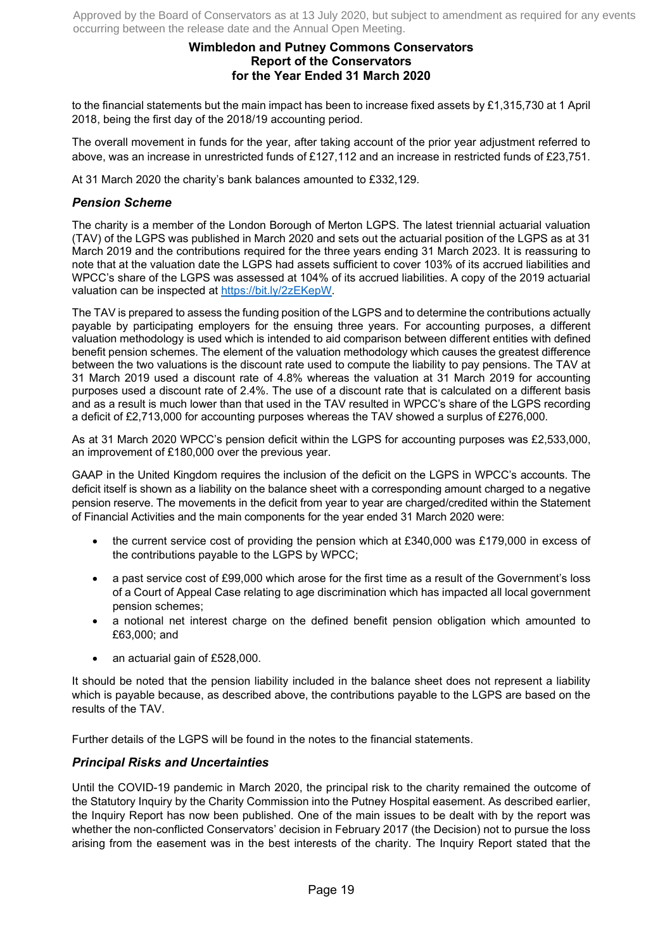# **Wimbledon and Putney Commons Conservators Report of the Conservators for the Year Ended 31 March 2020**

to the financial statements but the main impact has been to increase fixed assets by £1,315,730 at 1 April 2018, being the first day of the 2018/19 accounting period.

The overall movement in funds for the year, after taking account of the prior year adjustment referred to above, was an increase in unrestricted funds of £127,112 and an increase in restricted funds of £23,751.

At 31 March 2020 the charity's bank balances amounted to £332,129.

# *Pension Scheme*

The charity is a member of the London Borough of Merton LGPS. The latest triennial actuarial valuation (TAV) of the LGPS was published in March 2020 and sets out the actuarial position of the LGPS as at 31 March 2019 and the contributions required for the three years ending 31 March 2023. It is reassuring to note that at the valuation date the LGPS had assets sufficient to cover 103% of its accrued liabilities and WPCC's share of the LGPS was assessed at 104% of its accrued liabilities. A copy of the 2019 actuarial valuation can be inspected at https://bit.ly/2zEKepW.

The TAV is prepared to assess the funding position of the LGPS and to determine the contributions actually payable by participating employers for the ensuing three years. For accounting purposes, a different valuation methodology is used which is intended to aid comparison between different entities with defined benefit pension schemes. The element of the valuation methodology which causes the greatest difference between the two valuations is the discount rate used to compute the liability to pay pensions. The TAV at 31 March 2019 used a discount rate of 4.8% whereas the valuation at 31 March 2019 for accounting purposes used a discount rate of 2.4%. The use of a discount rate that is calculated on a different basis and as a result is much lower than that used in the TAV resulted in WPCC's share of the LGPS recording a deficit of £2,713,000 for accounting purposes whereas the TAV showed a surplus of £276,000.

As at 31 March 2020 WPCC's pension deficit within the LGPS for accounting purposes was £2,533,000, an improvement of £180,000 over the previous year.

GAAP in the United Kingdom requires the inclusion of the deficit on the LGPS in WPCC's accounts. The deficit itself is shown as a liability on the balance sheet with a corresponding amount charged to a negative pension reserve. The movements in the deficit from year to year are charged/credited within the Statement of Financial Activities and the main components for the year ended 31 March 2020 were:

- the current service cost of providing the pension which at £340,000 was £179,000 in excess of the contributions payable to the LGPS by WPCC;
- a past service cost of £99,000 which arose for the first time as a result of the Government's loss of a Court of Appeal Case relating to age discrimination which has impacted all local government pension schemes;
- a notional net interest charge on the defined benefit pension obligation which amounted to £63,000; and
- an actuarial gain of £528,000.

It should be noted that the pension liability included in the balance sheet does not represent a liability which is payable because, as described above, the contributions payable to the LGPS are based on the results of the TAV.

Further details of the LGPS will be found in the notes to the financial statements.

### *Principal Risks and Uncertainties*

Until the COVID-19 pandemic in March 2020, the principal risk to the charity remained the outcome of the Statutory Inquiry by the Charity Commission into the Putney Hospital easement. As described earlier, the Inquiry Report has now been published. One of the main issues to be dealt with by the report was whether the non-conflicted Conservators' decision in February 2017 (the Decision) not to pursue the loss arising from the easement was in the best interests of the charity. The Inquiry Report stated that the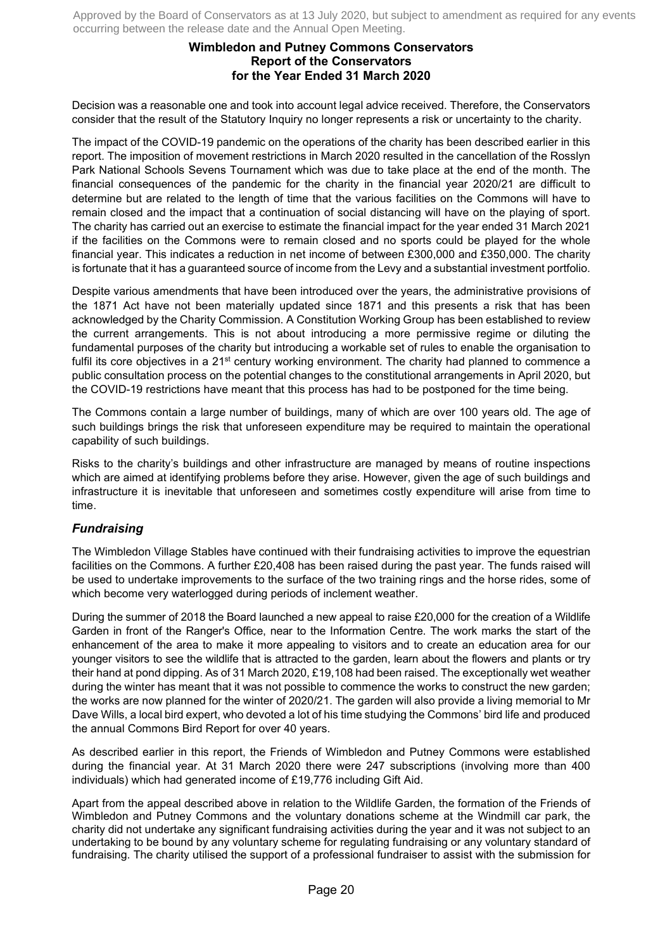# **Wimbledon and Putney Commons Conservators Report of the Conservators for the Year Ended 31 March 2020**

Decision was a reasonable one and took into account legal advice received. Therefore, the Conservators consider that the result of the Statutory Inquiry no longer represents a risk or uncertainty to the charity.

The impact of the COVID-19 pandemic on the operations of the charity has been described earlier in this report. The imposition of movement restrictions in March 2020 resulted in the cancellation of the Rosslyn Park National Schools Sevens Tournament which was due to take place at the end of the month. The financial consequences of the pandemic for the charity in the financial year 2020/21 are difficult to determine but are related to the length of time that the various facilities on the Commons will have to remain closed and the impact that a continuation of social distancing will have on the playing of sport. The charity has carried out an exercise to estimate the financial impact for the year ended 31 March 2021 if the facilities on the Commons were to remain closed and no sports could be played for the whole financial year. This indicates a reduction in net income of between £300,000 and £350,000. The charity is fortunate that it has a guaranteed source of income from the Levy and a substantial investment portfolio.

Despite various amendments that have been introduced over the years, the administrative provisions of the 1871 Act have not been materially updated since 1871 and this presents a risk that has been acknowledged by the Charity Commission. A Constitution Working Group has been established to review the current arrangements. This is not about introducing a more permissive regime or diluting the fundamental purposes of the charity but introducing a workable set of rules to enable the organisation to fulfil its core objectives in a 21<sup>st</sup> century working environment. The charity had planned to commence a public consultation process on the potential changes to the constitutional arrangements in April 2020, but the COVID-19 restrictions have meant that this process has had to be postponed for the time being.

The Commons contain a large number of buildings, many of which are over 100 years old. The age of such buildings brings the risk that unforeseen expenditure may be required to maintain the operational capability of such buildings.

Risks to the charity's buildings and other infrastructure are managed by means of routine inspections which are aimed at identifying problems before they arise. However, given the age of such buildings and infrastructure it is inevitable that unforeseen and sometimes costly expenditure will arise from time to time.

# *Fundraising*

The Wimbledon Village Stables have continued with their fundraising activities to improve the equestrian facilities on the Commons. A further £20,408 has been raised during the past year. The funds raised will be used to undertake improvements to the surface of the two training rings and the horse rides, some of which become very waterlogged during periods of inclement weather.

During the summer of 2018 the Board launched a new appeal to raise £20,000 for the creation of a Wildlife Garden in front of the Ranger's Office, near to the Information Centre. The work marks the start of the enhancement of the area to make it more appealing to visitors and to create an education area for our younger visitors to see the wildlife that is attracted to the garden, learn about the flowers and plants or try their hand at pond dipping. As of 31 March 2020, £19,108 had been raised. The exceptionally wet weather during the winter has meant that it was not possible to commence the works to construct the new garden; the works are now planned for the winter of 2020/21. The garden will also provide a living memorial to Mr Dave Wills, a local bird expert, who devoted a lot of his time studying the Commons' bird life and produced the annual Commons Bird Report for over 40 years.

As described earlier in this report, the Friends of Wimbledon and Putney Commons were established during the financial year. At 31 March 2020 there were 247 subscriptions (involving more than 400 individuals) which had generated income of £19,776 including Gift Aid.

Apart from the appeal described above in relation to the Wildlife Garden, the formation of the Friends of Wimbledon and Putney Commons and the voluntary donations scheme at the Windmill car park, the charity did not undertake any significant fundraising activities during the year and it was not subject to an undertaking to be bound by any voluntary scheme for regulating fundraising or any voluntary standard of fundraising. The charity utilised the support of a professional fundraiser to assist with the submission for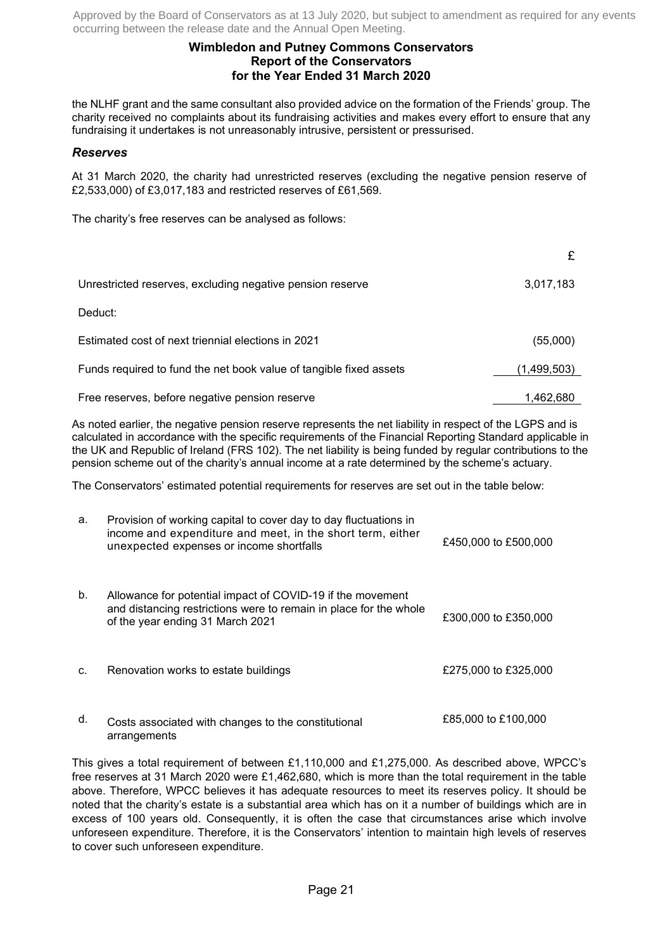# **Wimbledon and Putney Commons Conservators Report of the Conservators for the Year Ended 31 March 2020**

the NLHF grant and the same consultant also provided advice on the formation of the Friends' group. The charity received no complaints about its fundraising activities and makes every effort to ensure that any fundraising it undertakes is not unreasonably intrusive, persistent or pressurised.

### *Reserves*

At 31 March 2020, the charity had unrestricted reserves (excluding the negative pension reserve of £2,533,000) of £3,017,183 and restricted reserves of £61,569.

The charity's free reserves can be analysed as follows:

| Unrestricted reserves, excluding negative pension reserve          | 3,017,183   |
|--------------------------------------------------------------------|-------------|
| Deduct:                                                            |             |
| Estimated cost of next triennial elections in 2021                 | (55,000)    |
| Funds required to fund the net book value of tangible fixed assets | (1,499,503) |
| Free reserves, before negative pension reserve                     | 1,462,680   |

As noted earlier, the negative pension reserve represents the net liability in respect of the LGPS and is calculated in accordance with the specific requirements of the Financial Reporting Standard applicable in the UK and Republic of Ireland (FRS 102). The net liability is being funded by regular contributions to the pension scheme out of the charity's annual income at a rate determined by the scheme's actuary.

The Conservators' estimated potential requirements for reserves are set out in the table below:

| а. | Provision of working capital to cover day to day fluctuations in<br>income and expenditure and meet, in the short term, either<br>unexpected expenses or income shortfalls | £450,000 to £500,000 |
|----|----------------------------------------------------------------------------------------------------------------------------------------------------------------------------|----------------------|
| b. | Allowance for potential impact of COVID-19 if the movement<br>and distancing restrictions were to remain in place for the whole<br>of the year ending 31 March 2021        | £300,000 to £350,000 |
| C. | Renovation works to estate buildings                                                                                                                                       | £275,000 to £325,000 |
| d. | Costs associated with changes to the constitutional<br>arrangements                                                                                                        | £85,000 to £100,000  |

This gives a total requirement of between £1,110,000 and £1,275,000. As described above, WPCC's free reserves at 31 March 2020 were £1,462,680, which is more than the total requirement in the table above. Therefore, WPCC believes it has adequate resources to meet its reserves policy. It should be noted that the charity's estate is a substantial area which has on it a number of buildings which are in excess of 100 years old. Consequently, it is often the case that circumstances arise which involve unforeseen expenditure. Therefore, it is the Conservators' intention to maintain high levels of reserves to cover such unforeseen expenditure.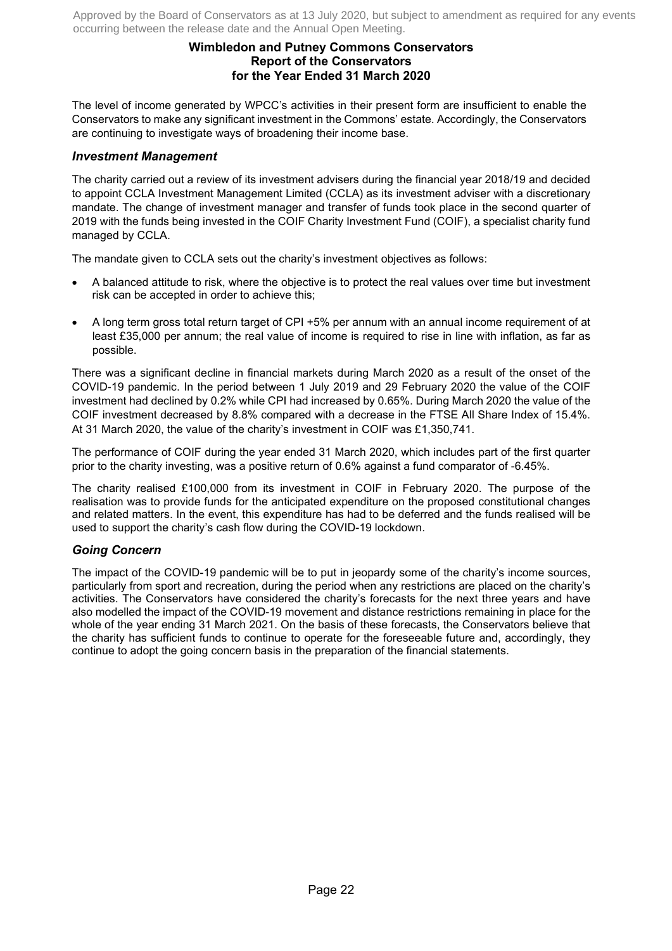# **Wimbledon and Putney Commons Conservators Report of the Conservators for the Year Ended 31 March 2020**

The level of income generated by WPCC's activities in their present form are insufficient to enable the Conservators to make any significant investment in the Commons' estate. Accordingly, the Conservators are continuing to investigate ways of broadening their income base.

### *Investment Management*

The charity carried out a review of its investment advisers during the financial year 2018/19 and decided to appoint CCLA Investment Management Limited (CCLA) as its investment adviser with a discretionary mandate. The change of investment manager and transfer of funds took place in the second quarter of 2019 with the funds being invested in the COIF Charity Investment Fund (COIF), a specialist charity fund managed by CCLA.

The mandate given to CCLA sets out the charity's investment objectives as follows:

- A balanced attitude to risk, where the objective is to protect the real values over time but investment risk can be accepted in order to achieve this;
- A long term gross total return target of CPI +5% per annum with an annual income requirement of at least £35,000 per annum; the real value of income is required to rise in line with inflation, as far as possible.

There was a significant decline in financial markets during March 2020 as a result of the onset of the COVID-19 pandemic. In the period between 1 July 2019 and 29 February 2020 the value of the COIF investment had declined by 0.2% while CPI had increased by 0.65%. During March 2020 the value of the COIF investment decreased by 8.8% compared with a decrease in the FTSE All Share Index of 15.4%. At 31 March 2020, the value of the charity's investment in COIF was £1,350,741.

The performance of COIF during the year ended 31 March 2020, which includes part of the first quarter prior to the charity investing, was a positive return of 0.6% against a fund comparator of -6.45%.

The charity realised £100,000 from its investment in COIF in February 2020. The purpose of the realisation was to provide funds for the anticipated expenditure on the proposed constitutional changes and related matters. In the event, this expenditure has had to be deferred and the funds realised will be used to support the charity's cash flow during the COVID-19 lockdown.

# *Going Concern*

The impact of the COVID-19 pandemic will be to put in jeopardy some of the charity's income sources, particularly from sport and recreation, during the period when any restrictions are placed on the charity's activities. The Conservators have considered the charity's forecasts for the next three years and have also modelled the impact of the COVID-19 movement and distance restrictions remaining in place for the whole of the year ending 31 March 2021. On the basis of these forecasts, the Conservators believe that the charity has sufficient funds to continue to operate for the foreseeable future and, accordingly, they continue to adopt the going concern basis in the preparation of the financial statements.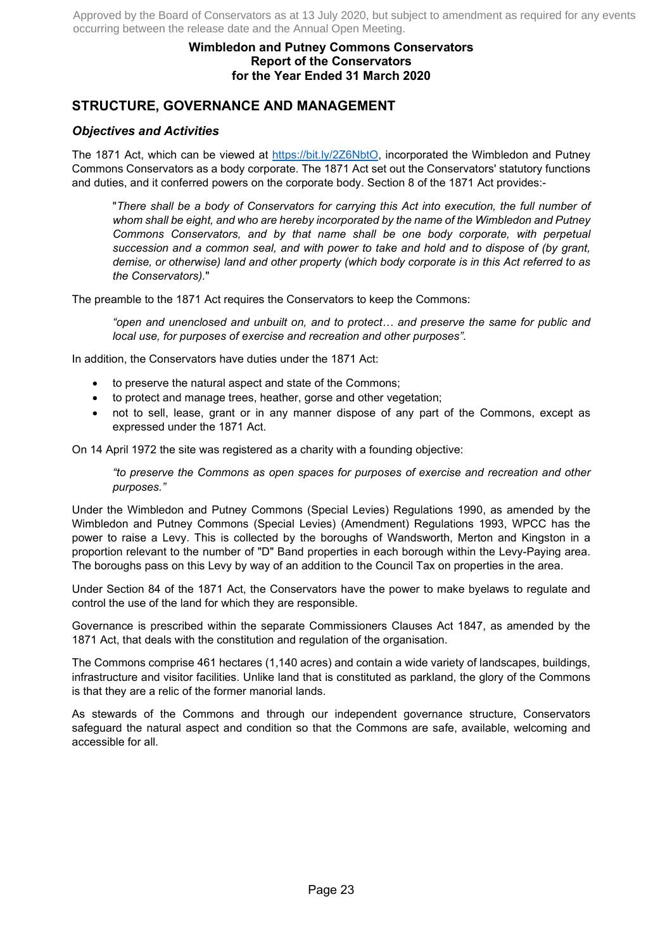# **Wimbledon and Putney Commons Conservators Report of the Conservators for the Year Ended 31 March 2020**

# **STRUCTURE, GOVERNANCE AND MANAGEMENT**

# *Objectives and Activities*

The 1871 Act, which can be viewed at https://bit.ly/2Z6NbtO, incorporated the Wimbledon and Putney Commons Conservators as a body corporate. The 1871 Act set out the Conservators' statutory functions and duties, and it conferred powers on the corporate body. Section 8 of the 1871 Act provides:-

"*There shall be a body of Conservators for carrying this Act into execution, the full number of whom shall be eight, and who are hereby incorporated by the name of the Wimbledon and Putney Commons Conservators, and by that name shall be one body corporate, with perpetual succession and a common seal, and with power to take and hold and to dispose of (by grant, demise, or otherwise) land and other property (which body corporate is in this Act referred to as the Conservators).*"

The preamble to the 1871 Act requires the Conservators to keep the Commons:

"open and unenclosed and unbuilt on, and to protect... and preserve the same for public and *local use, for purposes of exercise and recreation and other purposes".*

In addition, the Conservators have duties under the 1871 Act:

- to preserve the natural aspect and state of the Commons;
- to protect and manage trees, heather, gorse and other vegetation;
- not to sell, lease, grant or in any manner dispose of any part of the Commons, except as expressed under the 1871 Act.

On 14 April 1972 the site was registered as a charity with a founding objective:

*"to preserve the Commons as open spaces for purposes of exercise and recreation and other purposes."* 

Under the Wimbledon and Putney Commons (Special Levies) Regulations 1990, as amended by the Wimbledon and Putney Commons (Special Levies) (Amendment) Regulations 1993, WPCC has the power to raise a Levy. This is collected by the boroughs of Wandsworth, Merton and Kingston in a proportion relevant to the number of "D" Band properties in each borough within the Levy-Paying area. The boroughs pass on this Levy by way of an addition to the Council Tax on properties in the area.

Under Section 84 of the 1871 Act, the Conservators have the power to make byelaws to regulate and control the use of the land for which they are responsible.

Governance is prescribed within the separate Commissioners Clauses Act 1847, as amended by the 1871 Act, that deals with the constitution and regulation of the organisation.

The Commons comprise 461 hectares (1,140 acres) and contain a wide variety of landscapes, buildings, infrastructure and visitor facilities. Unlike land that is constituted as parkland, the glory of the Commons is that they are a relic of the former manorial lands.

As stewards of the Commons and through our independent governance structure, Conservators safeguard the natural aspect and condition so that the Commons are safe, available, welcoming and accessible for all.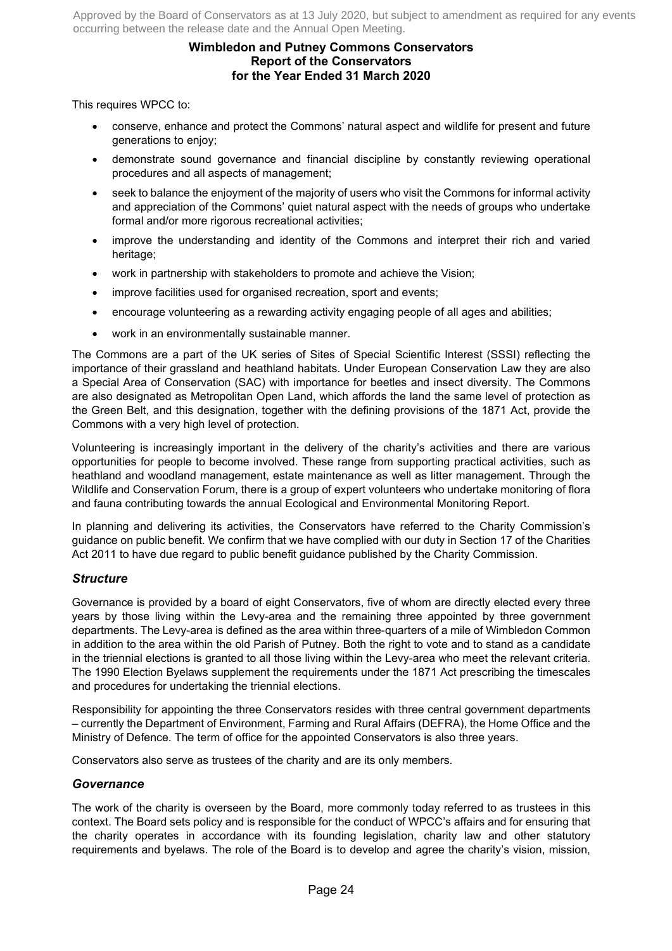# **Wimbledon and Putney Commons Conservators Report of the Conservators for the Year Ended 31 March 2020**

This requires WPCC to:

- conserve, enhance and protect the Commons' natural aspect and wildlife for present and future generations to enjoy;
- demonstrate sound governance and financial discipline by constantly reviewing operational procedures and all aspects of management;
- seek to balance the enjoyment of the majority of users who visit the Commons for informal activity and appreciation of the Commons' quiet natural aspect with the needs of groups who undertake formal and/or more rigorous recreational activities;
- improve the understanding and identity of the Commons and interpret their rich and varied heritage;
- work in partnership with stakeholders to promote and achieve the Vision;
- improve facilities used for organised recreation, sport and events;
- encourage volunteering as a rewarding activity engaging people of all ages and abilities;
- work in an environmentally sustainable manner.

The Commons are a part of the UK series of Sites of Special Scientific Interest (SSSI) reflecting the importance of their grassland and heathland habitats. Under European Conservation Law they are also a Special Area of Conservation (SAC) with importance for beetles and insect diversity. The Commons are also designated as Metropolitan Open Land, which affords the land the same level of protection as the Green Belt, and this designation, together with the defining provisions of the 1871 Act, provide the Commons with a very high level of protection.

Volunteering is increasingly important in the delivery of the charity's activities and there are various opportunities for people to become involved. These range from supporting practical activities, such as heathland and woodland management, estate maintenance as well as litter management. Through the Wildlife and Conservation Forum, there is a group of expert volunteers who undertake monitoring of flora and fauna contributing towards the annual Ecological and Environmental Monitoring Report.

In planning and delivering its activities, the Conservators have referred to the Charity Commission's guidance on public benefit. We confirm that we have complied with our duty in Section 17 of the Charities Act 2011 to have due regard to public benefit guidance published by the Charity Commission.

### *Structure*

Governance is provided by a board of eight Conservators, five of whom are directly elected every three years by those living within the Levy-area and the remaining three appointed by three government departments. The Levy-area is defined as the area within three-quarters of a mile of Wimbledon Common in addition to the area within the old Parish of Putney. Both the right to vote and to stand as a candidate in the triennial elections is granted to all those living within the Levy-area who meet the relevant criteria. The 1990 Election Byelaws supplement the requirements under the 1871 Act prescribing the timescales and procedures for undertaking the triennial elections.

Responsibility for appointing the three Conservators resides with three central government departments – currently the Department of Environment, Farming and Rural Affairs (DEFRA), the Home Office and the Ministry of Defence. The term of office for the appointed Conservators is also three years.

Conservators also serve as trustees of the charity and are its only members.

### *Governance*

The work of the charity is overseen by the Board, more commonly today referred to as trustees in this context. The Board sets policy and is responsible for the conduct of WPCC's affairs and for ensuring that the charity operates in accordance with its founding legislation, charity law and other statutory requirements and byelaws. The role of the Board is to develop and agree the charity's vision, mission,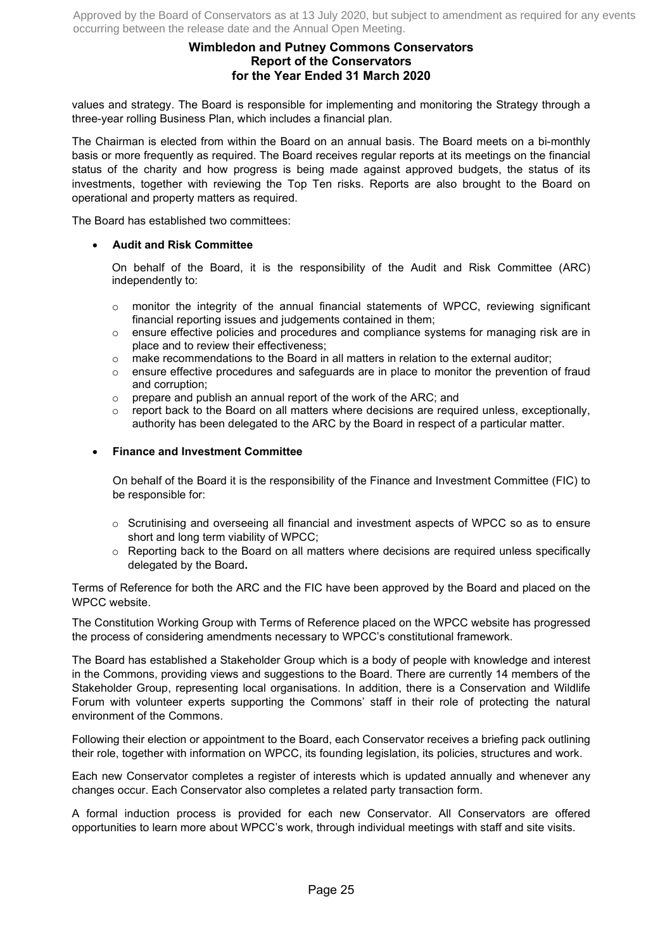# **Wimbledon and Putney Commons Conservators Report of the Conservators for the Year Ended 31 March 2020**

values and strategy. The Board is responsible for implementing and monitoring the Strategy through a three-year rolling Business Plan, which includes a financial plan.

The Chairman is elected from within the Board on an annual basis. The Board meets on a bi-monthly basis or more frequently as required. The Board receives regular reports at its meetings on the financial status of the charity and how progress is being made against approved budgets, the status of its investments, together with reviewing the Top Ten risks. Reports are also brought to the Board on operational and property matters as required.

The Board has established two committees:

### • **Audit and Risk Committee**

On behalf of the Board, it is the responsibility of the Audit and Risk Committee (ARC) independently to:

- $\circ$  monitor the integrity of the annual financial statements of WPCC, reviewing significant financial reporting issues and judgements contained in them;
- o ensure effective policies and procedures and compliance systems for managing risk are in place and to review their effectiveness;
- $\circ$  make recommendations to the Board in all matters in relation to the external auditor:
- $\circ$  ensure effective procedures and safeguards are in place to monitor the prevention of fraud and corruption;
- o prepare and publish an annual report of the work of the ARC; and
- $\circ$  report back to the Board on all matters where decisions are required unless, exceptionally, authority has been delegated to the ARC by the Board in respect of a particular matter.

### • **Finance and Investment Committee**

On behalf of the Board it is the responsibility of the Finance and Investment Committee (FIC) to be responsible for:

- o Scrutinising and overseeing all financial and investment aspects of WPCC so as to ensure short and long term viability of WPCC;
- $\circ$  Reporting back to the Board on all matters where decisions are required unless specifically delegated by the Board**.**

Terms of Reference for both the ARC and the FIC have been approved by the Board and placed on the WPCC website.

The Constitution Working Group with Terms of Reference placed on the WPCC website has progressed the process of considering amendments necessary to WPCC's constitutional framework.

The Board has established a Stakeholder Group which is a body of people with knowledge and interest in the Commons, providing views and suggestions to the Board. There are currently 14 members of the Stakeholder Group, representing local organisations. In addition, there is a Conservation and Wildlife Forum with volunteer experts supporting the Commons' staff in their role of protecting the natural environment of the Commons.

Following their election or appointment to the Board, each Conservator receives a briefing pack outlining their role, together with information on WPCC, its founding legislation, its policies, structures and work.

Each new Conservator completes a register of interests which is updated annually and whenever any changes occur. Each Conservator also completes a related party transaction form.

A formal induction process is provided for each new Conservator. All Conservators are offered opportunities to learn more about WPCC's work, through individual meetings with staff and site visits.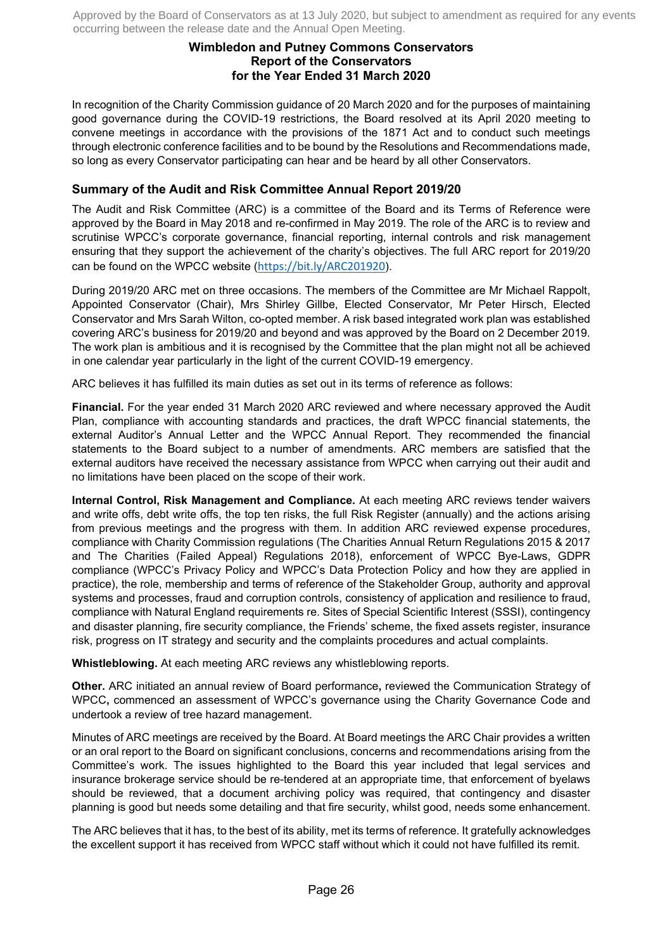# **Wimbledon and Putney Commons Conservators Report of the Conservators for the Year Ended 31 March 2020**

In recognition of the Charity Commission guidance of 20 March 2020 and for the purposes of maintaining good governance during the COVID-19 restrictions, the Board resolved at its April 2020 meeting to convene meetings in accordance with the provisions of the 1871 Act and to conduct such meetings through electronic conference facilities and to be bound by the Resolutions and Recommendations made, so long as every Conservator participating can hear and be heard by all other Conservators.

# **Summary of the Audit and Risk Committee Annual Report 2019/20**

The Audit and Risk Committee (ARC) is a committee of the Board and its Terms of Reference were approved by the Board in May 2018 and re-confirmed in May 2019. The role of the ARC is to review and scrutinise WPCC's corporate governance, financial reporting, internal controls and risk management ensuring that they support the achievement of the charity's objectives. The full ARC report for 2019/20 can be found on the WPCC website (https://bit.ly/ARC201920).

During 2019/20 ARC met on three occasions. The members of the Committee are Mr Michael Rappolt, Appointed Conservator (Chair), Mrs Shirley Gillbe, Elected Conservator, Mr Peter Hirsch, Elected Conservator and Mrs Sarah Wilton, co-opted member. A risk based integrated work plan was established covering ARC's business for 2019/20 and beyond and was approved by the Board on 2 December 2019. The work plan is ambitious and it is recognised by the Committee that the plan might not all be achieved in one calendar year particularly in the light of the current COVID-19 emergency.

ARC believes it has fulfilled its main duties as set out in its terms of reference as follows:

**Financial.** For the year ended 31 March 2020 ARC reviewed and where necessary approved the Audit Plan, compliance with accounting standards and practices, the draft WPCC financial statements, the external Auditor's Annual Letter and the WPCC Annual Report. They recommended the financial statements to the Board subject to a number of amendments. ARC members are satisfied that the external auditors have received the necessary assistance from WPCC when carrying out their audit and no limitations have been placed on the scope of their work.

**Internal Control, Risk Management and Compliance.** At each meeting ARC reviews tender waivers and write offs, debt write offs, the top ten risks, the full Risk Register (annually) and the actions arising from previous meetings and the progress with them. In addition ARC reviewed expense procedures, compliance with Charity Commission regulations (The Charities Annual Return Regulations 2015 & 2017 and The Charities (Failed Appeal) Regulations 2018), enforcement of WPCC Bye-Laws, GDPR compliance (WPCC's Privacy Policy and WPCC's Data Protection Policy and how they are applied in practice), the role, membership and terms of reference of the Stakeholder Group, authority and approval systems and processes, fraud and corruption controls, consistency of application and resilience to fraud, compliance with Natural England requirements re. Sites of Special Scientific Interest (SSSI), contingency and disaster planning, fire security compliance, the Friends' scheme, the fixed assets register, insurance risk, progress on IT strategy and security and the complaints procedures and actual complaints.

**Whistleblowing.** At each meeting ARC reviews any whistleblowing reports.

**Other.** ARC initiated an annual review of Board performance**,** reviewed the Communication Strategy of WPCC**,** commenced an assessment of WPCC's governance using the Charity Governance Code and undertook a review of tree hazard management.

Minutes of ARC meetings are received by the Board. At Board meetings the ARC Chair provides a written or an oral report to the Board on significant conclusions, concerns and recommendations arising from the Committee's work. The issues highlighted to the Board this year included that legal services and insurance brokerage service should be re-tendered at an appropriate time, that enforcement of byelaws should be reviewed, that a document archiving policy was required, that contingency and disaster planning is good but needs some detailing and that fire security, whilst good, needs some enhancement.

The ARC believes that it has, to the best of its ability, met its terms of reference. It gratefully acknowledges the excellent support it has received from WPCC staff without which it could not have fulfilled its remit.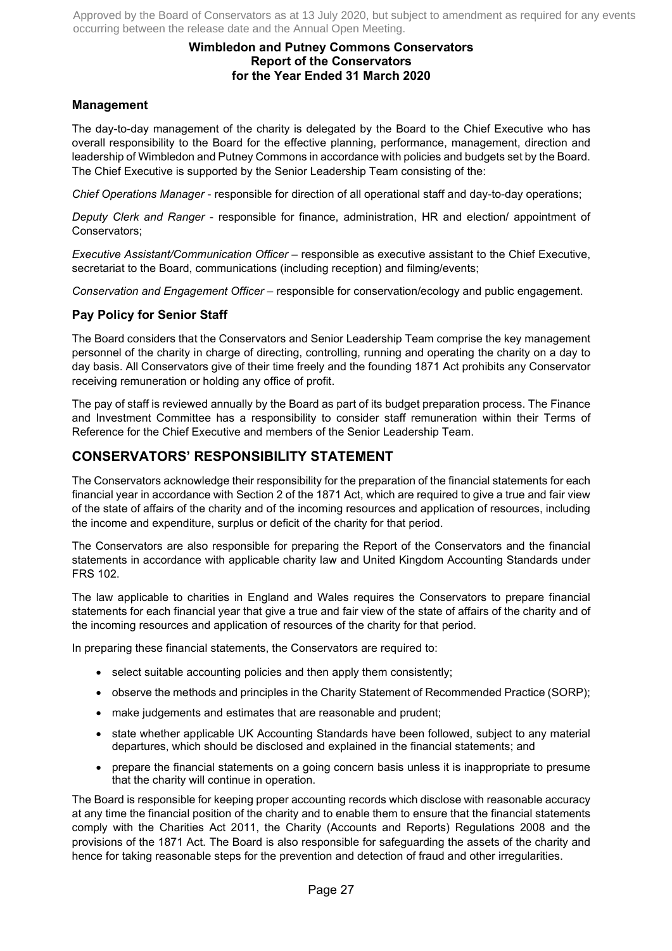# **Wimbledon and Putney Commons Conservators Report of the Conservators for the Year Ended 31 March 2020**

# **Management**

The day-to-day management of the charity is delegated by the Board to the Chief Executive who has overall responsibility to the Board for the effective planning, performance, management, direction and leadership of Wimbledon and Putney Commons in accordance with policies and budgets set by the Board. The Chief Executive is supported by the Senior Leadership Team consisting of the:

*Chief Operations Manager* - responsible for direction of all operational staff and day-to-day operations;

*Deputy Clerk and Ranger* - responsible for finance, administration, HR and election/ appointment of Conservators;

*Executive Assistant/Communication Officer* – responsible as executive assistant to the Chief Executive, secretariat to the Board, communications (including reception) and filming/events;

*Conservation and Engagement Officer* – responsible for conservation/ecology and public engagement.

# **Pay Policy for Senior Staff**

The Board considers that the Conservators and Senior Leadership Team comprise the key management personnel of the charity in charge of directing, controlling, running and operating the charity on a day to day basis. All Conservators give of their time freely and the founding 1871 Act prohibits any Conservator receiving remuneration or holding any office of profit.

The pay of staff is reviewed annually by the Board as part of its budget preparation process. The Finance and Investment Committee has a responsibility to consider staff remuneration within their Terms of Reference for the Chief Executive and members of the Senior Leadership Team.

# **CONSERVATORS' RESPONSIBILITY STATEMENT**

The Conservators acknowledge their responsibility for the preparation of the financial statements for each financial year in accordance with Section 2 of the 1871 Act, which are required to give a true and fair view of the state of affairs of the charity and of the incoming resources and application of resources, including the income and expenditure, surplus or deficit of the charity for that period.

The Conservators are also responsible for preparing the Report of the Conservators and the financial statements in accordance with applicable charity law and United Kingdom Accounting Standards under FRS 102.

The law applicable to charities in England and Wales requires the Conservators to prepare financial statements for each financial year that give a true and fair view of the state of affairs of the charity and of the incoming resources and application of resources of the charity for that period.

In preparing these financial statements, the Conservators are required to:

- select suitable accounting policies and then apply them consistently;
- observe the methods and principles in the Charity Statement of Recommended Practice (SORP);
- make judgements and estimates that are reasonable and prudent;
- state whether applicable UK Accounting Standards have been followed, subject to any material departures, which should be disclosed and explained in the financial statements; and
- prepare the financial statements on a going concern basis unless it is inappropriate to presume that the charity will continue in operation.

The Board is responsible for keeping proper accounting records which disclose with reasonable accuracy at any time the financial position of the charity and to enable them to ensure that the financial statements comply with the Charities Act 2011, the Charity (Accounts and Reports) Regulations 2008 and the provisions of the 1871 Act. The Board is also responsible for safeguarding the assets of the charity and hence for taking reasonable steps for the prevention and detection of fraud and other irregularities.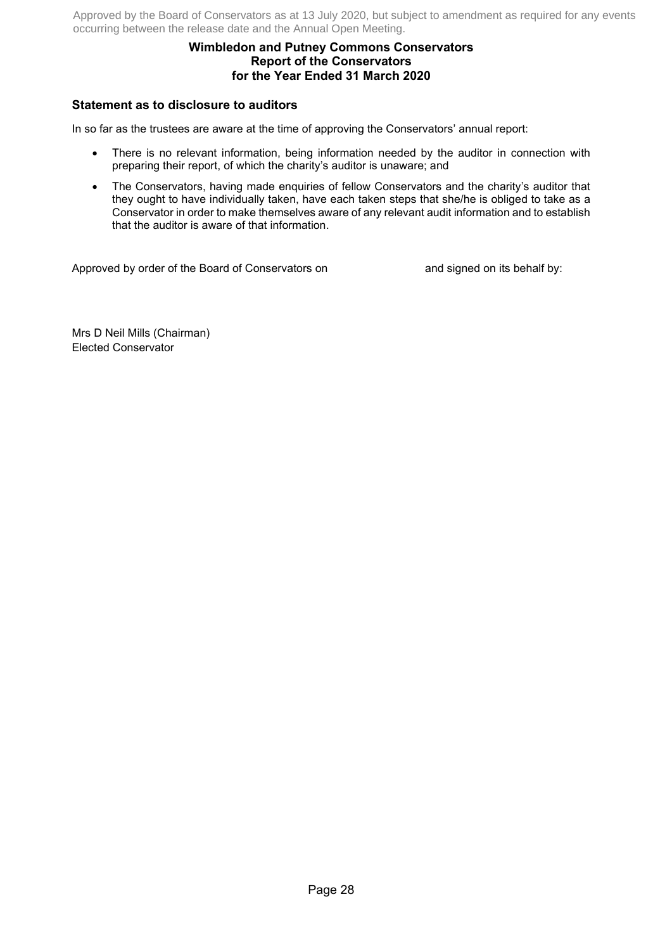# **Wimbledon and Putney Commons Conservators Report of the Conservators for the Year Ended 31 March 2020**

# **Statement as to disclosure to auditors**

In so far as the trustees are aware at the time of approving the Conservators' annual report:

- There is no relevant information, being information needed by the auditor in connection with preparing their report, of which the charity's auditor is unaware; and
- The Conservators, having made enquiries of fellow Conservators and the charity's auditor that they ought to have individually taken, have each taken steps that she/he is obliged to take as a Conservator in order to make themselves aware of any relevant audit information and to establish that the auditor is aware of that information.

Approved by order of the Board of Conservators on and signed on its behalf by:

Mrs D Neil Mills (Chairman) Elected Conservator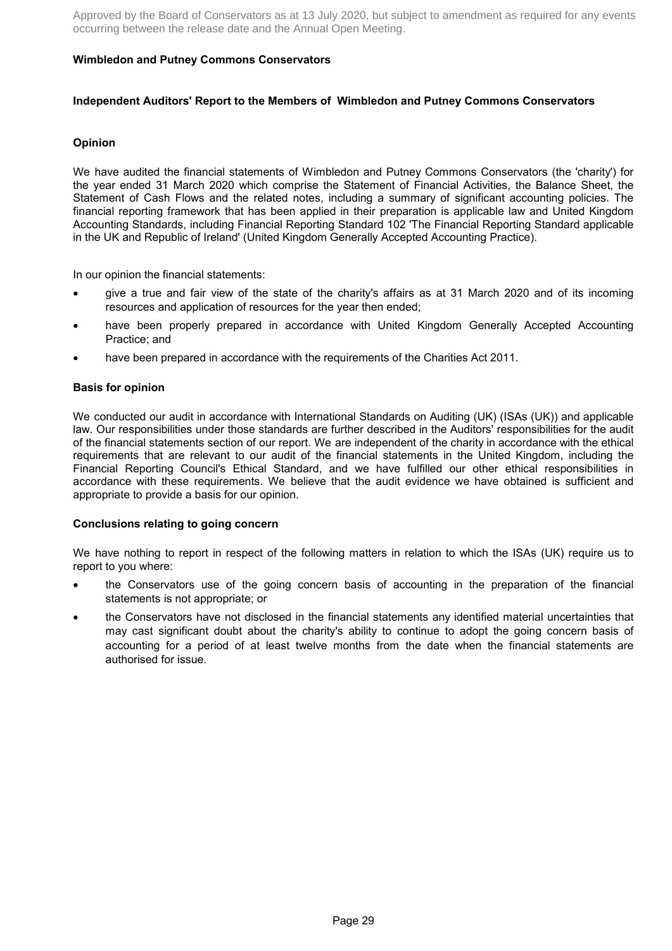### **Wimbledon and Putney Commons Conservators**

#### **Independent Auditors' Report to the Members of Wimbledon and Putney Commons Conservators**

### **Opinion**

We have audited the financial statements of Wimbledon and Putney Commons Conservators (the 'charity') for the year ended 31 March 2020 which comprise the Statement of Financial Activities, the Balance Sheet, the Statement of Cash Flows and the related notes, including a summary of significant accounting policies. The financial reporting framework that has been applied in their preparation is applicable law and United Kingdom Accounting Standards, including Financial Reporting Standard 102 'The Financial Reporting Standard applicable in the UK and Republic of Ireland' (United Kingdom Generally Accepted Accounting Practice).

In our opinion the financial statements:

- give a true and fair view of the state of the charity's affairs as at 31 March 2020 and of its incoming resources and application of resources for the year then ended;
- have been properly prepared in accordance with United Kingdom Generally Accepted Accounting Practice; and
- have been prepared in accordance with the requirements of the Charities Act 2011.

#### **Basis for opinion**

We conducted our audit in accordance with International Standards on Auditing (UK) (ISAs (UK)) and applicable law. Our responsibilities under those standards are further described in the Auditors' responsibilities for the audit of the financial statements section of our report. We are independent of the charity in accordance with the ethical requirements that are relevant to our audit of the financial statements in the United Kingdom, including the Financial Reporting Council's Ethical Standard, and we have fulfilled our other ethical responsibilities in accordance with these requirements. We believe that the audit evidence we have obtained is sufficient and appropriate to provide a basis for our opinion.

#### **Conclusions relating to going concern**

We have nothing to report in respect of the following matters in relation to which the ISAs (UK) require us to report to you where:

- the Conservators use of the going concern basis of accounting in the preparation of the financial statements is not appropriate; or
- the Conservators have not disclosed in the financial statements any identified material uncertainties that may cast significant doubt about the charity's ability to continue to adopt the going concern basis of accounting for a period of at least twelve months from the date when the financial statements are authorised for issue.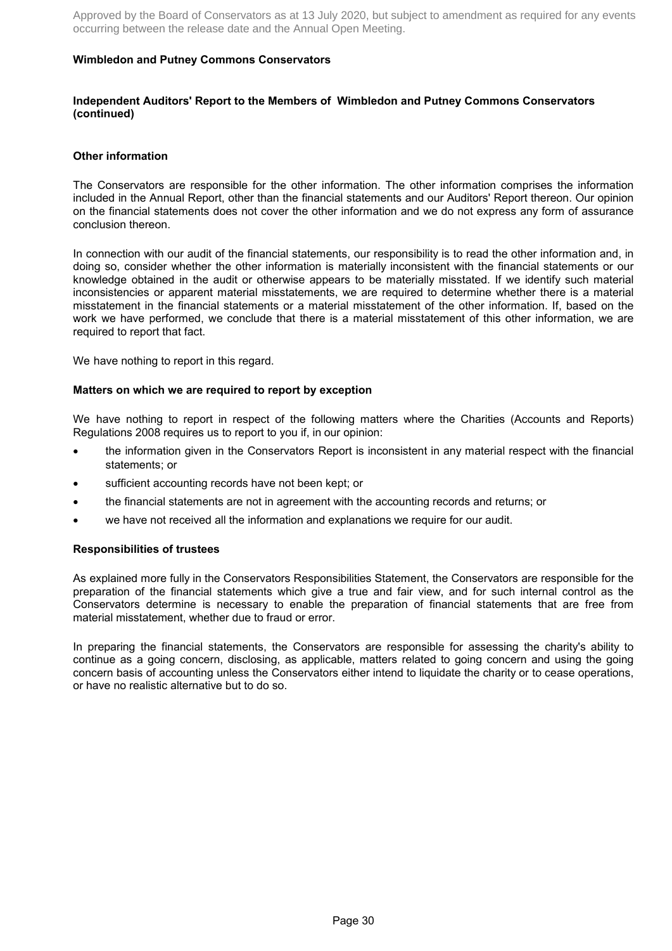### **Wimbledon and Putney Commons Conservators**

#### **Independent Auditors' Report to the Members of Wimbledon and Putney Commons Conservators (continued)**

#### **Other information**

The Conservators are responsible for the other information. The other information comprises the information included in the Annual Report, other than the financial statements and our Auditors' Report thereon. Our opinion on the financial statements does not cover the other information and we do not express any form of assurance conclusion thereon.

In connection with our audit of the financial statements, our responsibility is to read the other information and, in doing so, consider whether the other information is materially inconsistent with the financial statements or our knowledge obtained in the audit or otherwise appears to be materially misstated. If we identify such material inconsistencies or apparent material misstatements, we are required to determine whether there is a material misstatement in the financial statements or a material misstatement of the other information. If, based on the work we have performed, we conclude that there is a material misstatement of this other information, we are required to report that fact.

We have nothing to report in this regard.

#### **Matters on which we are required to report by exception**

We have nothing to report in respect of the following matters where the Charities (Accounts and Reports) Regulations 2008 requires us to report to you if, in our opinion:

- the information given in the Conservators Report is inconsistent in any material respect with the financial statements; or
- sufficient accounting records have not been kept; or
- the financial statements are not in agreement with the accounting records and returns; or
- we have not received all the information and explanations we require for our audit.

#### **Responsibilities of trustees**

As explained more fully in the Conservators Responsibilities Statement, the Conservators are responsible for the preparation of the financial statements which give a true and fair view, and for such internal control as the Conservators determine is necessary to enable the preparation of financial statements that are free from material misstatement, whether due to fraud or error.

In preparing the financial statements, the Conservators are responsible for assessing the charity's ability to continue as a going concern, disclosing, as applicable, matters related to going concern and using the going concern basis of accounting unless the Conservators either intend to liquidate the charity or to cease operations, or have no realistic alternative but to do so.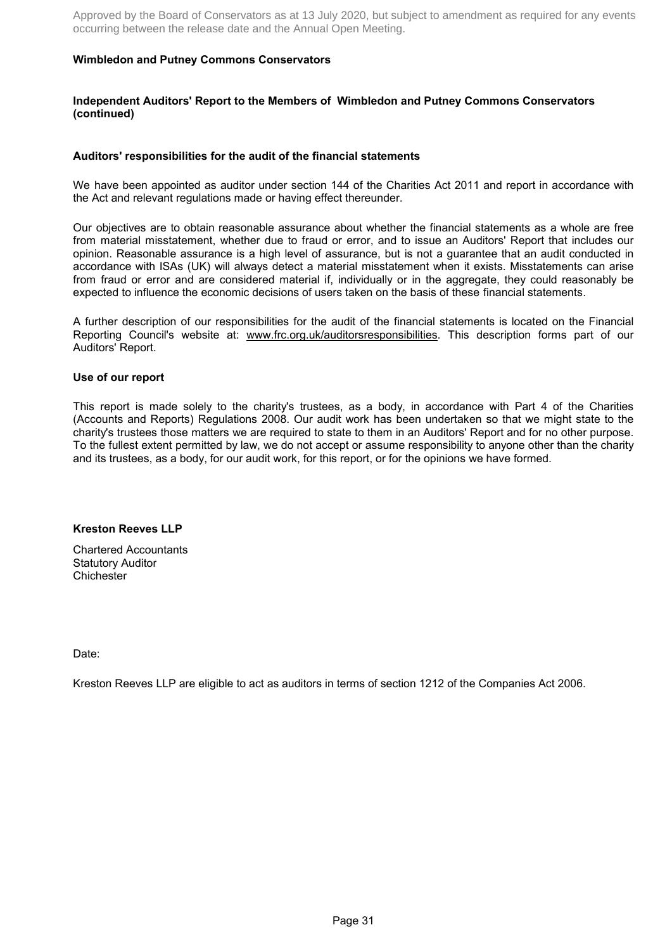### **Wimbledon and Putney Commons Conservators**

#### **Independent Auditors' Report to the Members of Wimbledon and Putney Commons Conservators (continued)**

#### **Auditors' responsibilities for the audit of the financial statements**

We have been appointed as auditor under section 144 of the Charities Act 2011 and report in accordance with the Act and relevant regulations made or having effect thereunder.

Our objectives are to obtain reasonable assurance about whether the financial statements as a whole are free from material misstatement, whether due to fraud or error, and to issue an Auditors' Report that includes our opinion. Reasonable assurance is a high level of assurance, but is not a guarantee that an audit conducted in accordance with ISAs (UK) will always detect a material misstatement when it exists. Misstatements can arise from fraud or error and are considered material if, individually or in the aggregate, they could reasonably be expected to influence the economic decisions of users taken on the basis of these financial statements.

A further description of our responsibilities for the audit of the financial statements is located on the Financial Reporting Council's website at: www.frc.org.uk/auditorsresponsibilities. This description forms part of our Auditors' Report.

#### **Use of our report**

This report is made solely to the charity's trustees, as a body, in accordance with Part 4 of the Charities (Accounts and Reports) Regulations 2008. Our audit work has been undertaken so that we might state to the charity's trustees those matters we are required to state to them in an Auditors' Report and for no other purpose. To the fullest extent permitted by law, we do not accept or assume responsibility to anyone other than the charity and its trustees, as a body, for our audit work, for this report, or for the opinions we have formed.

### **Kreston Reeves LLP**

Chartered Accountants Statutory Auditor **Chichester** 

Date:

Kreston Reeves LLP are eligible to act as auditors in terms of section 1212 of the Companies Act 2006.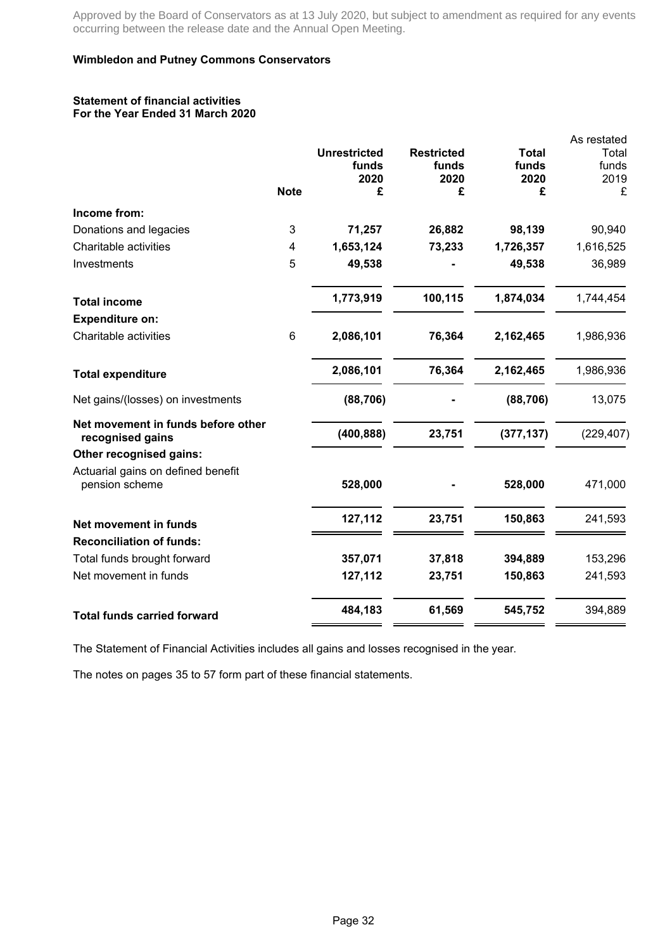### **Wimbledon and Putney Commons Conservators**

#### **Statement of financial activities For the Year Ended 31 March 2020**

|                                                        |             |                     |                   |               | As restated   |
|--------------------------------------------------------|-------------|---------------------|-------------------|---------------|---------------|
|                                                        |             | <b>Unrestricted</b> | <b>Restricted</b> | <b>Total</b>  | Total         |
|                                                        |             | funds<br>2020       | funds<br>2020     | funds<br>2020 | funds<br>2019 |
|                                                        | <b>Note</b> | £                   | £                 | £             | £             |
| Income from:                                           |             |                     |                   |               |               |
| Donations and legacies                                 | 3           | 71,257              | 26,882            | 98,139        | 90,940        |
| Charitable activities                                  | 4           | 1,653,124           | 73,233            | 1,726,357     | 1,616,525     |
| Investments                                            | 5           | 49,538              |                   | 49,538        | 36,989        |
| <b>Total income</b>                                    |             | 1,773,919           | 100,115           | 1,874,034     | 1,744,454     |
| <b>Expenditure on:</b>                                 |             |                     |                   |               |               |
| Charitable activities                                  | 6           | 2,086,101           | 76,364            | 2,162,465     | 1,986,936     |
| <b>Total expenditure</b>                               |             | 2,086,101           | 76,364            | 2,162,465     | 1,986,936     |
| Net gains/(losses) on investments                      |             | (88, 706)           |                   | (88, 706)     | 13,075        |
| Net movement in funds before other<br>recognised gains |             | (400, 888)          | 23,751            | (377, 137)    | (229, 407)    |
| Other recognised gains:                                |             |                     |                   |               |               |
| Actuarial gains on defined benefit<br>pension scheme   |             | 528,000             |                   | 528,000       | 471,000       |
| Net movement in funds                                  |             | 127,112             | 23,751            | 150,863       | 241,593       |
| <b>Reconciliation of funds:</b>                        |             |                     |                   |               |               |
| Total funds brought forward                            |             | 357,071             | 37,818            | 394,889       | 153,296       |
| Net movement in funds                                  |             | 127,112             | 23,751            | 150,863       | 241,593       |
| <b>Total funds carried forward</b>                     |             | 484,183             | 61,569            | 545,752       | 394,889       |

The Statement of Financial Activities includes all gains and losses recognised in the year.

The notes on pages 35 to 57 form part of these financial statements.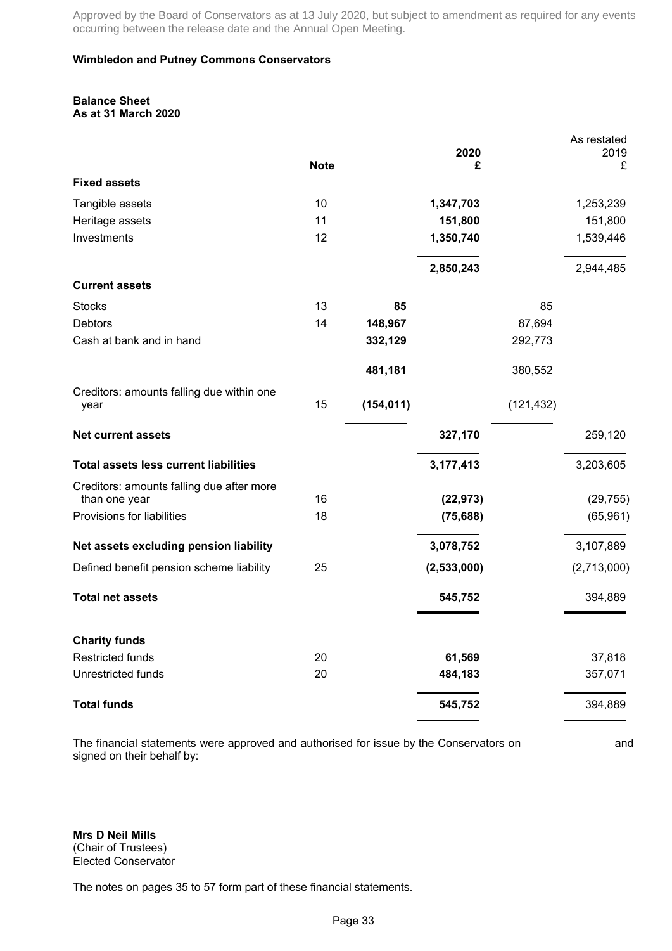### **Wimbledon and Putney Commons Conservators**

#### **Balance Sheet As at 31 March 2020**

|                                                   |             |            | 2020        |            | As restated<br>2019 |
|---------------------------------------------------|-------------|------------|-------------|------------|---------------------|
|                                                   | <b>Note</b> |            | £           |            | £                   |
| <b>Fixed assets</b>                               |             |            |             |            |                     |
| Tangible assets                                   | 10          |            | 1,347,703   |            | 1,253,239           |
| Heritage assets                                   | 11          |            | 151,800     |            | 151,800             |
| Investments                                       | 12          |            | 1,350,740   |            | 1,539,446           |
|                                                   |             |            | 2,850,243   |            | 2,944,485           |
| <b>Current assets</b>                             |             |            |             |            |                     |
| <b>Stocks</b>                                     | 13          | 85         |             | 85         |                     |
| <b>Debtors</b>                                    | 14          | 148,967    |             | 87,694     |                     |
| Cash at bank and in hand                          |             | 332,129    |             | 292,773    |                     |
|                                                   |             | 481,181    |             | 380,552    |                     |
| Creditors: amounts falling due within one<br>year | 15          | (154, 011) |             | (121, 432) |                     |
| <b>Net current assets</b>                         |             |            | 327,170     |            | 259,120             |
| <b>Total assets less current liabilities</b>      |             |            | 3,177,413   |            | 3,203,605           |
| Creditors: amounts falling due after more         |             |            |             |            |                     |
| than one year                                     | 16          |            | (22, 973)   |            | (29, 755)           |
| Provisions for liabilities                        | 18          |            | (75, 688)   |            | (65, 961)           |
| Net assets excluding pension liability            |             |            | 3,078,752   |            | 3,107,889           |
| Defined benefit pension scheme liability          | 25          |            | (2,533,000) |            | (2,713,000)         |
| <b>Total net assets</b>                           |             |            | 545,752     |            | 394,889             |
| <b>Charity funds</b>                              |             |            |             |            |                     |
| <b>Restricted funds</b>                           | 20          |            | 61,569      |            | 37,818              |
| Unrestricted funds                                | 20          |            | 484,183     |            | 357,071             |
| <b>Total funds</b>                                |             |            | 545,752     |            | 394,889             |

The financial statements were approved and authorised for issue by the Conservators on and signed on their behalf by:

**Mrs D Neil Mills** (Chair of Trustees) Elected Conservator

The notes on pages 35 to 57 form part of these financial statements.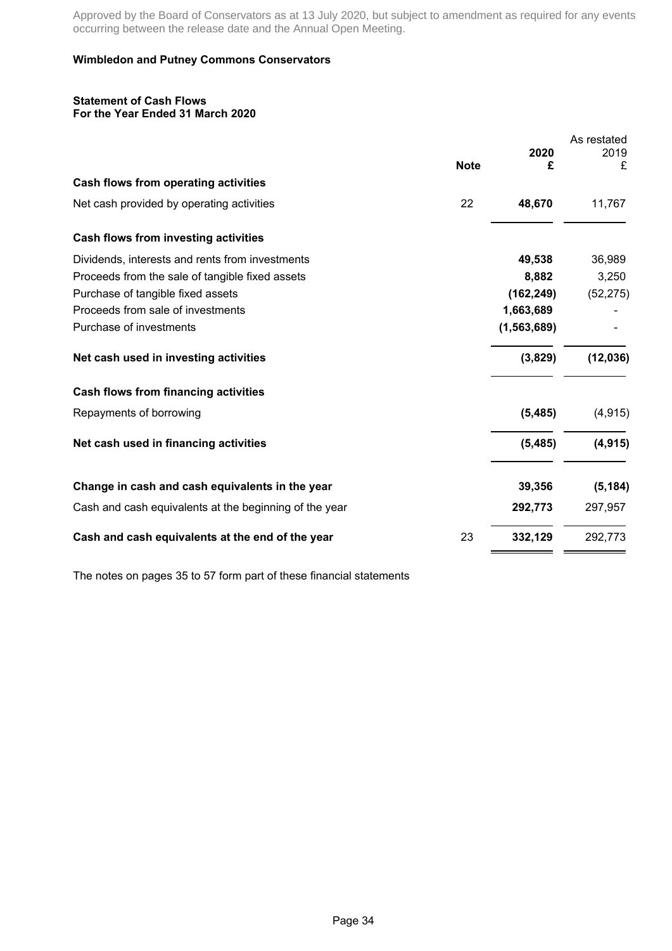### **Wimbledon and Putney Commons Conservators**

#### **Statement of Cash Flows For the Year Ended 31 March 2020**

|                                                        |             |               | As restated |
|--------------------------------------------------------|-------------|---------------|-------------|
|                                                        | <b>Note</b> | 2020<br>£     | 2019<br>£   |
| Cash flows from operating activities                   |             |               |             |
| Net cash provided by operating activities              | 22          | 48,670        | 11,767      |
| Cash flows from investing activities                   |             |               |             |
| Dividends, interests and rents from investments        |             | 49,538        | 36,989      |
| Proceeds from the sale of tangible fixed assets        |             | 8,882         | 3,250       |
| Purchase of tangible fixed assets                      |             | (162, 249)    | (52, 275)   |
| Proceeds from sale of investments                      |             | 1,663,689     |             |
| Purchase of investments                                |             | (1, 563, 689) |             |
| Net cash used in investing activities                  |             | (3,829)       | (12, 036)   |
| <b>Cash flows from financing activities</b>            |             |               |             |
| Repayments of borrowing                                |             | (5, 485)      | (4, 915)    |
| Net cash used in financing activities                  |             | (5, 485)      | (4, 915)    |
| Change in cash and cash equivalents in the year        |             | 39,356        | (5, 184)    |
| Cash and cash equivalents at the beginning of the year |             | 292,773       | 297,957     |
| Cash and cash equivalents at the end of the year       | 23          | 332,129       | 292,773     |

The notes on pages 35 to 57 form part of these financial statements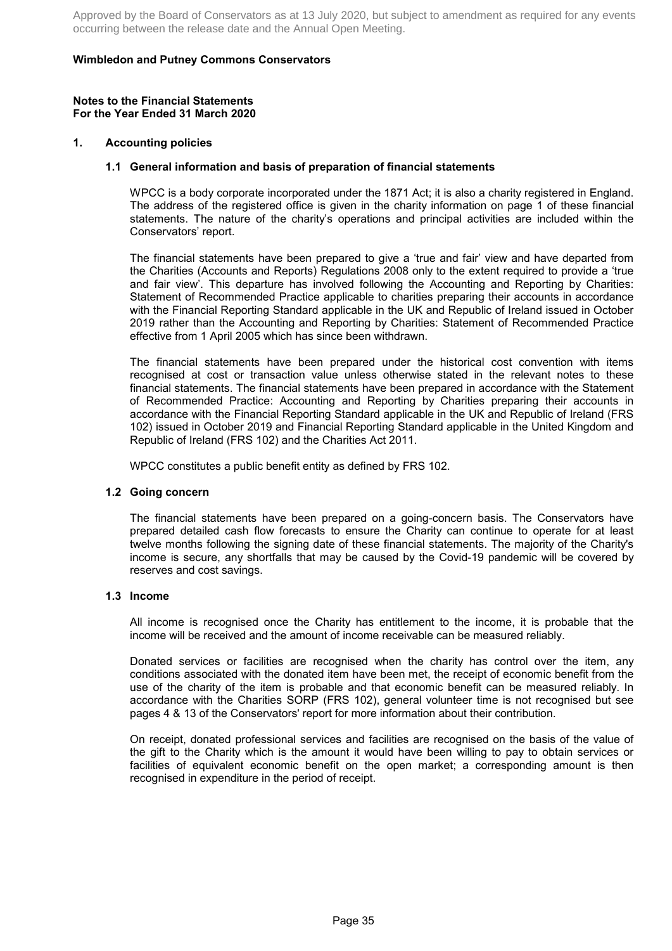### **Wimbledon and Putney Commons Conservators**

#### **Notes to the Financial Statements For the Year Ended 31 March 2020**

#### **1. Accounting policies**

#### **1.1 General information and basis of preparation of financial statements**

WPCC is a body corporate incorporated under the 1871 Act; it is also a charity registered in England. The address of the registered office is given in the charity information on page 1 of these financial statements. The nature of the charity's operations and principal activities are included within the Conservators' report.

The financial statements have been prepared to give a 'true and fair' view and have departed from the Charities (Accounts and Reports) Regulations 2008 only to the extent required to provide a 'true and fair view'. This departure has involved following the Accounting and Reporting by Charities: Statement of Recommended Practice applicable to charities preparing their accounts in accordance with the Financial Reporting Standard applicable in the UK and Republic of Ireland issued in October 2019 rather than the Accounting and Reporting by Charities: Statement of Recommended Practice effective from 1 April 2005 which has since been withdrawn.

The financial statements have been prepared under the historical cost convention with items recognised at cost or transaction value unless otherwise stated in the relevant notes to these financial statements. The financial statements have been prepared in accordance with the Statement of Recommended Practice: Accounting and Reporting by Charities preparing their accounts in accordance with the Financial Reporting Standard applicable in the UK and Republic of Ireland (FRS 102) issued in October 2019 and Financial Reporting Standard applicable in the United Kingdom and Republic of Ireland (FRS 102) and the Charities Act 2011.

WPCC constitutes a public benefit entity as defined by FRS 102.

#### **1.2 Going concern**

The financial statements have been prepared on a going-concern basis. The Conservators have prepared detailed cash flow forecasts to ensure the Charity can continue to operate for at least twelve months following the signing date of these financial statements. The majority of the Charity's income is secure, any shortfalls that may be caused by the Covid-19 pandemic will be covered by reserves and cost savings.

#### **1.3 Income**

All income is recognised once the Charity has entitlement to the income, it is probable that the income will be received and the amount of income receivable can be measured reliably.

Donated services or facilities are recognised when the charity has control over the item, any conditions associated with the donated item have been met, the receipt of economic benefit from the use of the charity of the item is probable and that economic benefit can be measured reliably. In accordance with the Charities SORP (FRS 102), general volunteer time is not recognised but see pages 4 & 13 of the Conservators' report for more information about their contribution.

On receipt, donated professional services and facilities are recognised on the basis of the value of the gift to the Charity which is the amount it would have been willing to pay to obtain services or facilities of equivalent economic benefit on the open market; a corresponding amount is then recognised in expenditure in the period of receipt.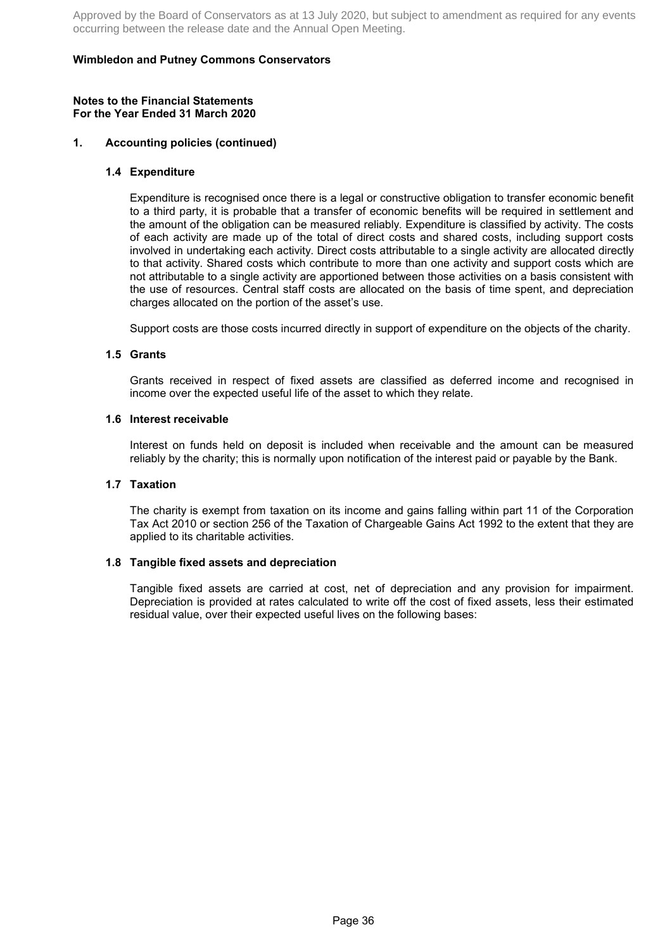### **Wimbledon and Putney Commons Conservators**

#### **Notes to the Financial Statements For the Year Ended 31 March 2020**

### **1. Accounting policies (continued)**

#### **1.4 Expenditure**

Expenditure is recognised once there is a legal or constructive obligation to transfer economic benefit to a third party, it is probable that a transfer of economic benefits will be required in settlement and the amount of the obligation can be measured reliably. Expenditure is classified by activity. The costs of each activity are made up of the total of direct costs and shared costs, including support costs involved in undertaking each activity. Direct costs attributable to a single activity are allocated directly to that activity. Shared costs which contribute to more than one activity and support costs which are not attributable to a single activity are apportioned between those activities on a basis consistent with the use of resources. Central staff costs are allocated on the basis of time spent, and depreciation charges allocated on the portion of the asset's use.

Support costs are those costs incurred directly in support of expenditure on the objects of the charity.

#### **1.5 Grants**

Grants received in respect of fixed assets are classified as deferred income and recognised in income over the expected useful life of the asset to which they relate.

#### **1.6 Interest receivable**

Interest on funds held on deposit is included when receivable and the amount can be measured reliably by the charity; this is normally upon notification of the interest paid or payable by the Bank.

#### **1.7 Taxation**

The charity is exempt from taxation on its income and gains falling within part 11 of the Corporation Tax Act 2010 or section 256 of the Taxation of Chargeable Gains Act 1992 to the extent that they are applied to its charitable activities.

#### **1.8 Tangible fixed assets and depreciation**

Tangible fixed assets are carried at cost, net of depreciation and any provision for impairment. Depreciation is provided at rates calculated to write off the cost of fixed assets, less their estimated residual value, over their expected useful lives on the following bases: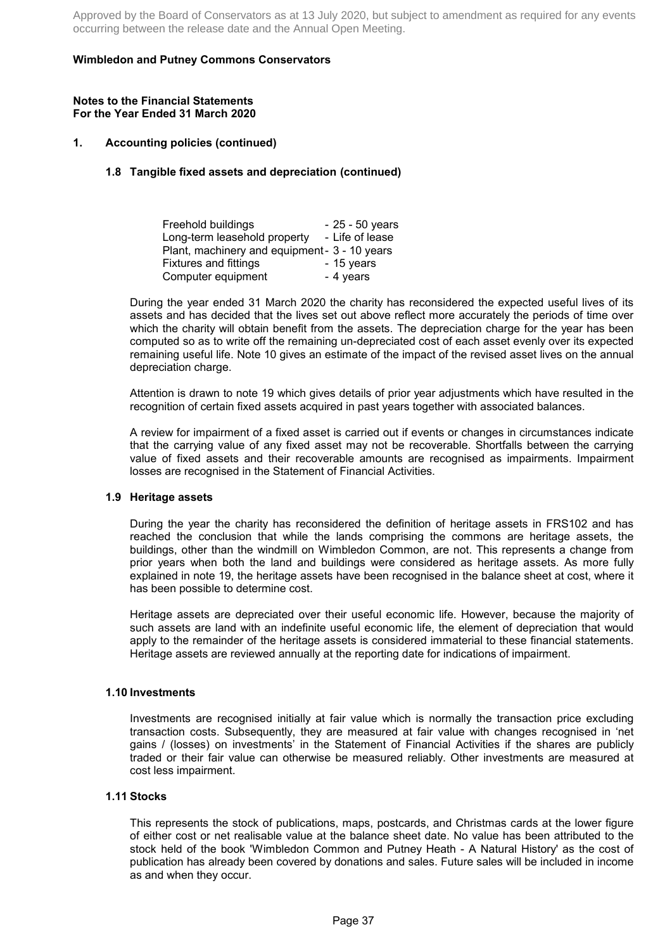### **Wimbledon and Putney Commons Conservators**

#### **Notes to the Financial Statements For the Year Ended 31 March 2020**

### **1. Accounting policies (continued)**

### **1.8 Tangible fixed assets and depreciation (continued)**

| Freehold buildings                            | - 25 - 50 years |
|-----------------------------------------------|-----------------|
| Long-term leasehold property                  | - Life of lease |
| Plant, machinery and equipment - 3 - 10 years |                 |
| <b>Fixtures and fittings</b>                  | - 15 years      |
| Computer equipment                            | - 4 years       |

During the year ended 31 March 2020 the charity has reconsidered the expected useful lives of its assets and has decided that the lives set out above reflect more accurately the periods of time over which the charity will obtain benefit from the assets. The depreciation charge for the year has been computed so as to write off the remaining un-depreciated cost of each asset evenly over its expected remaining useful life. Note 10 gives an estimate of the impact of the revised asset lives on the annual depreciation charge.

Attention is drawn to note 19 which gives details of prior year adjustments which have resulted in the recognition of certain fixed assets acquired in past years together with associated balances.

A review for impairment of a fixed asset is carried out if events or changes in circumstances indicate that the carrying value of any fixed asset may not be recoverable. Shortfalls between the carrying value of fixed assets and their recoverable amounts are recognised as impairments. Impairment losses are recognised in the Statement of Financial Activities.

#### **1.9 Heritage assets**

During the year the charity has reconsidered the definition of heritage assets in FRS102 and has reached the conclusion that while the lands comprising the commons are heritage assets, the buildings, other than the windmill on Wimbledon Common, are not. This represents a change from prior years when both the land and buildings were considered as heritage assets. As more fully explained in note 19, the heritage assets have been recognised in the balance sheet at cost, where it has been possible to determine cost.

Heritage assets are depreciated over their useful economic life. However, because the majority of such assets are land with an indefinite useful economic life, the element of depreciation that would apply to the remainder of the heritage assets is considered immaterial to these financial statements. Heritage assets are reviewed annually at the reporting date for indications of impairment.

### **1.10 Investments**

Investments are recognised initially at fair value which is normally the transaction price excluding transaction costs. Subsequently, they are measured at fair value with changes recognised in 'net gains / (losses) on investments' in the Statement of Financial Activities if the shares are publicly traded or their fair value can otherwise be measured reliably. Other investments are measured at cost less impairment.

### **1.11 Stocks**

This represents the stock of publications, maps, postcards, and Christmas cards at the lower figure of either cost or net realisable value at the balance sheet date. No value has been attributed to the stock held of the book 'Wimbledon Common and Putney Heath - A Natural History' as the cost of publication has already been covered by donations and sales. Future sales will be included in income as and when they occur.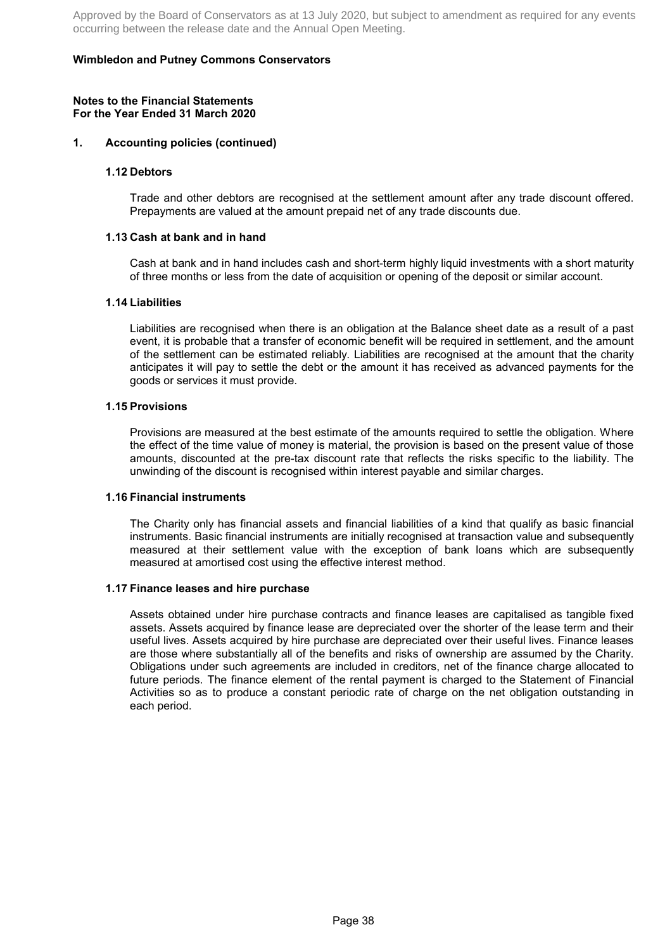### **Wimbledon and Putney Commons Conservators**

#### **Notes to the Financial Statements For the Year Ended 31 March 2020**

#### **1. Accounting policies (continued)**

#### **1.12 Debtors**

Trade and other debtors are recognised at the settlement amount after any trade discount offered. Prepayments are valued at the amount prepaid net of any trade discounts due.

#### **1.13 Cash at bank and in hand**

Cash at bank and in hand includes cash and short-term highly liquid investments with a short maturity of three months or less from the date of acquisition or opening of the deposit or similar account.

### **1.14 Liabilities**

Liabilities are recognised when there is an obligation at the Balance sheet date as a result of a past event, it is probable that a transfer of economic benefit will be required in settlement, and the amount of the settlement can be estimated reliably. Liabilities are recognised at the amount that the charity anticipates it will pay to settle the debt or the amount it has received as advanced payments for the goods or services it must provide.

#### **1.15 Provisions**

Provisions are measured at the best estimate of the amounts required to settle the obligation. Where the effect of the time value of money is material, the provision is based on the present value of those amounts, discounted at the pre-tax discount rate that reflects the risks specific to the liability. The unwinding of the discount is recognised within interest payable and similar charges.

#### **1.16 Financial instruments**

The Charity only has financial assets and financial liabilities of a kind that qualify as basic financial instruments. Basic financial instruments are initially recognised at transaction value and subsequently measured at their settlement value with the exception of bank loans which are subsequently measured at amortised cost using the effective interest method.

#### **1.17 Finance leases and hire purchase**

Assets obtained under hire purchase contracts and finance leases are capitalised as tangible fixed assets. Assets acquired by finance lease are depreciated over the shorter of the lease term and their useful lives. Assets acquired by hire purchase are depreciated over their useful lives. Finance leases are those where substantially all of the benefits and risks of ownership are assumed by the Charity. Obligations under such agreements are included in creditors, net of the finance charge allocated to future periods. The finance element of the rental payment is charged to the Statement of Financial Activities so as to produce a constant periodic rate of charge on the net obligation outstanding in each period.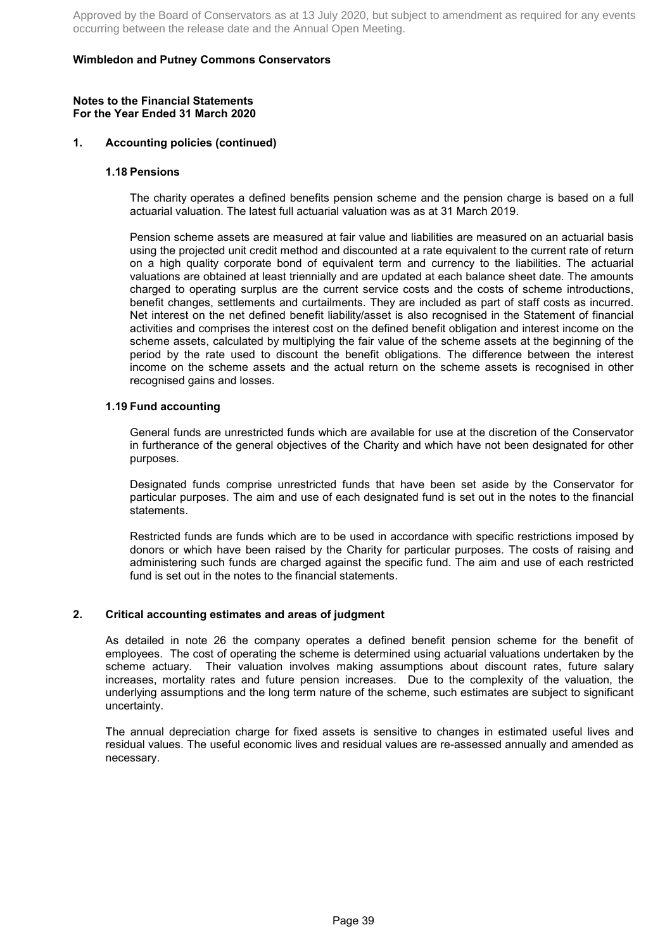### **Wimbledon and Putney Commons Conservators**

#### **Notes to the Financial Statements For the Year Ended 31 March 2020**

### **1. Accounting policies (continued)**

#### **1.18 Pensions**

The charity operates a defined benefits pension scheme and the pension charge is based on a full actuarial valuation. The latest full actuarial valuation was as at 31 March 2019.

Pension scheme assets are measured at fair value and liabilities are measured on an actuarial basis using the projected unit credit method and discounted at a rate equivalent to the current rate of return on a high quality corporate bond of equivalent term and currency to the liabilities. The actuarial valuations are obtained at least triennially and are updated at each balance sheet date. The amounts charged to operating surplus are the current service costs and the costs of scheme introductions, benefit changes, settlements and curtailments. They are included as part of staff costs as incurred. Net interest on the net defined benefit liability/asset is also recognised in the Statement of financial activities and comprises the interest cost on the defined benefit obligation and interest income on the scheme assets, calculated by multiplying the fair value of the scheme assets at the beginning of the period by the rate used to discount the benefit obligations. The difference between the interest income on the scheme assets and the actual return on the scheme assets is recognised in other recognised gains and losses.

### **1.19 Fund accounting**

General funds are unrestricted funds which are available for use at the discretion of the Conservator in furtherance of the general objectives of the Charity and which have not been designated for other purposes.

Designated funds comprise unrestricted funds that have been set aside by the Conservator for particular purposes. The aim and use of each designated fund is set out in the notes to the financial statements.

Restricted funds are funds which are to be used in accordance with specific restrictions imposed by donors or which have been raised by the Charity for particular purposes. The costs of raising and administering such funds are charged against the specific fund. The aim and use of each restricted fund is set out in the notes to the financial statements.

### **2. Critical accounting estimates and areas of judgment**

As detailed in note 26 the company operates a defined benefit pension scheme for the benefit of employees. The cost of operating the scheme is determined using actuarial valuations undertaken by the scheme actuary. Their valuation involves making assumptions about discount rates, future salary increases, mortality rates and future pension increases. Due to the complexity of the valuation, the underlying assumptions and the long term nature of the scheme, such estimates are subject to significant uncertainty.

The annual depreciation charge for fixed assets is sensitive to changes in estimated useful lives and residual values. The useful economic lives and residual values are re-assessed annually and amended as necessary.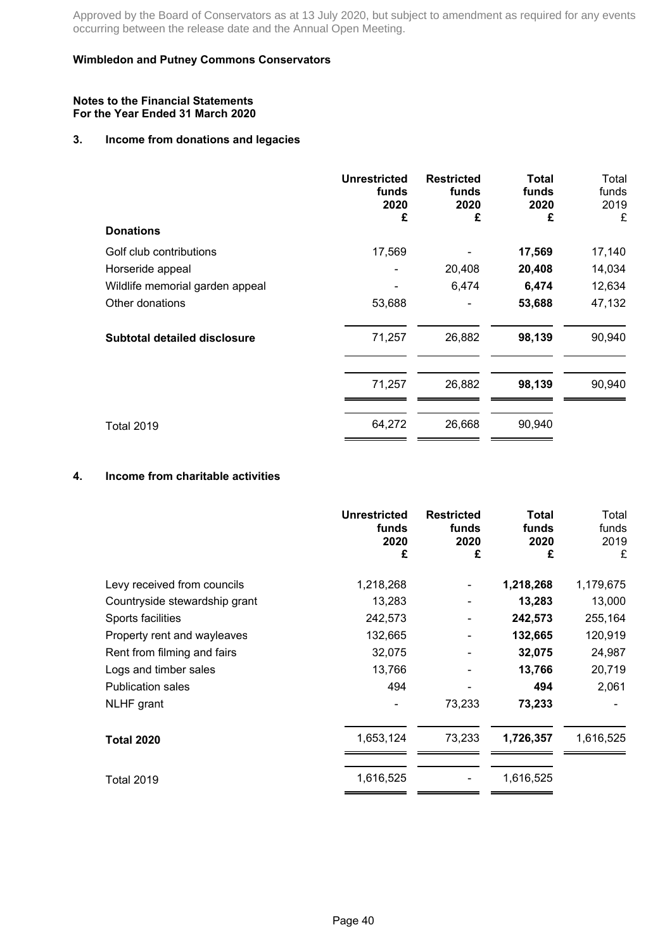### **Wimbledon and Putney Commons Conservators**

#### **Notes to the Financial Statements For the Year Ended 31 March 2020**

# **3. Income from donations and legacies**

|                                     | <b>Unrestricted</b><br>funds<br>2020<br>£ | <b>Restricted</b><br>funds<br>2020<br>£ | <b>Total</b><br>funds<br>2020<br>£ | Total<br>funds<br>2019<br>£ |
|-------------------------------------|-------------------------------------------|-----------------------------------------|------------------------------------|-----------------------------|
| <b>Donations</b>                    |                                           |                                         |                                    |                             |
| Golf club contributions             | 17,569                                    |                                         | 17,569                             | 17,140                      |
| Horseride appeal                    |                                           | 20,408                                  | 20,408                             | 14,034                      |
| Wildlife memorial garden appeal     |                                           | 6,474                                   | 6,474                              | 12,634                      |
| Other donations                     | 53,688                                    |                                         | 53,688                             | 47,132                      |
| <b>Subtotal detailed disclosure</b> | 71,257                                    | 26,882                                  | 98,139                             | 90,940                      |
|                                     | 71,257                                    | 26,882                                  | 98,139                             | 90,940                      |
| <b>Total 2019</b>                   | 64,272                                    | 26,668                                  | 90,940                             |                             |

# **4. Income from charitable activities**

|                               | <b>Unrestricted</b><br>funds<br>2020<br>£ | <b>Restricted</b><br>funds<br>2020<br>£ | <b>Total</b><br>funds<br>2020<br>£ | Total<br>funds<br>2019<br>£ |
|-------------------------------|-------------------------------------------|-----------------------------------------|------------------------------------|-----------------------------|
| Levy received from councils   | 1,218,268                                 |                                         | 1,218,268                          | 1,179,675                   |
| Countryside stewardship grant | 13,283                                    |                                         | 13,283                             | 13,000                      |
| Sports facilities             | 242,573                                   |                                         | 242,573                            | 255,164                     |
| Property rent and wayleaves   | 132,665                                   |                                         | 132,665                            | 120,919                     |
| Rent from filming and fairs   | 32,075                                    |                                         | 32,075                             | 24,987                      |
| Logs and timber sales         | 13,766                                    |                                         | 13,766                             | 20,719                      |
| <b>Publication sales</b>      | 494                                       |                                         | 494                                | 2,061                       |
| <b>NLHF</b> grant             |                                           | 73,233                                  | 73,233                             |                             |
| <b>Total 2020</b>             | 1,653,124                                 | 73,233                                  | 1,726,357                          | 1,616,525                   |
| Total 2019                    | 1,616,525                                 |                                         | 1,616,525                          |                             |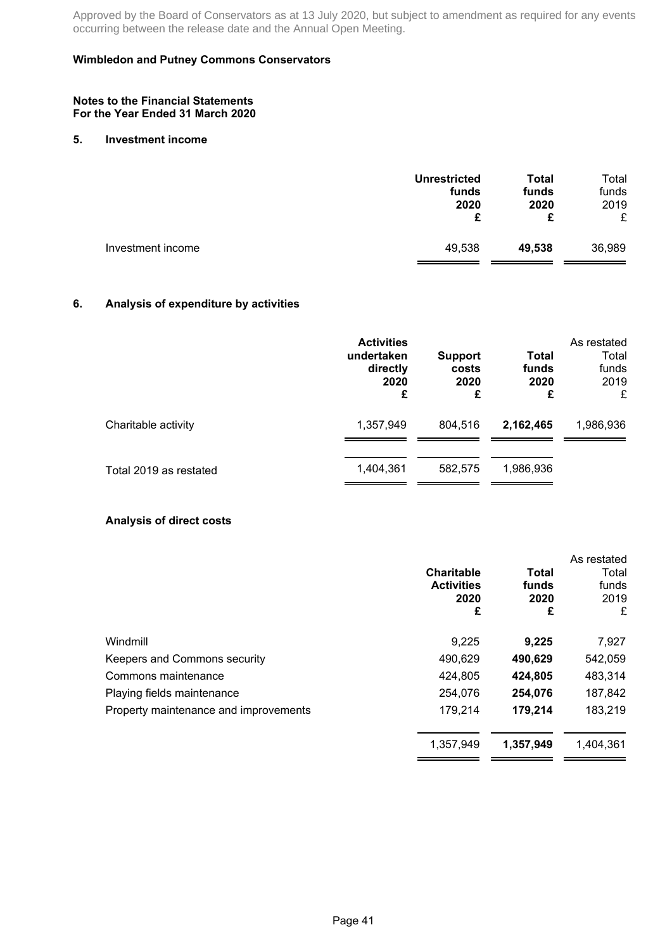### **Wimbledon and Putney Commons Conservators**

#### **Notes to the Financial Statements For the Year Ended 31 March 2020**

#### **5. Investment income**

| <b>Unrestricted</b><br>funds<br>2020<br>£ | <b>Total</b><br>funds<br>2020<br>£ | Total<br>funds<br>2019<br>£ |
|-------------------------------------------|------------------------------------|-----------------------------|
| 49,538                                    | 49,538                             | 36,989                      |
|                                           |                                    |                             |

# **6. Analysis of expenditure by activities**

|                        | <b>Activities</b><br>undertaken<br>directly<br>2020<br>£ | <b>Support</b><br>costs<br>2020<br>£ | Total<br>funds<br>2020<br>£ | As restated<br>Total<br>funds<br>2019<br>£ |  |
|------------------------|----------------------------------------------------------|--------------------------------------|-----------------------------|--------------------------------------------|--|
| Charitable activity    | 1,357,949                                                | 804.516                              | 2,162,465                   | 1,986,936                                  |  |
| Total 2019 as restated | 1,404,361                                                | 582.575                              | 1,986,936                   |                                            |  |

### **Analysis of direct costs**

|                                       | <b>Charitable</b><br><b>Activities</b><br>2020<br>£ | Total<br>funds<br>2020<br>£ | As restated<br>Total<br>funds<br>2019<br>£ |
|---------------------------------------|-----------------------------------------------------|-----------------------------|--------------------------------------------|
| Windmill                              | 9,225                                               | 9,225                       | 7,927                                      |
| Keepers and Commons security          | 490,629                                             | 490,629                     | 542,059                                    |
| Commons maintenance                   | 424,805                                             | 424,805                     | 483,314                                    |
| Playing fields maintenance            | 254,076                                             | 254,076                     | 187,842                                    |
| Property maintenance and improvements | 179,214                                             | 179,214                     | 183,219                                    |
|                                       | 1,357,949                                           | 1,357,949                   | 1,404,361                                  |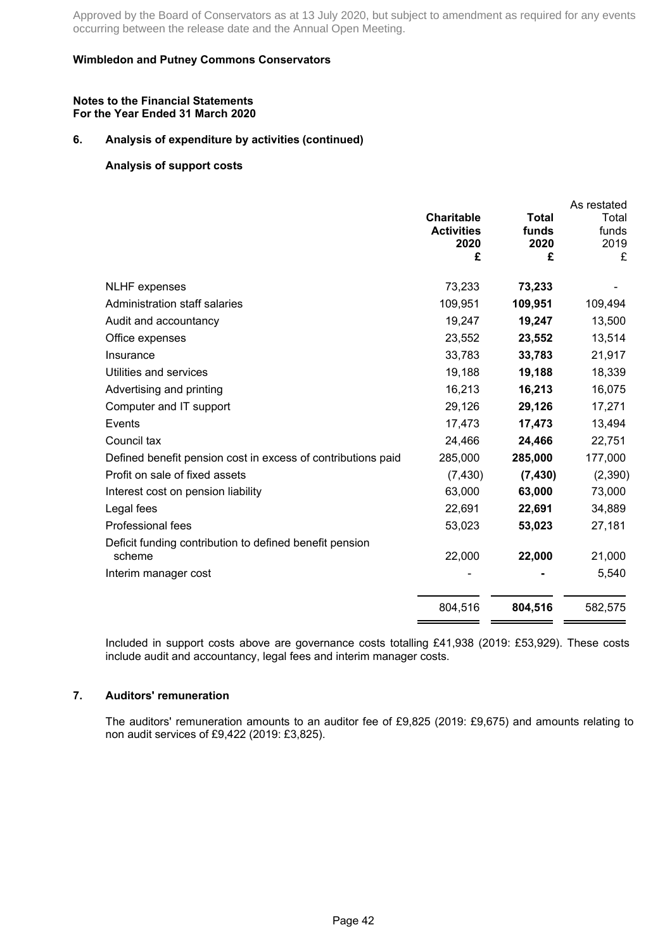### **Wimbledon and Putney Commons Conservators**

#### **Notes to the Financial Statements For the Year Ended 31 March 2020**

### **6. Analysis of expenditure by activities (continued)**

### **Analysis of support costs**

|                                                                   | <b>Charitable</b><br><b>Activities</b><br>2020<br>£ | <b>Total</b><br>funds<br>2020<br>£ | As restated<br>Total<br>funds<br>2019<br>£ |
|-------------------------------------------------------------------|-----------------------------------------------------|------------------------------------|--------------------------------------------|
| <b>NLHF</b> expenses                                              | 73,233                                              | 73,233                             |                                            |
| Administration staff salaries                                     | 109,951                                             | 109,951                            | 109,494                                    |
| Audit and accountancy                                             | 19,247                                              | 19,247                             | 13,500                                     |
| Office expenses                                                   | 23,552                                              | 23,552                             | 13,514                                     |
| Insurance                                                         | 33,783                                              | 33,783                             | 21,917                                     |
| Utilities and services                                            | 19,188                                              | 19,188                             | 18,339                                     |
| Advertising and printing                                          | 16,213                                              | 16,213                             | 16,075                                     |
| Computer and IT support                                           | 29,126                                              | 29,126                             | 17,271                                     |
| Events                                                            | 17,473                                              | 17,473                             | 13,494                                     |
| Council tax                                                       | 24,466                                              | 24,466                             | 22,751                                     |
| Defined benefit pension cost in excess of contributions paid      | 285,000                                             | 285,000                            | 177,000                                    |
| Profit on sale of fixed assets                                    | (7, 430)                                            | (7, 430)                           | (2, 390)                                   |
| Interest cost on pension liability                                | 63,000                                              | 63,000                             | 73,000                                     |
| Legal fees                                                        | 22,691                                              | 22,691                             | 34,889                                     |
| Professional fees                                                 | 53,023                                              | 53,023                             | 27,181                                     |
| Deficit funding contribution to defined benefit pension<br>scheme | 22,000                                              | 22,000                             | 21,000                                     |
| Interim manager cost                                              |                                                     |                                    | 5,540                                      |
|                                                                   | 804,516                                             | 804,516                            | 582,575                                    |

Included in support costs above are governance costs totalling £41,938 (2019: £53,929). These costs include audit and accountancy, legal fees and interim manager costs.

### **7. Auditors' remuneration**

The auditors' remuneration amounts to an auditor fee of £9,825 (2019: £9,675) and amounts relating to non audit services of £9,422 (2019: £3,825).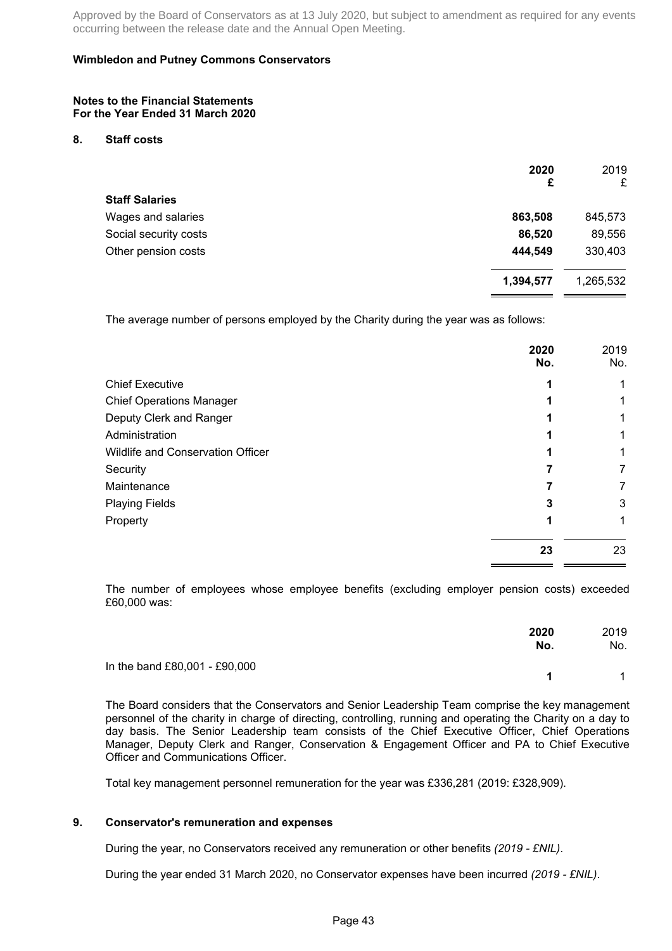### **Wimbledon and Putney Commons Conservators**

#### **Notes to the Financial Statements For the Year Ended 31 March 2020**

#### **8. Staff costs**

|                       | 2020<br>£ | 2019<br>£ |
|-----------------------|-----------|-----------|
| <b>Staff Salaries</b> |           |           |
| Wages and salaries    | 863,508   | 845,573   |
| Social security costs | 86,520    | 89,556    |
| Other pension costs   | 444,549   | 330,403   |
|                       | 1,394,577 | 1,265,532 |
|                       |           |           |

The average number of persons employed by the Charity during the year was as follows:

|                                   | 2020<br>No. | 2019<br>No. |
|-----------------------------------|-------------|-------------|
| <b>Chief Executive</b>            |             |             |
| <b>Chief Operations Manager</b>   |             |             |
| Deputy Clerk and Ranger           |             |             |
| Administration                    |             |             |
| Wildlife and Conservation Officer |             |             |
| Security                          |             | 7           |
| Maintenance                       |             |             |
| <b>Playing Fields</b>             | 3           | 3           |
| Property                          |             | 1           |
|                                   | 23          | 23          |

The number of employees whose employee benefits (excluding employer pension costs) exceeded £60,000 was:

|                               | 2020<br>No. | 2019<br>No.  |
|-------------------------------|-------------|--------------|
| In the band £80,001 - £90,000 | 1           | $\mathbf{1}$ |

The Board considers that the Conservators and Senior Leadership Team comprise the key management personnel of the charity in charge of directing, controlling, running and operating the Charity on a day to day basis. The Senior Leadership team consists of the Chief Executive Officer, Chief Operations Manager, Deputy Clerk and Ranger, Conservation & Engagement Officer and PA to Chief Executive Officer and Communications Officer.

Total key management personnel remuneration for the year was £336,281 (2019: £328,909).

### **9. Conservator's remuneration and expenses**

During the year, no Conservators received any remuneration or other benefits *(2019 - £NIL)*.

During the year ended 31 March 2020, no Conservator expenses have been incurred *(2019 - £NIL)*.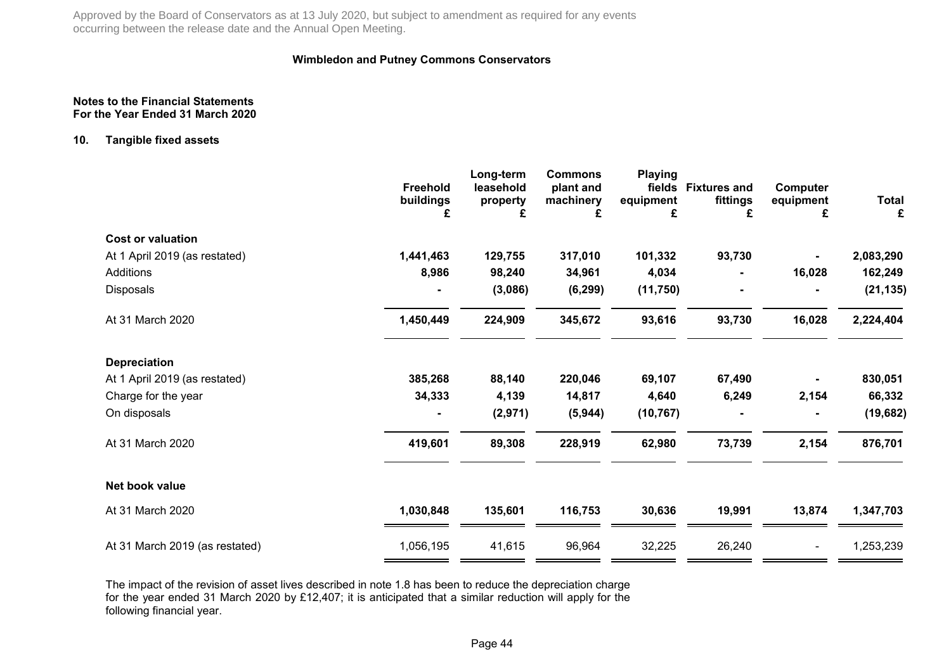### **Wimbledon and Putney Commons Conservators**

#### **Notes to the Financial StatementsFor the Year Ended 31 March 2020**

### **10. Tangible fixed assets**

|                                | Freehold<br>buildings<br>£ | Long-term<br>leasehold<br>property<br>£ | <b>Commons</b><br>plant and<br>machinery<br>£ | <b>Playing</b><br>equipment<br>£ | fields Fixtures and<br>fittings<br>£ | Computer<br>equipment<br>£ | Total<br>£ |
|--------------------------------|----------------------------|-----------------------------------------|-----------------------------------------------|----------------------------------|--------------------------------------|----------------------------|------------|
| <b>Cost or valuation</b>       |                            |                                         |                                               |                                  |                                      |                            |            |
| At 1 April 2019 (as restated)  | 1,441,463                  | 129,755                                 | 317,010                                       | 101,332                          | 93,730                               |                            | 2,083,290  |
| <b>Additions</b>               | 8,986                      | 98,240                                  | 34,961                                        | 4,034                            |                                      | 16,028                     | 162,249    |
| <b>Disposals</b>               |                            | (3,086)                                 | (6, 299)                                      | (11,750)                         |                                      |                            | (21, 135)  |
| At 31 March 2020               | 1,450,449                  | 224,909                                 | 345,672                                       | 93,616                           | 93,730                               | 16,028                     | 2,224,404  |
| <b>Depreciation</b>            |                            |                                         |                                               |                                  |                                      |                            |            |
| At 1 April 2019 (as restated)  | 385,268                    | 88,140                                  | 220,046                                       | 69,107                           | 67,490                               |                            | 830,051    |
| Charge for the year            | 34,333                     | 4,139                                   | 14,817                                        | 4,640                            | 6,249                                | 2,154                      | 66,332     |
| On disposals                   |                            | (2,971)                                 | (5, 944)                                      | (10, 767)                        |                                      |                            | (19, 682)  |
| At 31 March 2020               | 419,601                    | 89,308                                  | 228,919                                       | 62,980                           | 73,739                               | 2,154                      | 876,701    |
| Net book value                 |                            |                                         |                                               |                                  |                                      |                            |            |
| At 31 March 2020               | 1,030,848                  | 135,601                                 | 116,753                                       | 30,636                           | 19,991                               | 13,874                     | 1,347,703  |
| At 31 March 2019 (as restated) | 1,056,195                  | 41,615                                  | 96,964                                        | 32,225                           | 26,240                               |                            | 1,253,239  |

The impact of the revision of asset lives described in note 1.8 has been to reduce the depreciation charge for the year ended 31 March 2020 by £12,407; it is anticipated that a similar reduction will apply for thefollowing financial year.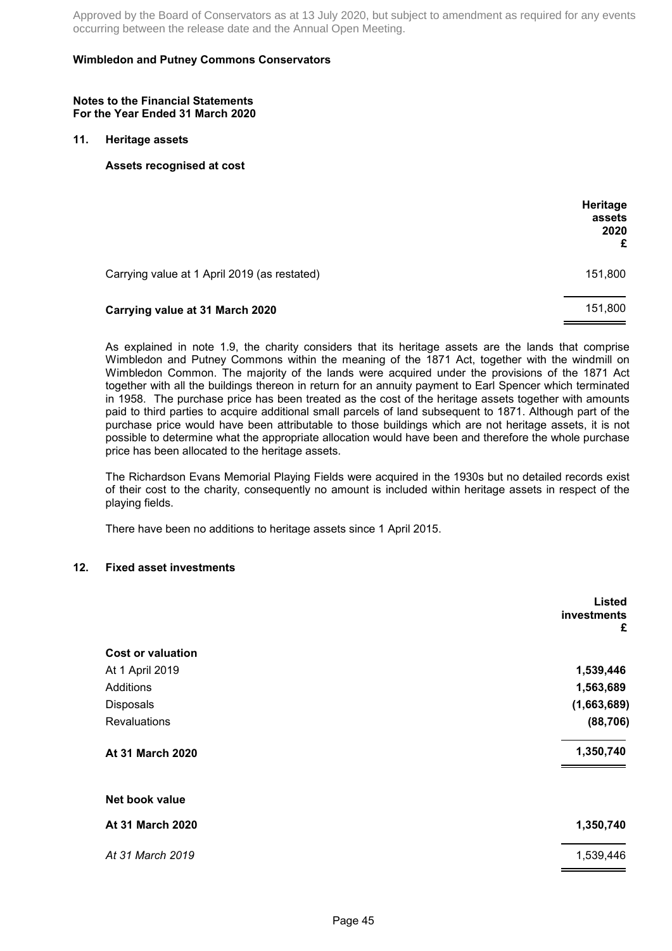### **Wimbledon and Putney Commons Conservators**

#### **Notes to the Financial Statements For the Year Ended 31 March 2020**

#### **11. Heritage assets**

**Assets recognised at cost**

|                                              | Heritage<br>assets<br>2020<br>£ |
|----------------------------------------------|---------------------------------|
| Carrying value at 1 April 2019 (as restated) | 151,800                         |
| Carrying value at 31 March 2020              | 151,800                         |

As explained in note 1.9, the charity considers that its heritage assets are the lands that comprise Wimbledon and Putney Commons within the meaning of the 1871 Act, together with the windmill on Wimbledon Common. The majority of the lands were acquired under the provisions of the 1871 Act together with all the buildings thereon in return for an annuity payment to Earl Spencer which terminated in 1958. The purchase price has been treated as the cost of the heritage assets together with amounts paid to third parties to acquire additional small parcels of land subsequent to 1871. Although part of the purchase price would have been attributable to those buildings which are not heritage assets, it is not possible to determine what the appropriate allocation would have been and therefore the whole purchase price has been allocated to the heritage assets.

The Richardson Evans Memorial Playing Fields were acquired in the 1930s but no detailed records exist of their cost to the charity, consequently no amount is included within heritage assets in respect of the playing fields.

There have been no additions to heritage assets since 1 April 2015.

#### **12. Fixed asset investments**

|                          | <b>Listed</b><br>investments<br>£ |
|--------------------------|-----------------------------------|
| <b>Cost or valuation</b> |                                   |
| At 1 April 2019          | 1,539,446                         |
| Additions                | 1,563,689                         |
| Disposals                | (1,663,689)                       |
| <b>Revaluations</b>      | (88, 706)                         |
| At 31 March 2020         | 1,350,740                         |
| Net book value           |                                   |
| At 31 March 2020         | 1,350,740                         |
| At 31 March 2019         | 1,539,446                         |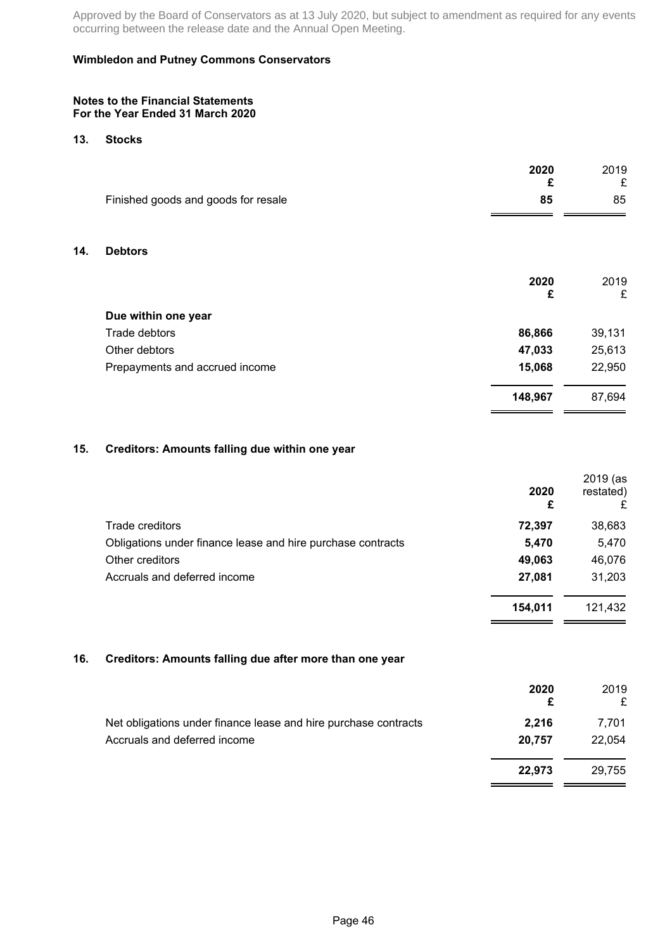### **Wimbledon and Putney Commons Conservators**

#### **Notes to the Financial Statements For the Year Ended 31 March 2020**

#### **13. Stocks**

**14. Debtors**

| 2020<br>£                                 | 2019<br>£ |
|-------------------------------------------|-----------|
| Finished goods and goods for resale<br>85 | 85        |
|                                           |           |
| <b>Debtors</b>                            |           |
| 2020                                      | 2019      |
| £                                         | £         |
| Due within one year                       |           |
| 86,866<br>Trade debtors                   | 39,131    |
| Other debtors<br>47,033                   | 25,613    |
| 15,068<br>Prepayments and accrued income  | 22,950    |
| 148,967                                   | 87,694    |

### **15. Creditors: Amounts falling due within one year**

|                                                             | 2020<br>£ | 2019 (as<br>restated)<br>£ |
|-------------------------------------------------------------|-----------|----------------------------|
| Trade creditors                                             | 72,397    | 38,683                     |
| Obligations under finance lease and hire purchase contracts | 5,470     | 5,470                      |
| Other creditors                                             | 49,063    | 46,076                     |
| Accruals and deferred income                                | 27,081    | 31,203                     |
|                                                             | 154,011   | 121,432                    |

### **16. Creditors: Amounts falling due after more than one year**

|                                                                 | 2020<br>£ | 2019   |
|-----------------------------------------------------------------|-----------|--------|
| Net obligations under finance lease and hire purchase contracts | 2.216     | 7.701  |
| Accruals and deferred income                                    | 20.757    | 22.054 |
|                                                                 | 22.973    | 29.755 |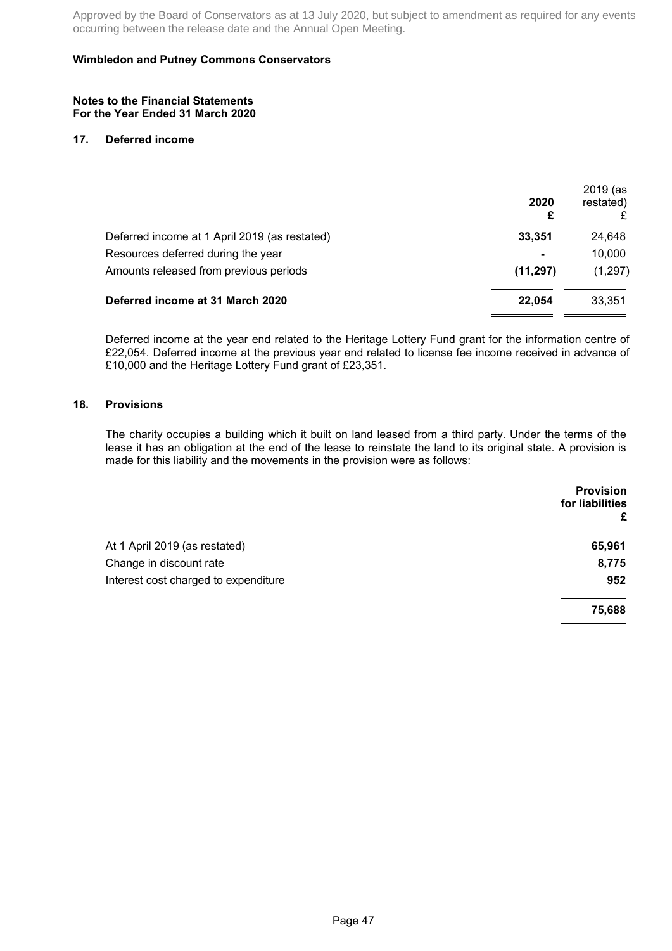### **Wimbledon and Putney Commons Conservators**

#### **Notes to the Financial Statements For the Year Ended 31 March 2020**

#### **17. Deferred income**

|                | restated) |
|----------------|-----------|
| 33,351         | 24,648    |
| $\blacksquare$ | 10,000    |
| (11, 297)      | (1, 297)  |
| 22.054         | 33.351    |
|                | 2020      |

Deferred income at the year end related to the Heritage Lottery Fund grant for the information centre of £22,054. Deferred income at the previous year end related to license fee income received in advance of £10,000 and the Heritage Lottery Fund grant of £23,351.

### **18. Provisions**

The charity occupies a building which it built on land leased from a third party. Under the terms of the lease it has an obligation at the end of the lease to reinstate the land to its original state. A provision is made for this liability and the movements in the provision were as follows:

|                                      | <b>Provision</b><br>for liabilities<br>£ |
|--------------------------------------|------------------------------------------|
| At 1 April 2019 (as restated)        | 65,961                                   |
| Change in discount rate              | 8,775                                    |
| Interest cost charged to expenditure | 952                                      |
|                                      | 75,688                                   |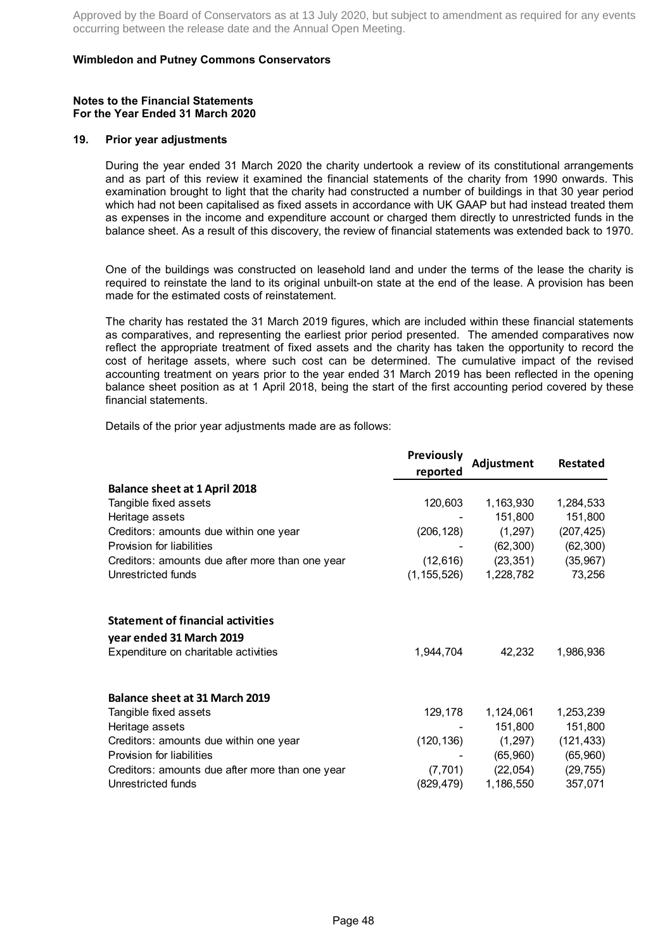### **Wimbledon and Putney Commons Conservators**

#### **Notes to the Financial Statements For the Year Ended 31 March 2020**

#### **19. Prior year adjustments**

During the year ended 31 March 2020 the charity undertook a review of its constitutional arrangements and as part of this review it examined the financial statements of the charity from 1990 onwards. This examination brought to light that the charity had constructed a number of buildings in that 30 year period which had not been capitalised as fixed assets in accordance with UK GAAP but had instead treated them as expenses in the income and expenditure account or charged them directly to unrestricted funds in the balance sheet. As a result of this discovery, the review of financial statements was extended back to 1970.

One of the buildings was constructed on leasehold land and under the terms of the lease the charity is required to reinstate the land to its original unbuilt-on state at the end of the lease. A provision has been made for the estimated costs of reinstatement.

The charity has restated the 31 March 2019 figures, which are included within these financial statements as comparatives, and representing the earliest prior period presented. The amended comparatives now reflect the appropriate treatment of fixed assets and the charity has taken the opportunity to record the cost of heritage assets, where such cost can be determined. The cumulative impact of the revised accounting treatment on years prior to the year ended 31 March 2019 has been reflected in the opening balance sheet position as at 1 April 2018, being the start of the first accounting period covered by these financial statements.

Details of the prior year adjustments made are as follows:

|                                                               | <b>Previously</b><br>reported | Adjustment | <b>Restated</b> |
|---------------------------------------------------------------|-------------------------------|------------|-----------------|
|                                                               |                               |            |                 |
| <b>Balance sheet at 1 April 2018</b><br>Tangible fixed assets | 120,603                       | 1,163,930  | 1,284,533       |
| Heritage assets                                               |                               | 151,800    | 151,800         |
| Creditors: amounts due within one year                        | (206, 128)                    | (1, 297)   | (207, 425)      |
| Provision for liabilities                                     |                               | (62, 300)  | (62, 300)       |
| Creditors: amounts due after more than one year               | (12, 616)                     | (23, 351)  | (35, 967)       |
| Unrestricted funds                                            | (1, 155, 526)                 | 1,228,782  | 73,256          |
| <b>Statement of financial activities</b>                      |                               |            |                 |
| year ended 31 March 2019                                      |                               |            |                 |
| Expenditure on charitable activities                          | 1,944,704                     | 42,232     | 1,986,936       |
| <b>Balance sheet at 31 March 2019</b>                         |                               |            |                 |
| Tangible fixed assets                                         | 129,178                       | 1,124,061  | 1,253,239       |
| Heritage assets                                               |                               | 151,800    | 151,800         |
| Creditors: amounts due within one year                        | (120, 136)                    | (1, 297)   | (121, 433)      |
| Provision for liabilities                                     |                               | (65,960)   | (65,960)        |
| Creditors: amounts due after more than one year               | (7, 701)                      | (22, 054)  | (29, 755)       |
| Unrestricted funds                                            | (829,479)                     | 1,186,550  | 357,071         |
|                                                               |                               |            |                 |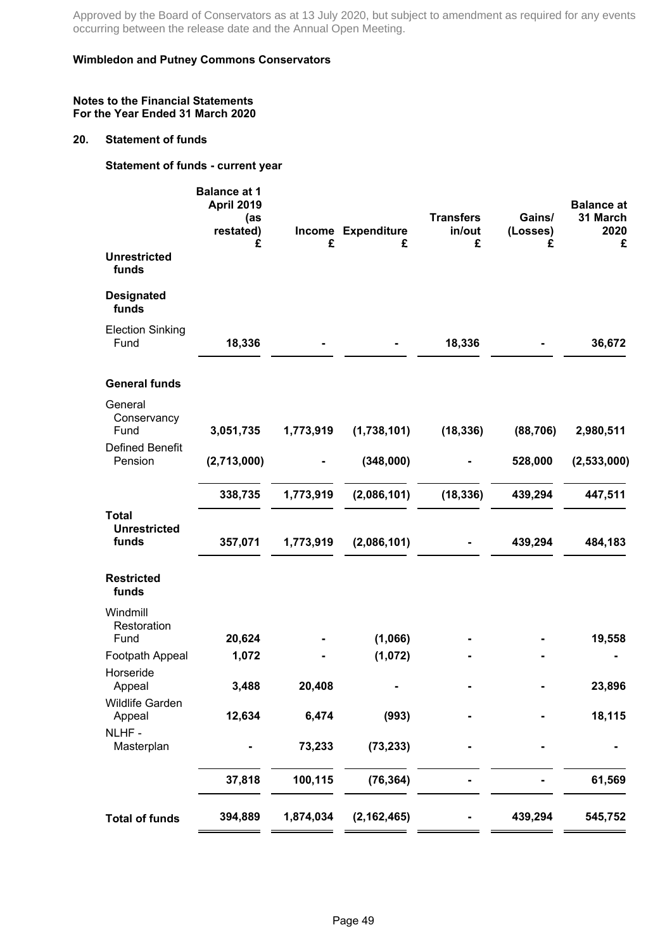### **Wimbledon and Putney Commons Conservators**

#### **Notes to the Financial Statements For the Year Ended 31 March 2020**

#### **20. Statement of funds**

**Statement of funds - current year**

|                                                          | <b>Balance at 1</b><br><b>April 2019</b><br>(as<br>restated)<br>£ | £                        | Income Expenditure<br>£ | <b>Transfers</b><br>in/out<br>£ | Gains/<br>(Losses)<br>£ | <b>Balance at</b><br>31 March<br>2020<br>£ |
|----------------------------------------------------------|-------------------------------------------------------------------|--------------------------|-------------------------|---------------------------------|-------------------------|--------------------------------------------|
| <b>Unrestricted</b><br>funds                             |                                                                   |                          |                         |                                 |                         |                                            |
| <b>Designated</b><br>funds                               |                                                                   |                          |                         |                                 |                         |                                            |
| <b>Election Sinking</b><br>Fund                          | 18,336                                                            |                          |                         | 18,336                          |                         | 36,672                                     |
| <b>General funds</b>                                     |                                                                   |                          |                         |                                 |                         |                                            |
| General<br>Conservancy<br>Fund<br><b>Defined Benefit</b> | 3,051,735                                                         | 1,773,919                | (1,738,101)             | (18, 336)                       | (88, 706)               | 2,980,511                                  |
| Pension                                                  | (2,713,000)                                                       | $\overline{\phantom{a}}$ | (348,000)               |                                 | 528,000                 | (2, 533, 000)                              |
|                                                          | 338,735                                                           | 1,773,919                | (2,086,101)             | (18, 336)                       | 439,294                 | 447,511                                    |
| <b>Total</b><br><b>Unrestricted</b><br>funds             | 357,071                                                           | 1,773,919                | (2,086,101)             |                                 | 439,294                 | 484,183                                    |
| <b>Restricted</b><br>funds                               |                                                                   |                          |                         |                                 |                         |                                            |
| Windmill<br>Restoration                                  |                                                                   |                          |                         |                                 |                         |                                            |
| Fund<br>Footpath Appeal                                  | 20,624<br>1,072                                                   |                          | (1,066)<br>(1,072)      |                                 |                         | 19,558                                     |
| Horseride<br>Appeal                                      | 3,488                                                             | 20,408                   |                         |                                 |                         | 23,896                                     |
| <b>Wildlife Garden</b><br>Appeal                         | 12,634                                                            | 6,474                    | (993)                   |                                 |                         | 18,115                                     |
| NLHF-<br>Masterplan                                      |                                                                   | 73,233                   | (73, 233)               |                                 |                         |                                            |
|                                                          | 37,818                                                            | 100,115                  | (76, 364)               |                                 |                         | 61,569                                     |
| <b>Total of funds</b>                                    | 394,889                                                           | 1,874,034                | (2, 162, 465)           |                                 | 439,294                 | 545,752                                    |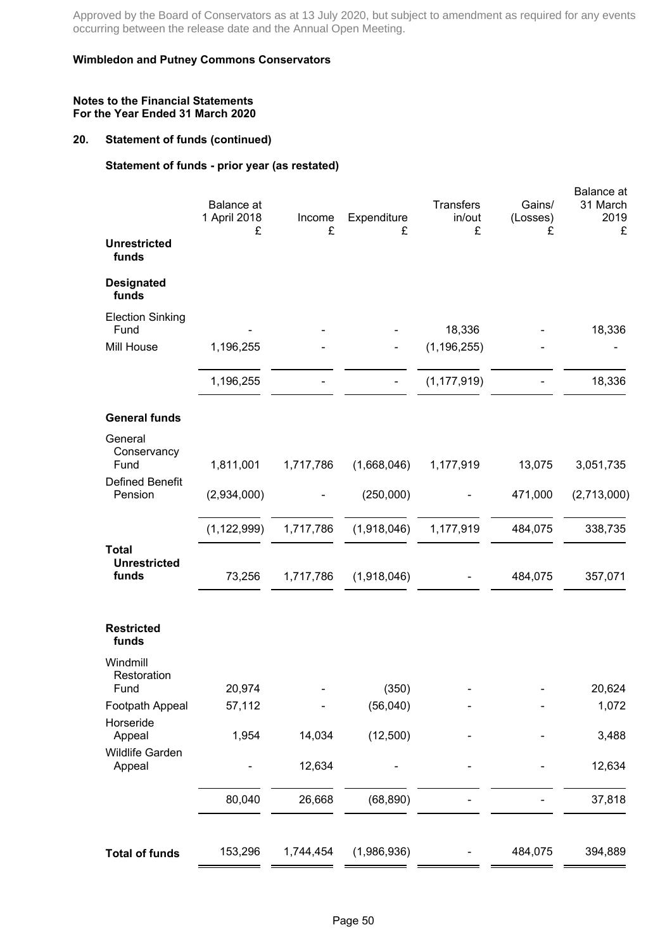### **Wimbledon and Putney Commons Conservators**

### **Notes to the Financial Statements For the Year Ended 31 March 2020**

## **20. Statement of funds (continued)**

# **Statement of funds - prior year (as restated)**

|                                              | <b>Balance</b> at<br>1 April 2018<br>£ | Income<br>£ | Expenditure<br>£ | <b>Transfers</b><br>in/out<br>£ | Gains/<br>(Losses)<br>£ | Balance at<br>31 March<br>2019<br>£ |
|----------------------------------------------|----------------------------------------|-------------|------------------|---------------------------------|-------------------------|-------------------------------------|
| <b>Unrestricted</b><br>funds                 |                                        |             |                  |                                 |                         |                                     |
| <b>Designated</b><br>funds                   |                                        |             |                  |                                 |                         |                                     |
| <b>Election Sinking</b><br>Fund              |                                        |             |                  | 18,336                          |                         | 18,336                              |
| Mill House                                   | 1,196,255                              |             |                  | (1, 196, 255)                   |                         |                                     |
|                                              | 1,196,255                              |             |                  | (1, 177, 919)                   |                         | 18,336                              |
| <b>General funds</b>                         |                                        |             |                  |                                 |                         |                                     |
| General<br>Conservancy<br>Fund               | 1,811,001                              | 1,717,786   | (1,668,046)      | 1,177,919                       | 13,075                  | 3,051,735                           |
| <b>Defined Benefit</b><br>Pension            | (2,934,000)                            |             | (250,000)        |                                 | 471,000                 | (2,713,000)                         |
|                                              | (1, 122, 999)                          | 1,717,786   | (1,918,046)      | 1,177,919                       | 484,075                 | 338,735                             |
| <b>Total</b><br><b>Unrestricted</b><br>funds | 73,256                                 | 1,717,786   | (1,918,046)      |                                 | 484,075                 | 357,071                             |
| <b>Restricted</b><br>funds                   |                                        |             |                  |                                 |                         |                                     |
| Windmill<br>Restoration<br>Fund              | 20,974                                 |             | (350)            |                                 |                         | 20,624                              |
| Footpath Appeal                              | 57,112                                 |             | (56,040)         |                                 |                         | 1,072                               |
| Horseride<br>Appeal                          | 1,954                                  | 14,034      | (12,500)         |                                 |                         | 3,488                               |
| Wildlife Garden<br>Appeal                    |                                        | 12,634      |                  |                                 |                         | 12,634                              |
|                                              | 80,040                                 | 26,668      | (68, 890)        |                                 |                         | 37,818                              |
| <b>Total of funds</b>                        | 153,296                                | 1,744,454   | (1,986,936)      |                                 | 484,075                 | 394,889                             |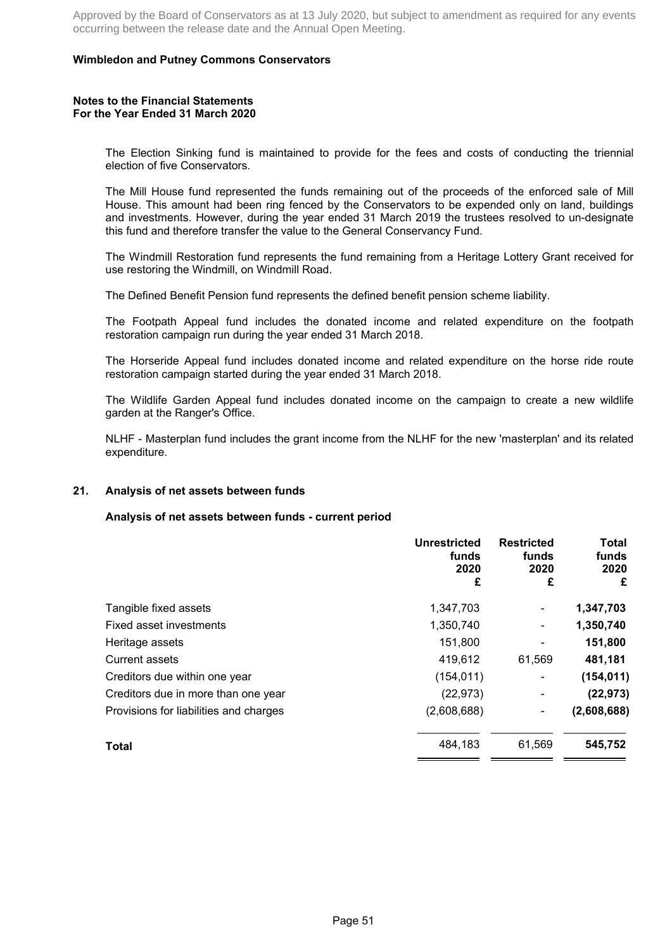### **Wimbledon and Putney Commons Conservators**

#### **Notes to the Financial Statements For the Year Ended 31 March 2020**

The Election Sinking fund is maintained to provide for the fees and costs of conducting the triennial election of five Conservators.

The Mill House fund represented the funds remaining out of the proceeds of the enforced sale of Mill House. This amount had been ring fenced by the Conservators to be expended only on land, buildings and investments. However, during the year ended 31 March 2019 the trustees resolved to un-designate this fund and therefore transfer the value to the General Conservancy Fund.

The Windmill Restoration fund represents the fund remaining from a Heritage Lottery Grant received for use restoring the Windmill, on Windmill Road.

The Defined Benefit Pension fund represents the defined benefit pension scheme liability.

The Footpath Appeal fund includes the donated income and related expenditure on the footpath restoration campaign run during the year ended 31 March 2018.

The Horseride Appeal fund includes donated income and related expenditure on the horse ride route restoration campaign started during the year ended 31 March 2018.

The Wildlife Garden Appeal fund includes donated income on the campaign to create a new wildlife garden at the Ranger's Office.

NLHF - Masterplan fund includes the grant income from the NLHF for the new 'masterplan' and its related expenditure.

### **21. Analysis of net assets between funds**

#### **Analysis of net assets between funds - current period**

|                                        | <b>Unrestricted</b><br>funds<br>2020<br>£ | <b>Restricted</b><br>funds<br>2020<br>£ | <b>Total</b><br>funds<br>2020<br>£ |
|----------------------------------------|-------------------------------------------|-----------------------------------------|------------------------------------|
| Tangible fixed assets                  | 1,347,703                                 | -                                       | 1,347,703                          |
| Fixed asset investments                | 1,350,740                                 |                                         | 1,350,740                          |
| Heritage assets                        | 151,800                                   |                                         | 151,800                            |
| Current assets                         | 419,612                                   | 61,569                                  | 481,181                            |
| Creditors due within one year          | (154, 011)                                |                                         | (154, 011)                         |
| Creditors due in more than one year    | (22, 973)                                 |                                         | (22, 973)                          |
| Provisions for liabilities and charges | (2,608,688)                               |                                         | (2,608,688)                        |
| <b>Total</b>                           | 484,183                                   | 61,569                                  | 545,752                            |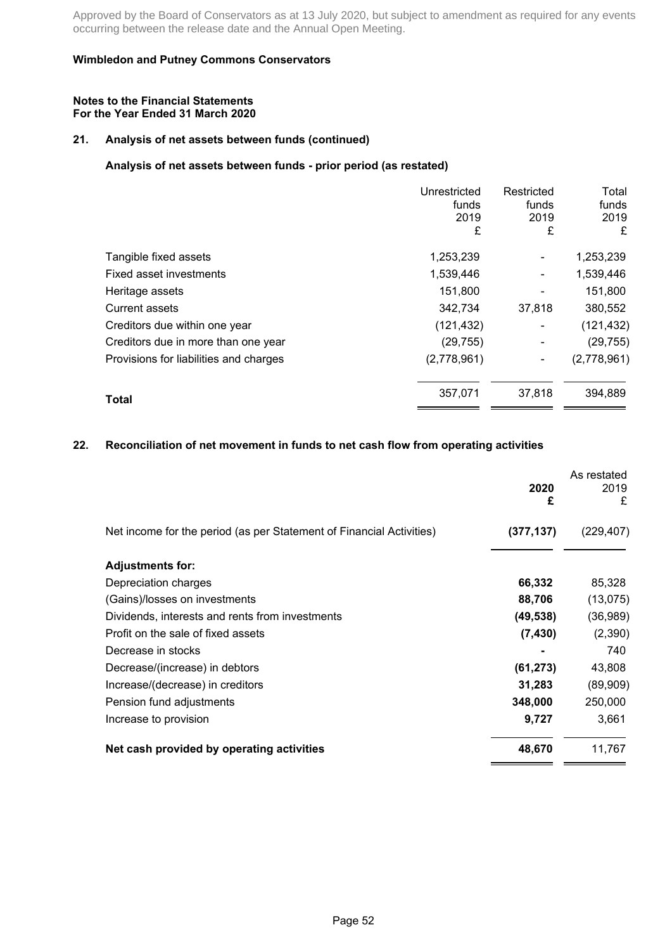### **Wimbledon and Putney Commons Conservators**

#### **Notes to the Financial Statements For the Year Ended 31 March 2020**

# **21. Analysis of net assets between funds (continued)**

# **Analysis of net assets between funds - prior period (as restated)**

|                                        | Unrestricted<br>funds<br>2019<br>£ | Restricted<br>funds<br>2019<br>£ | Total<br>funds<br>2019<br>£ |
|----------------------------------------|------------------------------------|----------------------------------|-----------------------------|
| Tangible fixed assets                  | 1,253,239                          | ۰                                | 1,253,239                   |
| Fixed asset investments                | 1,539,446                          |                                  | 1,539,446                   |
| Heritage assets                        | 151,800                            |                                  | 151,800                     |
| <b>Current assets</b>                  | 342,734                            | 37,818                           | 380,552                     |
| Creditors due within one year          | (121, 432)                         | ۰                                | (121, 432)                  |
| Creditors due in more than one year    | (29, 755)                          | ۰                                | (29, 755)                   |
| Provisions for liabilities and charges | (2,778,961)                        |                                  | (2,778,961)                 |
| <b>Total</b>                           | 357,071                            | 37,818                           | 394,889                     |

### **22. Reconciliation of net movement in funds to net cash flow from operating activities**

|                                                                      | 2020<br>£  | As restated<br>2019<br>£ |
|----------------------------------------------------------------------|------------|--------------------------|
| Net income for the period (as per Statement of Financial Activities) | (377, 137) | (229,407)                |
| <b>Adjustments for:</b>                                              |            |                          |
| Depreciation charges                                                 | 66,332     | 85,328                   |
| (Gains)/losses on investments                                        | 88,706     | (13,075)                 |
| Dividends, interests and rents from investments                      | (49, 538)  | (36, 989)                |
| Profit on the sale of fixed assets                                   | (7, 430)   | (2,390)                  |
| Decrease in stocks                                                   |            | 740                      |
| Decrease/(increase) in debtors                                       | (61, 273)  | 43,808                   |
| Increase/(decrease) in creditors                                     | 31,283     | (89,909)                 |
| Pension fund adjustments                                             | 348,000    | 250,000                  |
| Increase to provision                                                | 9,727      | 3,661                    |
| Net cash provided by operating activities                            | 48,670     | 11,767                   |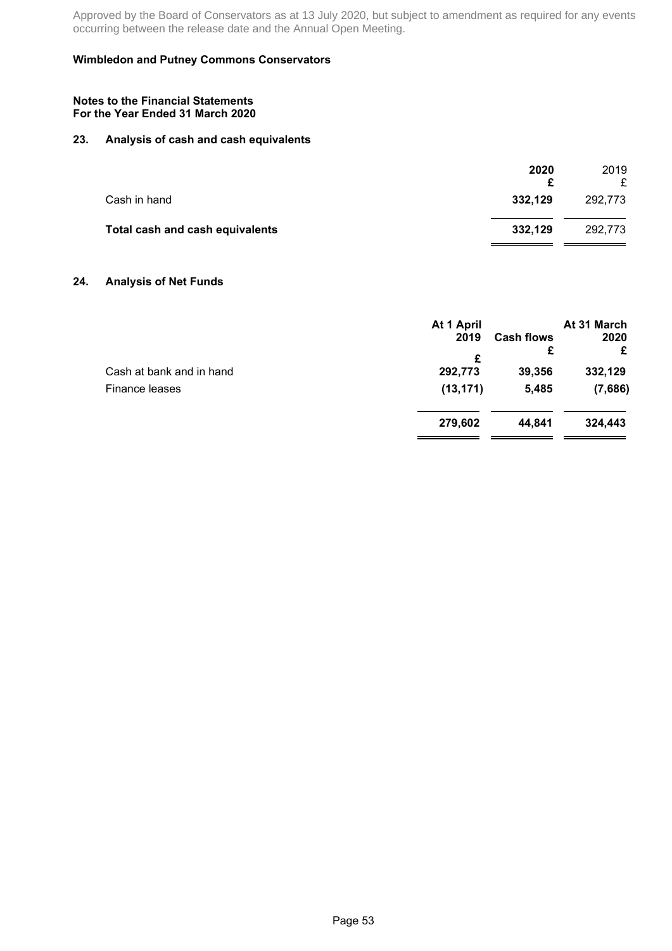### **Wimbledon and Putney Commons Conservators**

#### **Notes to the Financial Statements For the Year Ended 31 March 2020**

## **23. Analysis of cash and cash equivalents**

|                                 | 2020    | 2019<br>£ |
|---------------------------------|---------|-----------|
| Cash in hand                    | 332,129 | 292,773   |
| Total cash and cash equivalents | 332,129 | 292,773   |

### **24. Analysis of Net Funds**

|                                            | At 1 April<br>2019        | <b>Cash flows</b><br>£ | At 31 March<br>2020<br>£ |
|--------------------------------------------|---------------------------|------------------------|--------------------------|
| Cash at bank and in hand<br>Finance leases | £<br>292,773<br>(13, 171) | 39,356<br>5,485        | 332,129<br>(7,686)       |
|                                            | 279,602                   | 44.841                 | 324,443                  |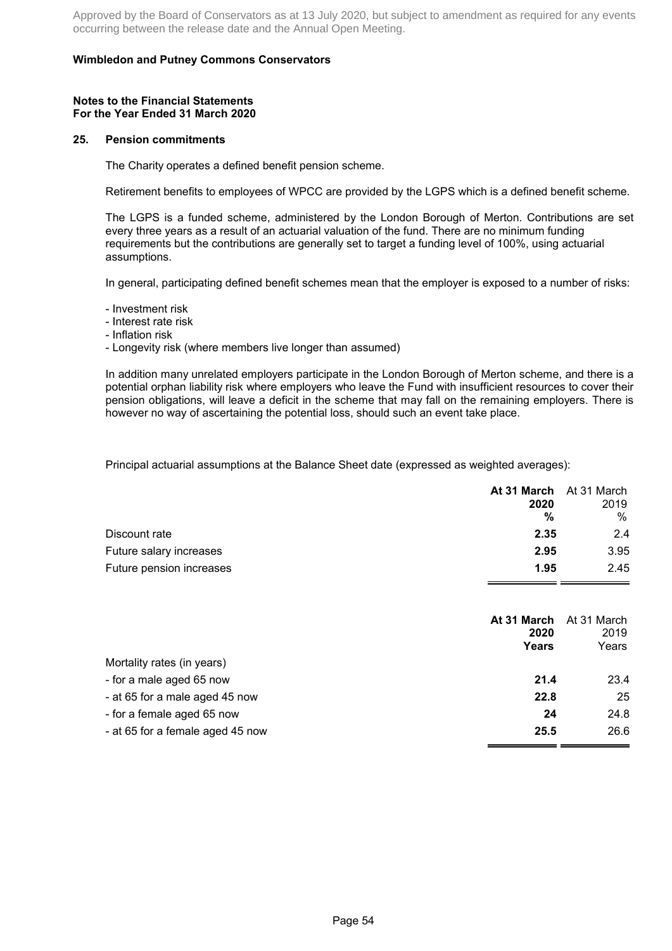### **Wimbledon and Putney Commons Conservators**

#### **Notes to the Financial Statements For the Year Ended 31 March 2020**

#### **25. Pension commitments**

The Charity operates a defined benefit pension scheme.

Retirement benefits to employees of WPCC are provided by the LGPS which is a defined benefit scheme.

The LGPS is a funded scheme, administered by the London Borough of Merton. Contributions are set every three years as a result of an actuarial valuation of the fund. There are no minimum funding requirements but the contributions are generally set to target a funding level of 100%, using actuarial assumptions.

In general, participating defined benefit schemes mean that the employer is exposed to a number of risks:

- Investment risk
- Interest rate risk
- Inflation risk

- Longevity risk (where members live longer than assumed)

In addition many unrelated employers participate in the London Borough of Merton scheme, and there is a potential orphan liability risk where employers who leave the Fund with insufficient resources to cover their pension obligations, will leave a deficit in the scheme that may fall on the remaining employers. There is however no way of ascertaining the potential loss, should such an event take place.

Principal actuarial assumptions at the Balance Sheet date (expressed as weighted averages):

| 2020 | 2019                    |
|------|-------------------------|
| %    | %                       |
| 2.35 | 2.4                     |
| 2.95 | 3.95                    |
| 1.95 | 2.45                    |
|      | At 31 March At 31 March |

|                                  | At 31 March<br>2020 | At 31 March<br>2019 |
|----------------------------------|---------------------|---------------------|
|                                  | Years               | Years               |
| Mortality rates (in years)       |                     |                     |
| - for a male aged 65 now         | 21.4                | 23.4                |
| - at 65 for a male aged 45 now   | 22.8                | 25                  |
| - for a female aged 65 now       | 24                  | 24.8                |
| - at 65 for a female aged 45 now | 25.5                | 26.6                |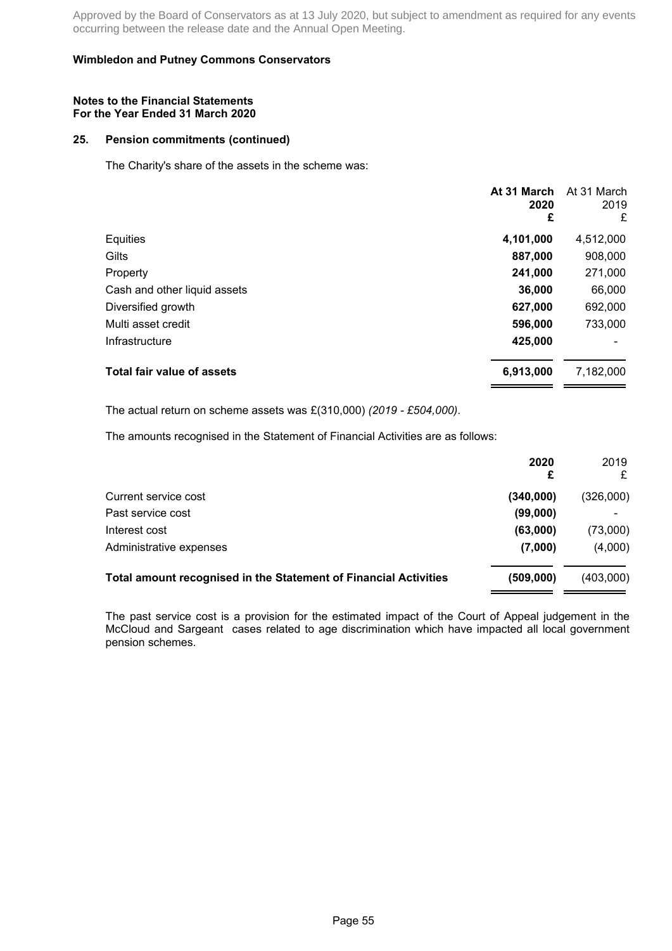### **Wimbledon and Putney Commons Conservators**

#### **Notes to the Financial Statements For the Year Ended 31 March 2020**

### **25. Pension commitments (continued)**

The Charity's share of the assets in the scheme was:

|                                   | At 31 March<br>2020<br>£ | At 31 March<br>2019<br>£ |
|-----------------------------------|--------------------------|--------------------------|
| Equities                          | 4,101,000                | 4,512,000                |
| Gilts                             | 887,000                  | 908,000                  |
| Property                          | 241,000                  | 271,000                  |
| Cash and other liquid assets      | 36,000                   | 66,000                   |
| Diversified growth                | 627,000                  | 692,000                  |
| Multi asset credit                | 596,000                  | 733,000                  |
| Infrastructure                    | 425,000                  |                          |
| <b>Total fair value of assets</b> | 6,913,000                | 7,182,000                |

The actual return on scheme assets was £(310,000) *(2019 - £504,000)*.

The amounts recognised in the Statement of Financial Activities are as follows:

|                                                                  | 2020<br>£ | 2019<br>£ |
|------------------------------------------------------------------|-----------|-----------|
| Current service cost                                             | (340,000) | (326,000) |
| Past service cost                                                | (99,000)  | ٠         |
| Interest cost                                                    | (63,000)  | (73,000)  |
| Administrative expenses                                          | (7,000)   | (4,000)   |
| Total amount recognised in the Statement of Financial Activities | (509,000) | (403,000) |

The past service cost is a provision for the estimated impact of the Court of Appeal judgement in the McCloud and Sargeant cases related to age discrimination which have impacted all local government pension schemes.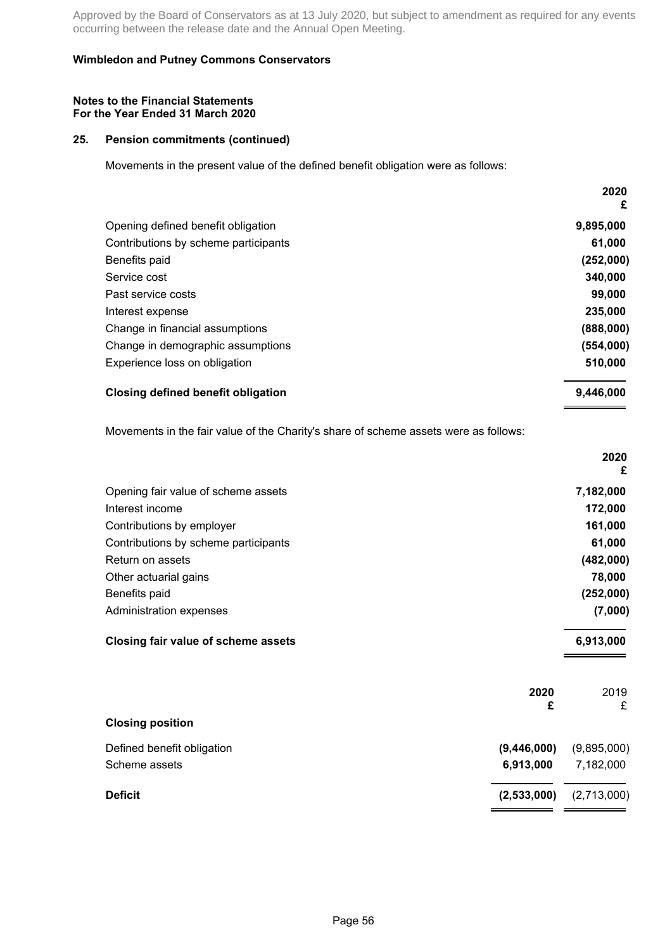### **Wimbledon and Putney Commons Conservators**

#### **Notes to the Financial Statements For the Year Ended 31 March 2020**

### **25. Pension commitments (continued)**

Movements in the present value of the defined benefit obligation were as follows:

|                                      | 2020<br>£ |
|--------------------------------------|-----------|
| Opening defined benefit obligation   | 9,895,000 |
| Contributions by scheme participants | 61,000    |
| Benefits paid                        | (252,000) |
| Service cost                         | 340,000   |
| Past service costs                   | 99,000    |
| Interest expense                     | 235,000   |
| Change in financial assumptions      | (888,000) |
| Change in demographic assumptions    | (554,000) |
| Experience loss on obligation        | 510,000   |
| Closing defined benefit obligation   | 9,446,000 |

Movements in the fair value of the Charity's share of scheme assets were as follows:

| <b>Deficit</b><br>(2,533,000)             | (2,713,000) |
|-------------------------------------------|-------------|
| Scheme assets<br>6,913,000                | 7,182,000   |
| Defined benefit obligation<br>(9,446,000) | (9,895,000) |
| <b>Closing position</b>                   |             |
| 2020<br>£                                 | 2019<br>£   |
| Closing fair value of scheme assets       | 6,913,000   |
| Administration expenses                   | (7,000)     |
| Benefits paid                             | (252,000)   |
| Other actuarial gains                     | 78,000      |
| Return on assets                          | (482,000)   |
| Contributions by scheme participants      | 61,000      |
| Contributions by employer                 | 161,000     |
| Interest income                           | 172,000     |
| Opening fair value of scheme assets       | 7,182,000   |
|                                           | 2020<br>£   |